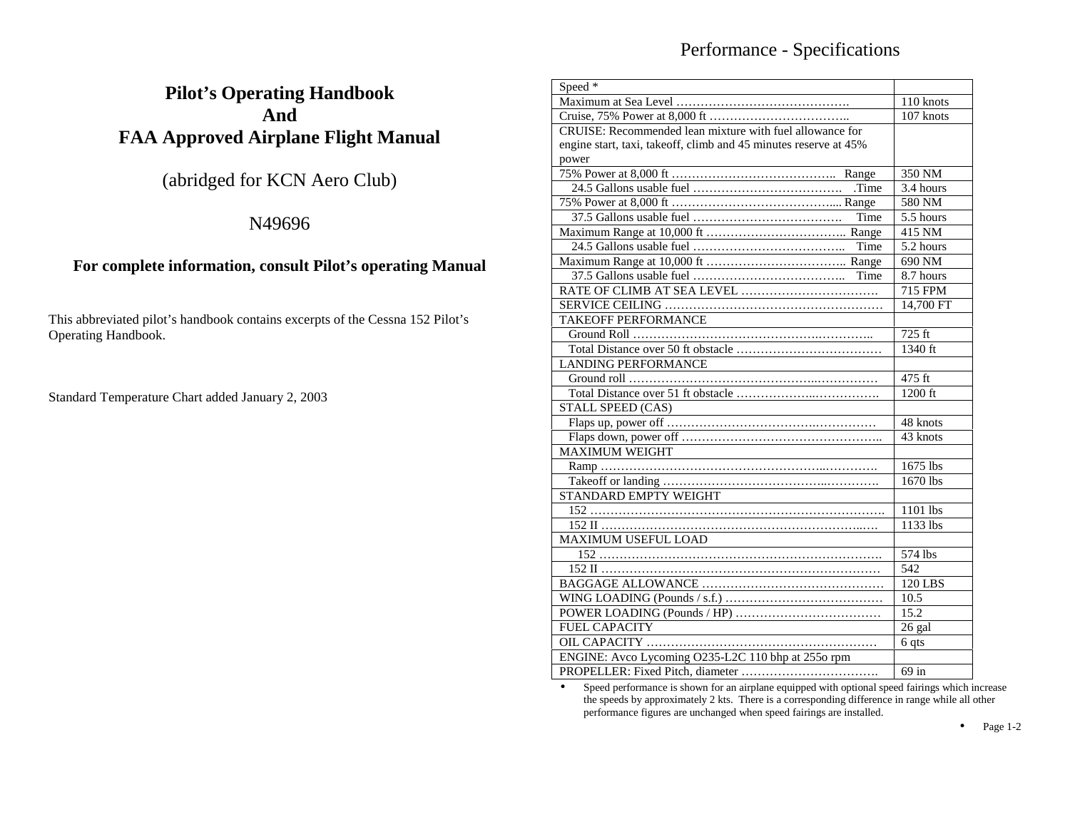# **Pilot's Operating Handbook AndFAA Approved Airplane Flight Manual**

(abridged for KCN Aero Club)

# N49696

# **For complete information, consult Pilot's operating Manual**

This abbreviated pilot's handbook contains excerpts of the Cessna 152 Pilot's Operating Handbook.

Standard Temperature Chart added January 2, 2003

| Speed *                                                          |                     |
|------------------------------------------------------------------|---------------------|
|                                                                  | 110 knots           |
|                                                                  | 107 knots           |
| CRUISE: Recommended lean mixture with fuel allowance for         |                     |
| engine start, taxi, takeoff, climb and 45 minutes reserve at 45% |                     |
| power                                                            |                     |
|                                                                  | 350 NM              |
|                                                                  | 3.4 hours           |
|                                                                  | $\overline{580}$ NM |
| Time                                                             | 5.5 hours           |
|                                                                  | 415 NM              |
| Time                                                             | 5.2 hours           |
|                                                                  | 690 NM              |
|                                                                  | 8.7 hours           |
|                                                                  | 715 FPM             |
|                                                                  | 14.700 FT           |
| TAKEOFF PERFORMANCE                                              |                     |
|                                                                  | 725 ft              |
|                                                                  | 1340 ft             |
| <b>LANDING PERFORMANCE</b>                                       |                     |
|                                                                  | 475 ft              |
|                                                                  | 1200 ft             |
| STALL SPEED (CAS)                                                |                     |
|                                                                  | 48 knots            |
|                                                                  | 43 knots            |
| <b>MAXIMUM WEIGHT</b>                                            |                     |
|                                                                  | 1675 lbs            |
|                                                                  | 1670 lbs            |
| STANDARD EMPTY WEIGHT                                            |                     |
|                                                                  | 1101 lbs            |
|                                                                  | 1133 lbs            |
| <b>MAXIMUM USEFUL LOAD</b>                                       |                     |
|                                                                  | 574 lbs             |
|                                                                  | 542                 |
|                                                                  | 120 LBS             |
|                                                                  | 10.5                |
|                                                                  | 15.2                |
| <b>FUEL CAPACITY</b>                                             | 26 gal              |
|                                                                  | 6 qts               |
| ENGINE: Avco Lycoming O235-L2C 110 bhp at 2550 rpm               |                     |
|                                                                  | $69$ in             |

<sup>•</sup> Speed performance is shown for an airplane equipped with optional speed fairings which increase the speeds by approximately 2 kts. There is a corresponding difference in range while all other performance figures are unchanged when speed fairings are installed.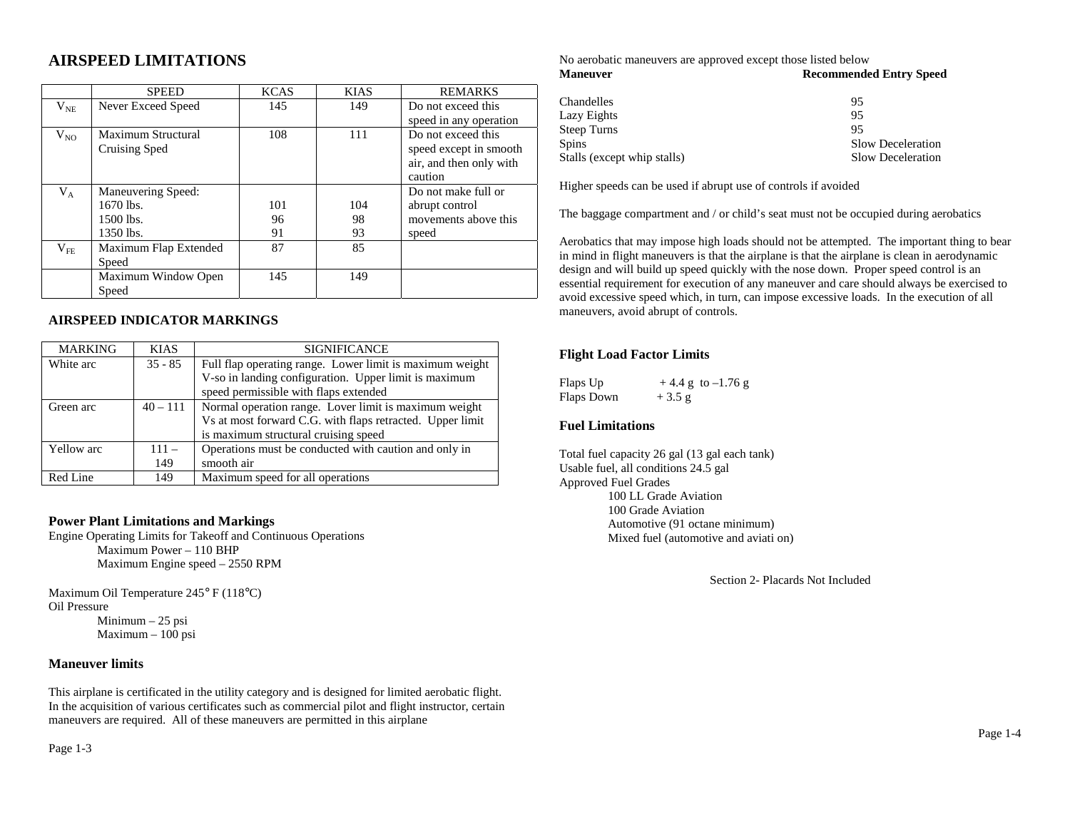# **AIRSPEED LIMITATIONS**

|              | <b>SPEED</b>          | <b>KCAS</b> | <b>KIAS</b> | <b>REMARKS</b>          |
|--------------|-----------------------|-------------|-------------|-------------------------|
| $V_{NE}$     | Never Exceed Speed    | 145         | 149         | Do not exceed this      |
|              |                       |             |             | speed in any operation  |
| $V_{NO}$     | Maximum Structural    | 108         | 111         | Do not exceed this      |
|              | Cruising Sped         |             |             | speed except in smooth  |
|              |                       |             |             | air, and then only with |
|              |                       |             |             | caution                 |
| $V_A$        | Maneuvering Speed:    |             |             | Do not make full or     |
|              | 1670 lbs.             | 101         | 104         | abrupt control          |
|              | $1500$ lbs.           | 96          | 98          | movements above this    |
|              | 1350 lbs.             | 91          | 93          | speed                   |
| $\rm V_{FE}$ | Maximum Flap Extended | 87          | 85          |                         |
|              | Speed                 |             |             |                         |
|              | Maximum Window Open   | 145         | 149         |                         |
|              | Speed                 |             |             |                         |

### **AIRSPEED INDICATOR MARKINGS**

| <b>MARKING</b>    | <b>KIAS</b> | <b>SIGNIFICANCE</b>                                       |
|-------------------|-------------|-----------------------------------------------------------|
| White arc         | $35 - 85$   | Full flap operating range. Lower limit is maximum weight  |
|                   |             | V-so in landing configuration. Upper limit is maximum     |
|                   |             | speed permissible with flaps extended                     |
| Green arc         | $40 - 111$  | Normal operation range. Lover limit is maximum weight     |
|                   |             | Vs at most forward C.G. with flaps retracted. Upper limit |
|                   |             | is maximum structural cruising speed                      |
| <b>Yellow</b> arc | $111 -$     | Operations must be conducted with caution and only in     |
|                   | 149         | smooth air                                                |
| Red Line          | 149         | Maximum speed for all operations                          |

### **Power Plant Limitations and Markings**

Engine Operating Limits for Takeoff and Continuous Operations Maximum Power – 110 BHPMaximum Engine speed – 2550 RPM

Maximum Oil Temperature 245° F (118°C) Oil PressureMinimum – 25 psi

Maximum – 100 psi

### **Maneuver limits**

This airplane is certificated in the utility category and is designed for limited aerobatic flight. In the acquisition of various certificates such as commercial pilot and flight instructor, certain maneuvers are required. All of these maneuvers are permitted in this airplane

#### No aerobatic maneuvers are approved except those listed below **Maneuver Recommended Entry Speed**

| Chandelles                  | 95                       |
|-----------------------------|--------------------------|
| Lazy Eights                 | 95                       |
| <b>Steep Turns</b>          | 95                       |
| <b>Spins</b>                | <b>Slow Deceleration</b> |
| Stalls (except whip stalls) | <b>Slow Deceleration</b> |

Higher speeds can be used if abrupt use of controls if avoided

The baggage compartment and / or child's seat must not be occupied during aerobatics

Aerobatics that may impose high loads should not be attempted. The important thing to bear in mind in flight maneuvers is that the airplane is that the airplane is clean in aerodynamic design and will build up speed quickly with the nose down. Proper speed control is an essential requirement for execution of any maneuver and care should always be exercised to avoid excessive speed which, in turn, can impose excessive loads. In the execution of all maneuvers, avoid abrupt of controls.

### **Flight Load Factor Limits**

Flaps Up  $+4.4 \text{ g to } -1.76 \text{ g}$ Flaps Down  $+3.5 g$ 

### **Fuel Limitations**

Total fuel capacity 26 gal (13 gal each tank) Usable fuel, all conditions 24.5 gal Approved Fuel Grades 100 LL Grade Aviation 100 Grade AviationAutomotive (91 octane minimum) Mixed fuel (automotive and aviati on)

Section 2- Placards Not Included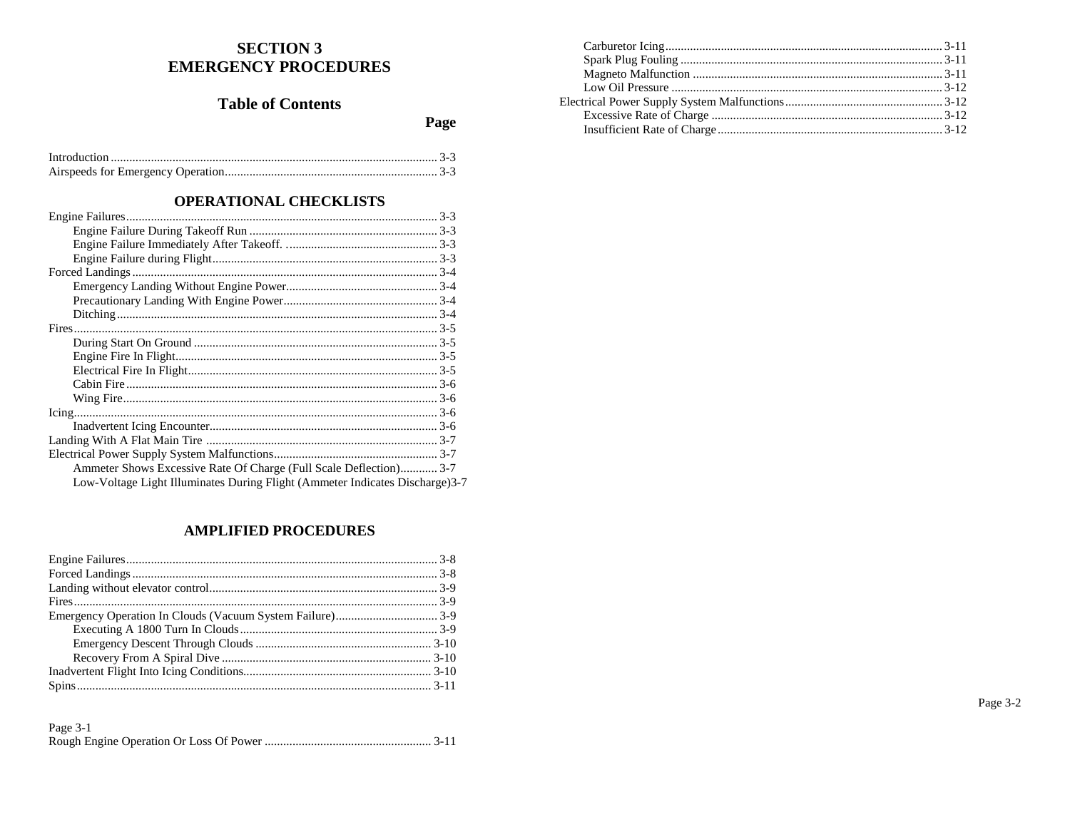# **SECTION 3 EMERGENCY PROCEDURES**

# **Table of Contents**

# Page

# **OPERATIONAL CHECKLISTS**

| Ammeter Shows Excessive Rate Of Charge (Full Scale Deflection) 3-7            |
|-------------------------------------------------------------------------------|
| Low-Voltage Light Illuminates During Flight (Ammeter Indicates Discharge) 3-7 |

# **AMPLIFIED PROCEDURES**

| Page 3-1 |  |
|----------|--|
|          |  |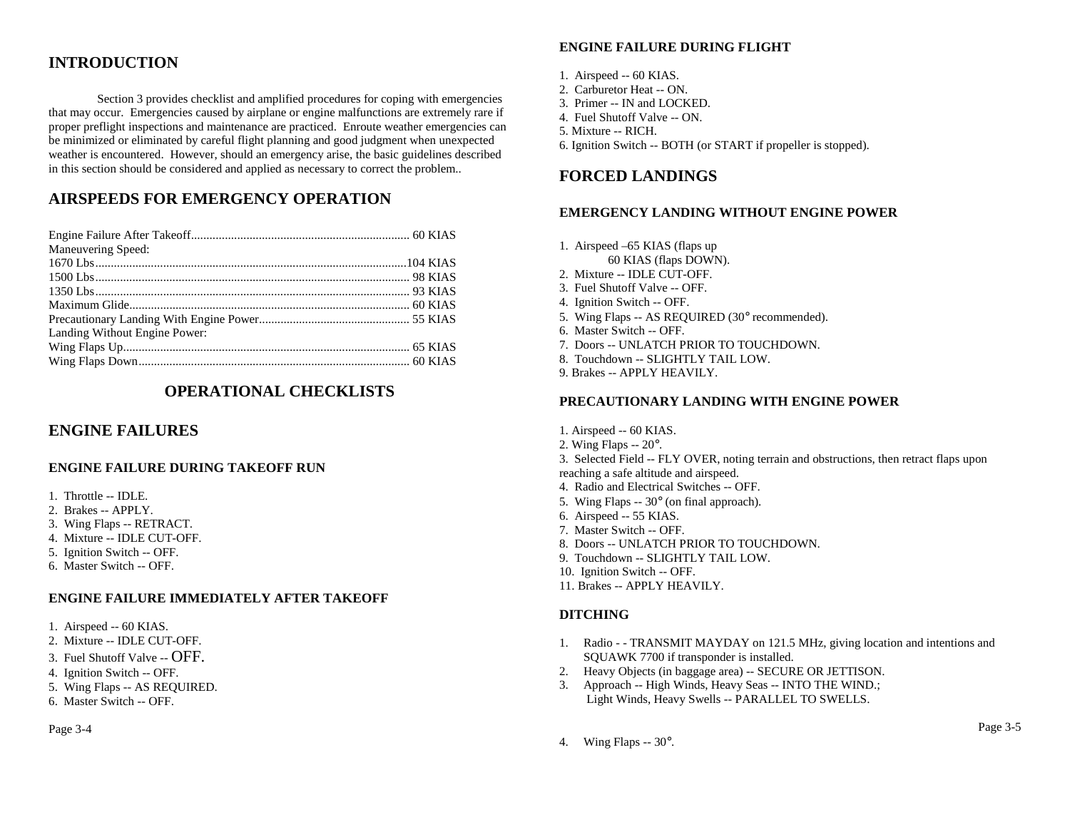# **INTRODUCTION**

Section 3 provides checklist and amplified procedures for coping with emergencies that may occur. Emergencies caused by airplane or engine malfunctions are extremely rare if proper preflight inspections and maintenance are practiced. Enroute weather emergencies can be minimized or eliminated by careful flight planning and good judgment when unexpected weather is encountered. However, should an emergency arise, the basic guidelines described in this section should be considered and applied as necessary to correct the problem..

# **AIRSPEEDS FOR EMERGENCY OPERATION**

| Maneuvering Speed:            |  |
|-------------------------------|--|
|                               |  |
|                               |  |
|                               |  |
|                               |  |
|                               |  |
| Landing Without Engine Power: |  |
|                               |  |
|                               |  |

# **OPERATIONAL CHECKLISTS**

# **ENGINE FAILURES**

### **ENGINE FAILURE DURING TAKEOFF RUN**

- 1. Throttle -- IDLE.
- 2. Brakes -- APPLY.
- 3. Wing Flaps -- RETRACT.
- 4. Mixture -- IDLE CUT-OFF.
- 5. Ignition Switch -- OFF.
- 6. Master Switch -- OFF.

# **ENGINE FAILURE IMMEDIATELY AFTER TAKEOFF**

- 1. Airspeed -- 60 KIAS.
- 2. Mixture -- IDLE CUT-OFF.
- 3. Fuel Shutoff Valve -- OFF.
- 4. Ignition Switch -- OFF.
- 5. Wing Flaps -- AS REQUIRED.
- 6. Master Switch -- OFF.

Page 3-4

### **ENGINE FAILURE DURING FLIGHT**

- 1. Airspeed -- 60 KIAS.
- 2. Carburetor Heat -- ON.
- 3. Primer -- IN and LOCKED.
- 4. Fuel Shutoff Valve -- ON.
- 5. Mixture -- RICH.
- 6. Ignition Switch -- BOTH (or START if propeller is stopped).

# **FORCED LANDINGS**

### **EMERGENCY LANDING WITHOUT ENGINE POWER**

- 1. Airspeed –65 KIAS (flaps up
	- 60 KIAS (flaps DOWN).
- 2. Mixture -- IDLE CUT-OFF.
- 3. Fuel Shutoff Valve -- OFF.
- 4. Ignition Switch -- OFF.
- 5. Wing Flaps -- AS REQUIRED (30° recommended).
- 6. Master Switch -- OFF.
- 7. Doors -- UNLATCH PRIOR TO TOUCHDOWN.
- 8. Touchdown -- SLIGHTLY TAIL LOW.
- 9. Brakes -- APPLY HEAVILY.

### **PRECAUTIONARY LANDING WITH ENGINE POWER**

- 1. Airspeed -- 60 KIAS.
- 2. Wing Flaps -- 20°.
- 3. Selected Field -- FLY OVER, noting terrain and obstructions, then retract flaps upon reaching a safe altitude and airspeed.
- 4. Radio and Electrical Switches -- OFF.
- 5. Wing Flaps -- 30° (on final approach).
- 6. Airspeed -- 55 KIAS.
- 7. Master Switch -- OFF.
- 8. Doors -- UNLATCH PRIOR TO TOUCHDOWN.
- 9. Touchdown -- SLIGHTLY TAIL LOW.
- 10. Ignition Switch -- OFF.
- 11. Brakes -- APPLY HEAVILY.

### **DITCHING**

- 1. Radio - TRANSMIT MAYDAY on 121.5 MHz, giving location and intentions and SQUAWK 7700 if transponder is installed.
- 2. Heavy Objects (in baggage area) -- SECURE OR JETTISON.
- 3. Approach -- High Winds, Heavy Seas -- INTO THE WIND.; Light Winds, Heavy Swells -- PARALLEL TO SWELLS.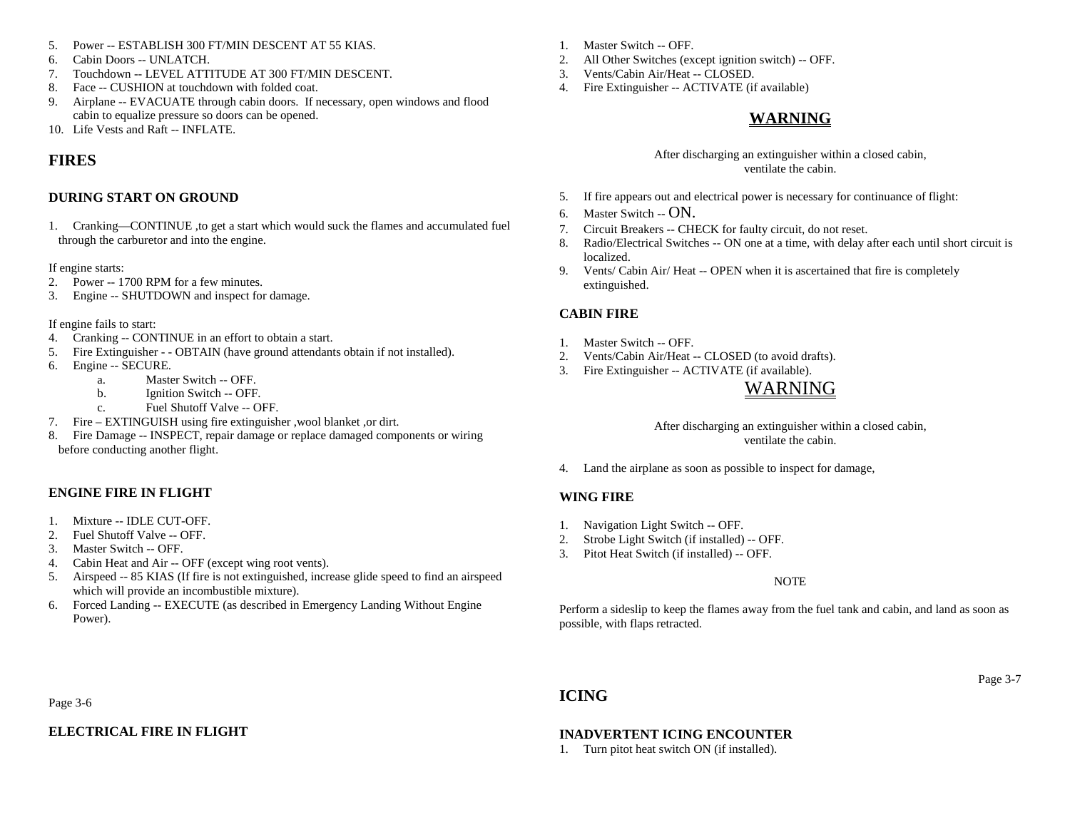- 5. Power -- ESTABLISH 300 FT/MIN DESCENT AT 55 KIAS.
- 6.Cabin Doors -- UNLATCH.
- 7.Touchdown -- LEVEL ATTITUDE AT 300 FT/MIN DESCENT.
- 8.Face -- CUSHION at touchdown with folded coat.
- 9. Airplane -- EVACUATE through cabin doors. If necessary, open windows and flood cabin to equalize pressure so doors can be opened.
- 10. Life Vests and Raft -- INFLATE.

# **FIRES**

### **DURING START ON GROUND**

1. Cranking—CONTINUE ,to get a start which would suck the flames and accumulated fuel through the carburetor and into the engine.

#### If engine starts:

- 2. Power -- 1700 RPM for a few minutes.
- 3. Engine -- SHUTDOWN and inspect for damage.

#### If engine fails to start:

- 4. Cranking -- CONTINUE in an effort to obtain a start.
- 5. Fire Extinguisher - OBTAIN (have ground attendants obtain if not installed).
- 6. Engine -- SECURE.
	- a.Master Switch -- OFF.
	- b.Ignition Switch -- OFF.
	- c.Fuel Shutoff Valve -- OFF.
- 7. Fire EXTINGUISH using fire extinguisher ,wool blanket ,or dirt.
- 8. Fire Damage -- INSPECT, repair damage or replace damaged components or wiring before conducting another flight.

### **ENGINE FIRE IN FLIGHT**

- 1. Mixture -- IDLE CUT-OFF.
- 2.Fuel Shutoff Valve -- OFF.
- 3. Master Switch -- OFF.
- 4. Cabin Heat and Air -- OFF (except wing root vents).
- 5. Airspeed -- 85 KIAS (If fire is not extinguished, increase glide speed to find an airspeed which will provide an incombustible mixture).
- 6. Forced Landing -- EXECUTE (as described in Emergency Landing Without Engine Power).
- 1. Master Switch -- OFF.
- 2. All Other Switches (except ignition switch) -- OFF.
- 3. Vents/Cabin Air/Heat -- CLOSED.
- 4. Fire Extinguisher -- ACTIVATE (if available)

# **WARNING**

After discharging an extinguisher within a closed cabin, ventilate the cabin.

- 5. If fire appears out and electrical power is necessary for continuance of flight:
- 6.Master Switch -- ON.
- 7. Circuit Breakers -- CHECK for faulty circuit, do not reset.
- 8. Radio/Electrical Switches -- ON one at a time, with delay after each until short circuit is localized.
- 9. Vents/ Cabin Air/ Heat -- OPEN when it is ascertained that fire is completely extinguished.

### **CABIN FIRE**

- 1. Master Switch -- OFF.
- 2. Vents/Cabin Air/Heat -- CLOSED (to avoid drafts).
- 3. Fire Extinguisher -- ACTIVATE (if available).

# WARNING

After discharging an extinguisher within a closed cabin, ventilate the cabin.

4. Land the airplane as soon as possible to inspect for damage,

### **WING FIRE**

- 1. Navigation Light Switch -- OFF.
- 2.Strobe Light Switch (if installed) -- OFF.
- 3. Pitot Heat Switch (if installed) -- OFF.

#### NOTE

Perform a sideslip to keep the flames away from the fuel tank and cabin, and land as soon as possible, with flaps retracted.

Page 3-6

### **ELECTRICAL FIRE IN FLIGHT**

# **ICING**

#### Page 3-7

# **INADVERTENT ICING ENCOUNTER**

1. Turn pitot heat switch ON (if installed).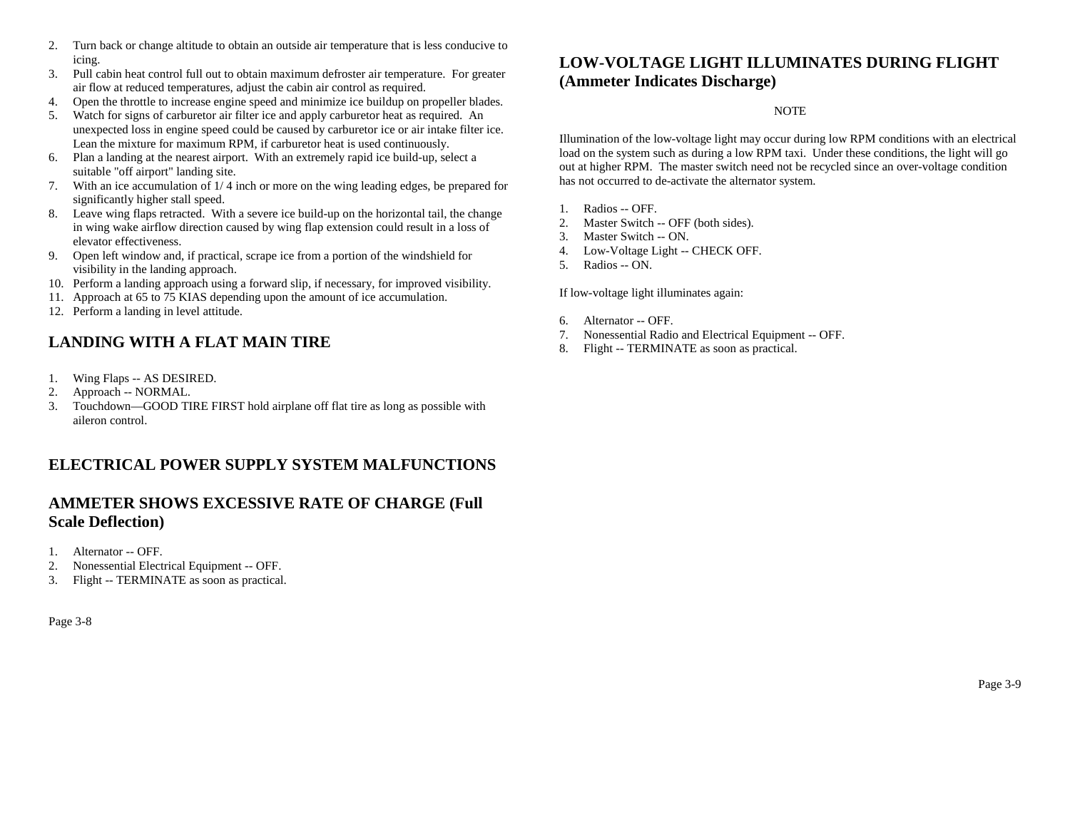- 2. Turn back or change altitude to obtain an outside air temperature that is less conducive to icing.
- 3. Pull cabin heat control full out to obtain maximum defroster air temperature. For greater air flow at reduced temperatures, adjust the cabin air control as required.
- 4.Open the throttle to increase engine speed and minimize ice buildup on propeller blades.
- 5. Watch for signs of carburetor air filter ice and apply carburetor heat as required. An unexpected loss in engine speed could be caused by carburetor ice or air intake filter ice. Lean the mixture for maximum RPM, if carburetor heat is used continuously.
- 6. Plan a landing at the nearest airport. With an extremely rapid ice build-up, select a suitable "off airport" landing site.
- 7. With an ice accumulation of 1/ 4 inch or more on the wing leading edges, be prepared for significantly higher stall speed.
- 8. Leave wing flaps retracted. With a severe ice build-up on the horizontal tail, the change in wing wake airflow direction caused by wing flap extension could result in a loss of elevator effectiveness.
- 9. Open left window and, if practical, scrape ice from a portion of the windshield for visibility in the landing approach.
- 10. Perform a landing approach using a forward slip, if necessary, for improved visibility.
- 11. Approach at 65 to 75 KIAS depending upon the amount of ice accumulation.
- 12. Perform a landing in level attitude.

# **LANDING WITH A FLAT MAIN TIRE**

- 1.Wing Flaps -- AS DESIRED.
- 2.Approach -- NORMAL.
- 3. Touchdown—GOOD TIRE FIRST hold airplane off flat tire as long as possible with aileron control.

# **ELECTRICAL POWER SUPPLY SYSTEM MALFUNCTIONS**

# **AMMETER SHOWS EXCESSIVE RATE OF CHARGE (Full Scale Deflection)**

- 1.Alternator -- OFF.
- 2.Nonessential Electrical Equipment -- OFF.
- 3. Flight -- TERMINATE as soon as practical.

# **LOW-VOLTAGE LIGHT ILLUMINATES DURING FLIGHT (Ammeter Indicates Discharge)**

NOTE

Illumination of the low-voltage light may occur during low RPM conditions with an electrical load on the system such as during a low RPM taxi. Under these conditions, the light will go out at higher RPM. The master switch need not be recycled since an over-voltage condition has not occurred to de-activate the alternator system.

- 1. Radios -- OFF.
- 2. Master Switch -- OFF (both sides).
- 3. Master Switch -- ON.
- 4. Low-Voltage Light -- CHECK OFF.
- 5.Radios -- ON.

If low-voltage light illuminates again:

- 6. Alternator -- OFF.
- 7.Nonessential Radio and Electrical Equipment -- OFF.
- 8. Flight -- TERMINATE as soon as practical.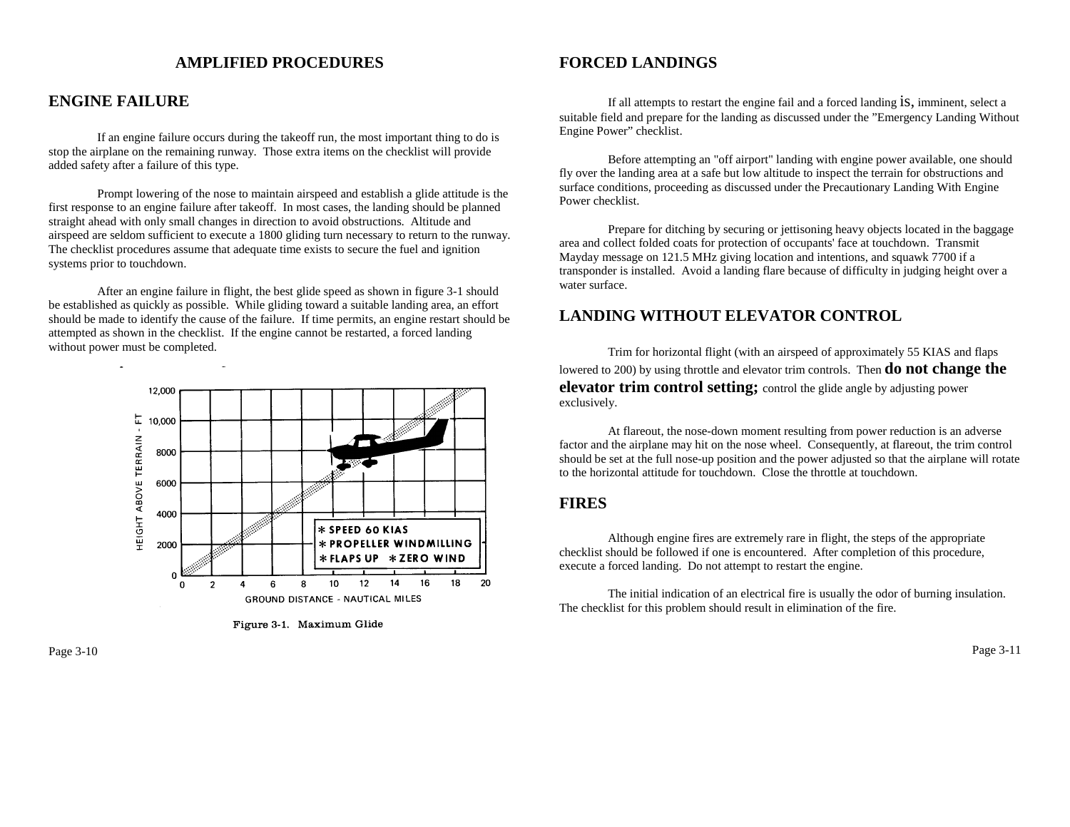# **AMPLIFIED PROCEDURES**

# **ENGINE FAILURE**

If an engine failure occurs during the takeoff run, the most important thing to do is stop the airplane on the remaining runway. Those extra items on the checklist will provide added safety after a failure of this type.

Prompt lowering of the nose to maintain airspeed and establish a glide attitude is the first response to an engine failure after takeoff. In most cases, the landing should be planned straight ahead with only small changes in direction to avoid obstructions. Altitude and airspeed are seldom sufficient to execute a 1800 gliding turn necessary to return to the runway. The checklist procedures assume that adequate time exists to secure the fuel and ignition systems prior to touchdown.

After an engine failure in flight, the best glide speed as shown in figure 3-1 should be established as quickly as possible. While gliding toward a suitable landing area, an effort should be made to identify the cause of the failure. If time permits, an engine restart should be attempted as shown in the checklist. If the engine cannot be restarted, a forced landing without power must be completed.



Figure 3-1. Maximum Glide

# **FORCED LANDINGS**

If all attempts to restart the engine fail and a forced landing is, imminent, select a suitable field and prepare for the landing as discussed under the "Emergency Landing Without Engine Power" checklist.

Before attempting an "off airport" landing with engine power available, one should fly over the landing area at a safe but low altitude to inspect the terrain for obstructions and surface conditions, proceeding as discussed under the Precautionary Landing With Engine Power checklist.

Prepare for ditching by securing or jettisoning heavy objects located in the baggage area and collect folded coats for protection of occupants' face at touchdown. Transmit Mayday message on 121.5 MHz giving location and intentions, and squawk 7700 if a transponder is installed. Avoid a landing flare because of difficulty in judging height over a water surface.

# **LANDING WITHOUT ELEVATOR CONTROL**

Trim for horizontal flight (with an airspeed of approximately 55 KIAS and flaps lowered to 200) by using throttle and elevator trim controls. Then **do not change the elevator trim control setting;** control the glide angle by adjusting power exclusively.

At flareout, the nose-down moment resulting from power reduction is an adverse factor and the airplane may hit on the nose wheel. Consequently, at flareout, the trim control should be set at the full nose-up position and the power adjusted so that the airplane will rotate to the horizontal attitude for touchdown. Close the throttle at touchdown.

# **FIRES**

Although engine fires are extremely rare in flight, the steps of the appropriate checklist should be followed if one is encountered. After completion of this procedure, execute a forced landing. Do not attempt to restart the engine.

The initial indication of an electrical fire is usually the odor of burning insulation. The checklist for this problem should result in elimination of the fire.

Page 3-11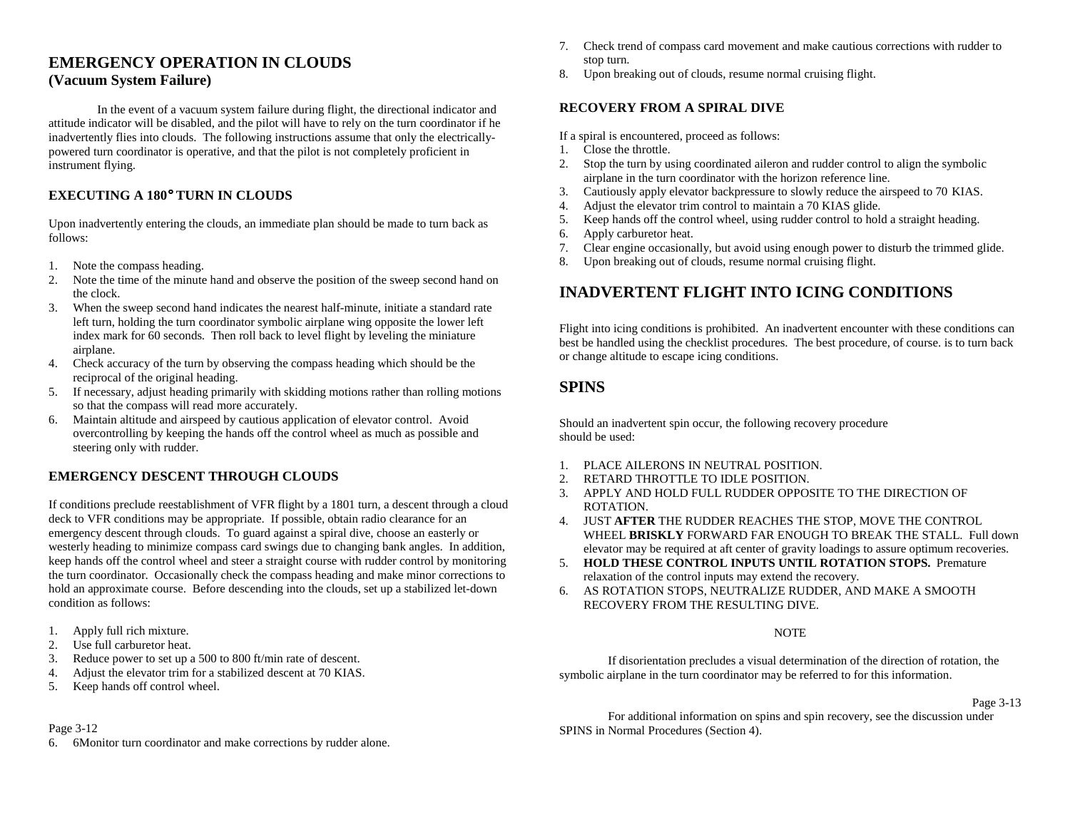# **EMERGENCY OPERATION IN CLOUDS(Vacuum System Failure)**

In the event of a vacuum system failure during flight, the directional indicator and attitude indicator will be disabled, and the pilot will have to rely on the turn coordinator if he inadvertently flies into clouds. The following instructions assume that only the electricallypowered turn coordinator is operative, and that the pilot is not completely proficient in instrument flying.

# **EXECUTING A 180**° **TURN IN CLOUDS**

Upon inadvertently entering the clouds, an immediate plan should be made to turn back as follows:

- 1. Note the compass heading.
- 2. Note the time of the minute hand and observe the position of the sweep second hand on the clock.
- 3. When the sweep second hand indicates the nearest half-minute, initiate a standard rate left turn, holding the turn coordinator symbolic airplane wing opposite the lower left index mark for 60 seconds. Then roll back to level flight by leveling the miniature airplane.
- 4. Check accuracy of the turn by observing the compass heading which should be the reciprocal of the original heading.
- 5. If necessary, adjust heading primarily with skidding motions rather than rolling motions so that the compass will read more accurately.
- 6. Maintain altitude and airspeed by cautious application of elevator control. Avoid overcontrolling by keeping the hands off the control wheel as much as possible and steering only with rudder.

### **EMERGENCY DESCENT THROUGH CLOUDS**

If conditions preclude reestablishment of VFR flight by a 1801 turn, a descent through a cloud deck to VFR conditions may be appropriate. If possible, obtain radio clearance for an emergency descent through clouds. To guard against a spiral dive, choose an easterly or westerly heading to minimize compass card swings due to changing bank angles. In addition, keep hands off the control wheel and steer a straight course with rudder control by monitoring the turn coordinator. Occasionally check the compass heading and make minor corrections to hold an approximate course. Before descending into the clouds, set up a stabilized let-down condition as follows:

- 1.Apply full rich mixture.
- 2.Use full carburetor heat.
- 3.Reduce power to set up a 500 to 800 ft/min rate of descent.
- 4.Adjust the elevator trim for a stabilized descent at 70 KIAS.
- 5. Keep hands off control wheel.

### Page 3-12

6. 6Monitor turn coordinator and make corrections by rudder alone.

- 7. Check trend of compass card movement and make cautious corrections with rudder to stop turn.
- 8. Upon breaking out of clouds, resume normal cruising flight.

# **RECOVERY FROM A SPIRAL DIVE**

If a spiral is encountered, proceed as follows:

- 1. Close the throttle.
- $2<sub>1</sub>$  Stop the turn by using coordinated aileron and rudder control to align the symbolic airplane in the turn coordinator with the horizon reference line.
- 3.Cautiously apply elevator backpressure to slowly reduce the airspeed to 70 KIAS.
- 4.Adjust the elevator trim control to maintain a 70 KIAS glide.
- 5.Keep hands off the control wheel, using rudder control to hold a straight heading.
- 6.Apply carburetor heat.
- 7.Clear engine occasionally, but avoid using enough power to disturb the trimmed glide.
- 8.Upon breaking out of clouds, resume normal cruising flight.

# **INADVERTENT FLIGHT INTO ICING CONDITIONS**

Flight into icing conditions is prohibited. An inadvertent encounter with these conditions can best be handled using the checklist procedures. The best procedure, of course. is to turn back or change altitude to escape icing conditions.

# **SPINS**

Should an inadvertent spin occur, the following recovery procedure should be used:

- 1. PLACE AILERONS IN NEUTRAL POSITION.
- 2. RETARD THROTTLE TO IDLE POSITION.
- 3. APPLY AND HOLD FULL RUDDER OPPOSITE TO THE DIRECTION OFROTATION.
- 4. JUST **AFTER** THE RUDDER REACHES THE STOP, MOVE THE CONTROL WHEEL **BRISKLY** FORWARD FAR ENOUGH TO BREAK THE STALL. Full downelevator may be required at aft center of gravity loadings to assure optimum recoveries.
- 5. **HOLD THESE CONTROL INPUTS UNTIL ROTATION STOPS.** Premature relaxation of the control inputs may extend the recovery.
- 6. AS ROTATION STOPS, NEUTRALIZE RUDDER, AND MAKE A SMOOTH RECOVERY FROM THE RESULTING DIVE.

### NOTE

If disorientation precludes a visual determination of the direction of rotation, the symbolic airplane in the turn coordinator may be referred to for this information.

#### Page 3-13

For additional information on spins and spin recovery, see the discussion under SPINS in Normal Procedures (Section 4).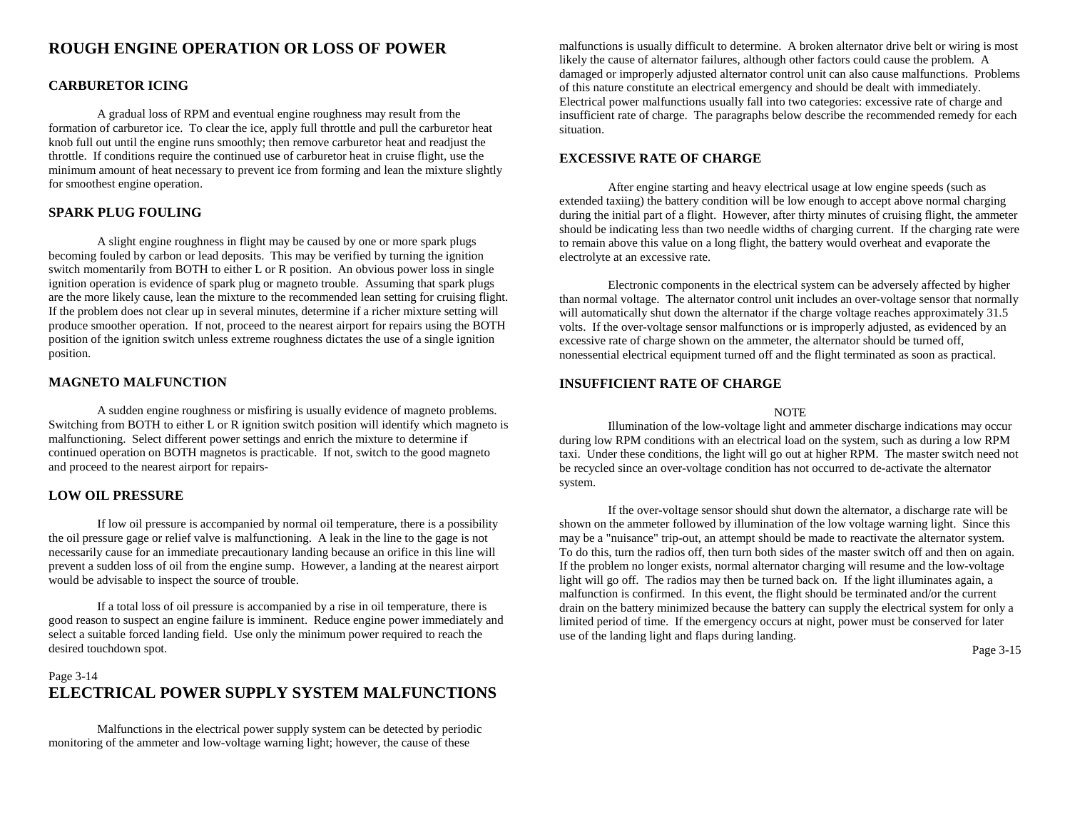# **ROUGH ENGINE OPERATION OR LOSS OF POWER**

#### **CARBURETOR ICING**

A gradual loss of RPM and eventual engine roughness may result from the formation of carburetor ice. To clear the ice, apply full throttle and pull the carburetor heat knob full out until the engine runs smoothly; then remove carburetor heat and readjust the throttle. If conditions require the continued use of carburetor heat in cruise flight, use the minimum amount of heat necessary to prevent ice from forming and lean the mixture slightly for smoothest engine operation.

#### **SPARK PLUG FOULING**

A slight engine roughness in flight may be caused by one or more spark plugs becoming fouled by carbon or lead deposits. This may be verified by turning the ignition switch momentarily from BOTH to either L or R position. An obvious power loss in single ignition operation is evidence of spark plug or magneto trouble. Assuming that spark plugs are the more likely cause, lean the mixture to the recommended lean setting for cruising flight. If the problem does not clear up in several minutes, determine if a richer mixture setting will produce smoother operation. If not, proceed to the nearest airport for repairs using the BOTH position of the ignition switch unless extreme roughness dictates the use of a single ignition position.

### **MAGNETO MALFUNCTION**

A sudden engine roughness or misfiring is usually evidence of magneto problems. Switching from BOTH to either L or R ignition switch position will identify which magneto is malfunctioning. Select different power settings and enrich the mixture to determine if continued operation on BOTH magnetos is practicable. If not, switch to the good magneto and proceed to the nearest airport for repairs-

#### **LOW OIL PRESSURE**

If low oil pressure is accompanied by normal oil temperature, there is a possibility the oil pressure gage or relief valve is malfunctioning. A leak in the line to the gage is not necessarily cause for an immediate precautionary landing because an orifice in this line will prevent a sudden loss of oil from the engine sump. However, a landing at the nearest airport would be advisable to inspect the source of trouble.

If a total loss of oil pressure is accompanied by a rise in oil temperature, there is good reason to suspect an engine failure is imminent. Reduce engine power immediately and select a suitable forced landing field. Use only the minimum power required to reach the desired touchdown spot.

# Page 3-14 **ELECTRICAL POWER SUPPLY SYSTEM MALFUNCTIONS**

Malfunctions in the electrical power supply system can be detected by periodic monitoring of the ammeter and low-voltage warning light; however, the cause of these

malfunctions is usually difficult to determine. A broken alternator drive belt or wiring is most likely the cause of alternator failures, although other factors could cause the problem. A damaged or improperly adjusted alternator control unit can also cause malfunctions. Problems of this nature constitute an electrical emergency and should be dealt with immediately. Electrical power malfunctions usually fall into two categories: excessive rate of charge and insufficient rate of charge. The paragraphs below describe the recommended remedy for each situation.

### **EXCESSIVE RATE OF CHARGE**

After engine starting and heavy electrical usage at low engine speeds (such as extended taxiing) the battery condition will be low enough to accept above normal charging during the initial part of a flight. However, after thirty minutes of cruising flight, the ammeter should be indicating less than two needle widths of charging current. If the charging rate were to remain above this value on a long flight, the battery would overheat and evaporate the electrolyte at an excessive rate.

Electronic components in the electrical system can be adversely affected by higher than normal voltage. The alternator control unit includes an over-voltage sensor that normally will automatically shut down the alternator if the charge voltage reaches approximately 31.5 volts. If the over-voltage sensor malfunctions or is improperly adjusted, as evidenced by an excessive rate of charge shown on the ammeter, the alternator should be turned off, nonessential electrical equipment turned off and the flight terminated as soon as practical.

#### **INSUFFICIENT RATE OF CHARGE**

#### NOTE

Illumination of the low-voltage light and ammeter discharge indications may occur during low RPM conditions with an electrical load on the system, such as during a low RPM taxi. Under these conditions, the light will go out at higher RPM. The master switch need not be recycled since an over-voltage condition has not occurred to de-activate the alternator system.

If the over-voltage sensor should shut down the alternator, a discharge rate will be shown on the ammeter followed by illumination of the low voltage warning light. Since this may be a "nuisance" trip-out, an attempt should be made to reactivate the alternator system. To do this, turn the radios off, then turn both sides of the master switch off and then on again. If the problem no longer exists, normal alternator charging will resume and the low-voltage light will go off. The radios may then be turned back on. If the light illuminates again, a malfunction is confirmed. In this event, the flight should be terminated and/or the current drain on the battery minimized because the battery can supply the electrical system for only a limited period of time. If the emergency occurs at night, power must be conserved for later use of the landing light and flaps during landing.

Page 3-15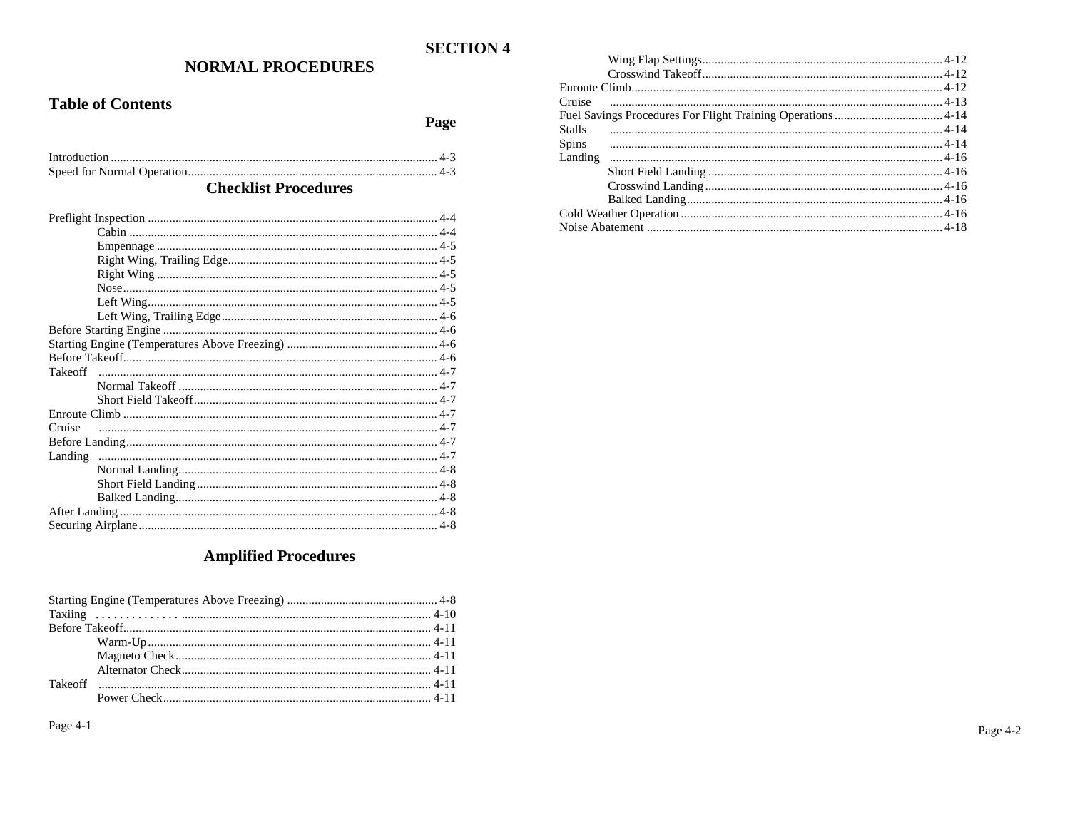# **SECTION 4**

# **NORMAL PROCEDURES**

# **Table of Contents**

# Page

# **Checklist Procedures**

| Takeoff |  |
|---------|--|
|         |  |
|         |  |
|         |  |
| Cruise  |  |
|         |  |
|         |  |
|         |  |
|         |  |
|         |  |
|         |  |
|         |  |
|         |  |

# **Amplified Procedures**

| <b>Stalls</b> |  |
|---------------|--|
| <b>Spins</b>  |  |
| Landing       |  |
|               |  |
|               |  |
|               |  |
|               |  |
|               |  |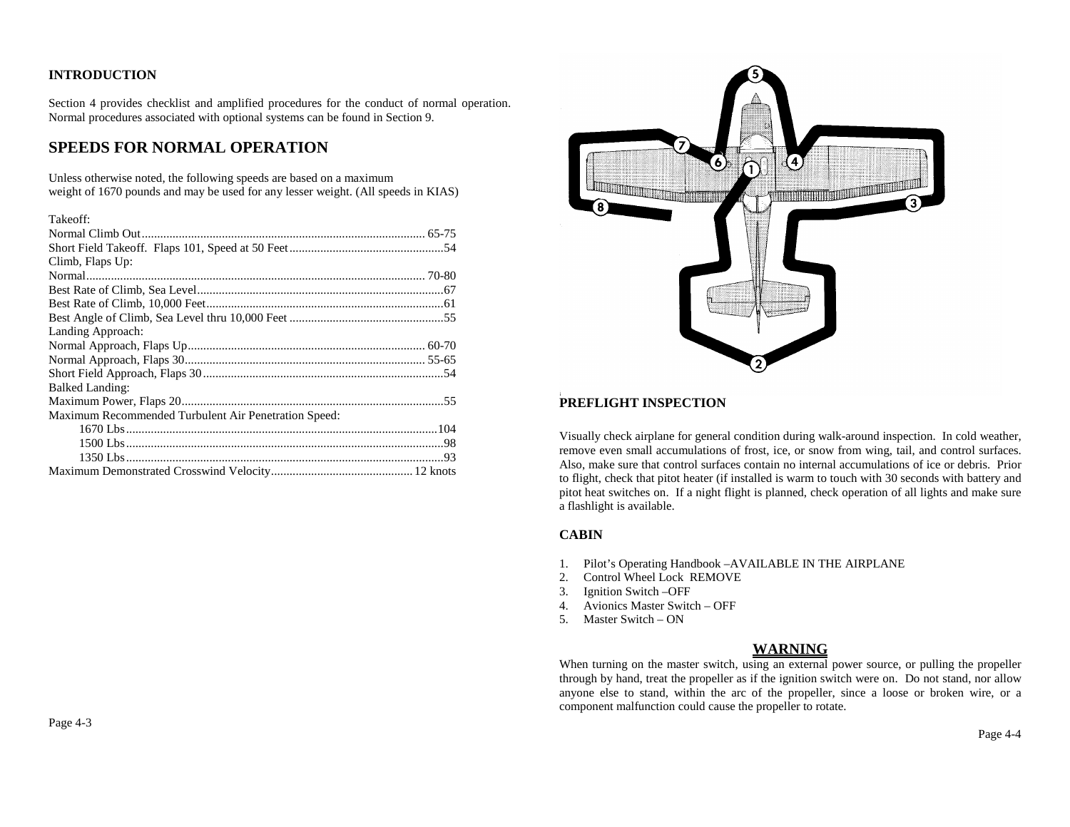### **INTRODUCTION**

Section 4 provides checklist and amplified procedures for the conduct of normal operation. Normal procedures associated with optional systems can be found in Section 9.

# **SPEEDS FOR NORMAL OPERATION**

Unless otherwise noted, the following speeds are based on a maximum weight of 1670 pounds and may be used for any lesser weight. (All speeds in KIAS)

| Takeoff:                                             |  |
|------------------------------------------------------|--|
|                                                      |  |
|                                                      |  |
| Climb, Flaps Up:                                     |  |
|                                                      |  |
|                                                      |  |
|                                                      |  |
|                                                      |  |
| Landing Approach:                                    |  |
|                                                      |  |
|                                                      |  |
|                                                      |  |
| <b>Balked Landing:</b>                               |  |
|                                                      |  |
| Maximum Recommended Turbulent Air Penetration Speed: |  |
|                                                      |  |
|                                                      |  |
|                                                      |  |
|                                                      |  |



# **PREFLIGHT INSPECTION**

Visually check airplane for general condition during walk-around inspection. In cold weather, remove even small accumulations of frost, ice, or snow from wing, tail, and control surfaces. Also, make sure that control surfaces contain no internal accumulations of ice or debris. Prior to flight, check that pitot heater (if installed is warm to touch with 30 seconds with battery and pitot heat switches on. If a night flight is planned, check operation of all lights and make sure a flashlight is available.

### **CABIN**

- 1. Pilot's Operating Handbook –AVAILABLE IN THE AIRPLANE
- 2. Control Wheel Lock REMOVE
- 3.Ignition Switch –OFF
- 4. Avionics Master Switch OFF
- 5. Master Switch ON

# **WARNING**

When turning on the master switch, using an external power source, or pulling the propeller through by hand, treat the propeller as if the ignition switch were on. Do not stand, nor allow anyone else to stand, within the arc of the propeller, since a loose or broken wire, or a component malfunction could cause the propeller to rotate.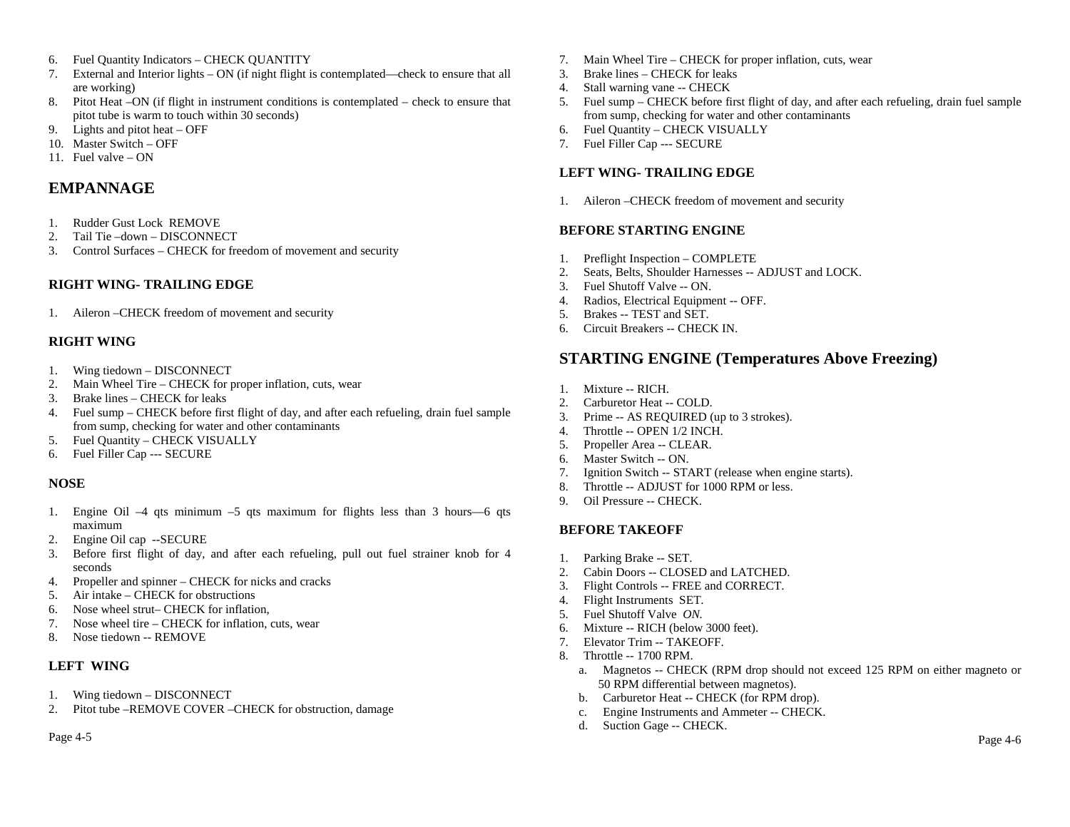- 6. Fuel Quantity Indicators CHECK QUANTITY
- 7. External and Interior lights ON (if night flight is contemplated—check to ensure that all are working)
- 8. Pitot Heat –ON (if flight in instrument conditions is contemplated check to ensure that pitot tube is warm to touch within 30 seconds)
- 9.Lights and pitot heat – OFF
- 10. Master Switch OFF
- 11. Fuel valve ON

# **EMPANNAGE**

- 1. Rudder Gust Lock REMOVE
- 2.Tail Tie –down – DISCONNECT
- 3. Control Surfaces CHECK for freedom of movement and security

# **RIGHT WING- TRAILING EDGE**

1. Aileron –CHECK freedom of movement and security

# **RIGHT WING**

- 1. Wing tiedown DISCONNECT
- 2.Main Wheel Tire – CHECK for proper inflation, cuts, wear
- 3.Brake lines – CHECK for leaks
- 4. Fuel sump CHECK before first flight of day, and after each refueling, drain fuel sample from sump, checking for water and other contaminants
- 5.Fuel Quantity – CHECK VISUALLY
- 6. Fuel Filler Cap --- SECURE

# **NOSE**

- 1. Engine Oil –4 qts minimum –5 qts maximum for flights less than 3 hours—6 qts maximum
- 2.Engine Oil cap --SECURE
- 3. Before first flight of day, and after each refueling, pull out fuel strainer knob for 4 seconds
- 4.Propeller and spinner – CHECK for nicks and cracks
- 5.Air intake – CHECK for obstructions
- 6. Nose wheel strut– CHECK for inflation,
- 7.Nose wheel tire – CHECK for inflation, cuts, wear
- 8. Nose tiedown -- REMOVE

# **LEFT WING**

- 1.Wing tiedown – DISCONNECT
- 2.Pitot tube –REMOVE COVER –CHECK for obstruction, damage
- 7. Main Wheel Tire CHECK for proper inflation, cuts, wear
- 3.Brake lines – CHECK for leaks
- 4.Stall warning vane -- CHECK
- 5. Fuel sump CHECK before first flight of day, and after each refueling, drain fuel sample from sump, checking for water and other contaminants
- 6.Fuel Quantity – CHECK VISUALLY
- 7. Fuel Filler Cap --- SECURE

# **LEFT WING- TRAILING EDGE**

1. Aileron –CHECK freedom of movement and security

# **BEFORE STARTING ENGINE**

- 1. Preflight Inspection COMPLETE
- 2.Seats, Belts, Shoulder Harnesses -- ADJUST and LOCK.
- 3.Fuel Shutoff Valve -- ON.
- 4. Radios, Electrical Equipment -- OFF.
- 5.Brakes -- TEST and SET.
- 6. Circuit Breakers -- CHECK IN.

# **STARTING ENGINE (Temperatures Above Freezing)**

- 1. Mixture -- RICH.
- 2.Carburetor Heat -- COLD.
- 3.Prime -- AS REQUIRED (up to 3 strokes).
- 4.Throttle -- OPEN 1/2 INCH.
- 5. Propeller Area -- CLEAR.
- 6.Master Switch -- ON.
- 7.Ignition Switch -- START (release when engine starts).
- 8.Throttle -- ADJUST for 1000 RPM or less.
- 9. Oil Pressure -- CHECK.

# **BEFORE TAKEOFF**

- 1.Parking Brake -- SET.
- 2.Cabin Doors -- CLOSED and LATCHED.
- 3.Flight Controls -- FREE and CORRECT.
- 4. Flight Instruments SET.
- 5. Fuel Shutoff Valve *ON.*
- 6. Mixture -- RICH (below 3000 feet).
- 7. Elevator Trim -- TAKEOFF.
- 8. Throttle -- 1700 RPM.
	- a. Magnetos -- CHECK (RPM drop should not exceed 125 RPM on either magneto or 50 RPM differential between magnetos).
	- b. Carburetor Heat -- CHECK (for RPM drop).
	- c.Engine Instruments and Ammeter -- CHECK.
	- d.Suction Gage -- CHECK.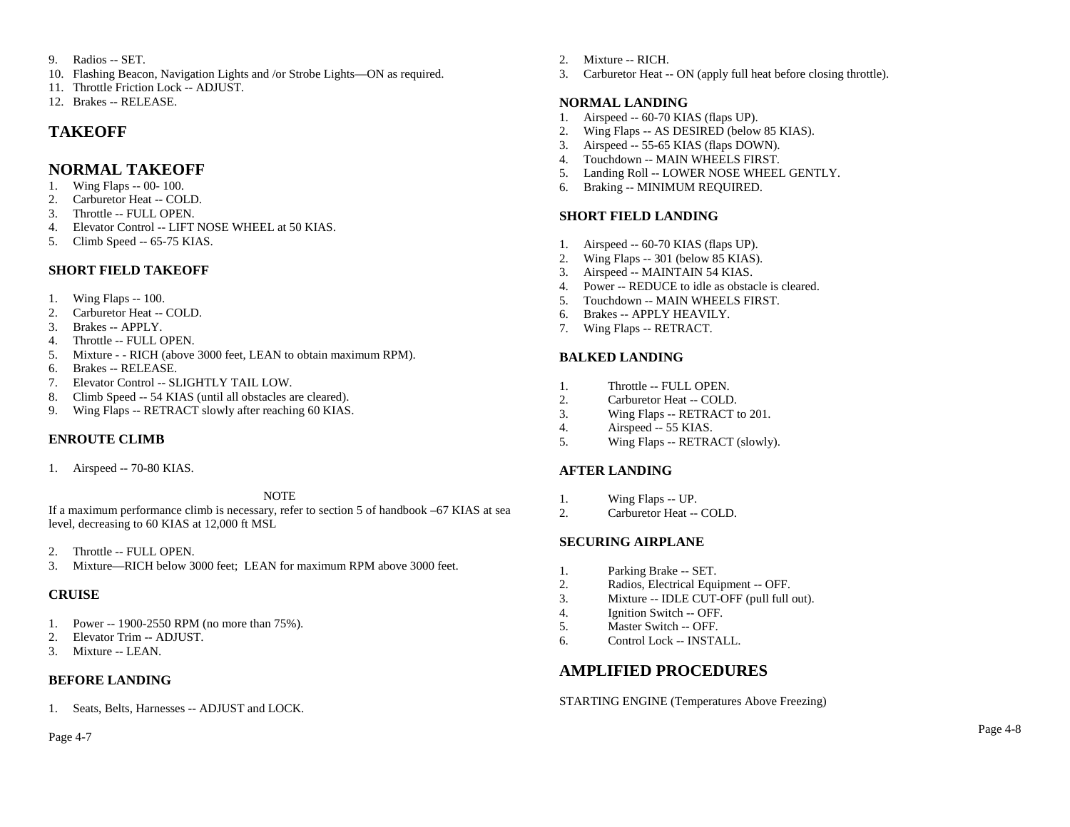- 9. Radios -- SET.
- 10. Flashing Beacon, Navigation Lights and /or Strobe Lights—ON as required.
- 11. Throttle Friction Lock -- ADJUST.
- 12. Brakes -- RELEASE.

# **TAKEOFF**

# **NORMAL TAKEOFF**

- 1.Wing Flaps -- 00- 100.
- 2.Carburetor Heat -- COLD.
- 3.Throttle -- FULL OPEN.
- 4.Elevator Control -- LIFT NOSE WHEEL at 50 KIAS.
- 5. Climb Speed -- 65-75 KIAS.

### **SHORT FIELD TAKEOFF**

- 1.Wing Flaps -- 100.
- 2.Carburetor Heat -- COLD.
- 3.Brakes -- APPLY.
- 4.Throttle -- FULL OPEN.
- 5.Mixture - - RICH (above 3000 feet, LEAN to obtain maximum RPM).
- 6.Brakes -- RELEASE.
- 7.Elevator Control -- SLIGHTLY TAIL LOW.
- 8.Climb Speed -- 54 KIAS (until all obstacles are cleared).
- 9. Wing Flaps -- RETRACT slowly after reaching 60 KIAS.

### **ENROUTE CLIMB**

1. Airspeed -- 70-80 KIAS.

#### **NOTE**

If a maximum performance climb is necessary, refer to section 5 of handbook –67 KIAS at sea level, decreasing to 60 KIAS at 12,000 ft MSL

- 2.Throttle -- FULL OPEN.
- 3. Mixture—RICH below 3000 feet; LEAN for maximum RPM above 3000 feet.

### **CRUISE**

- 1. Power -- 1900-2550 RPM (no more than 75%).
- 2. Elevator Trim -- ADJUST.
- 3. Mixture -- LEAN.

### **BEFORE LANDING**

1. Seats, Belts, Harnesses -- ADJUST and LOCK.

- 2. Mixture -- RICH.
- 3. Carburetor Heat -- ON (apply full heat before closing throttle).

### **NORMAL LANDING**

- 1.Airspeed -- 60-70 KIAS (flaps UP).
- 2.Wing Flaps -- AS DESIRED (below 85 KIAS).
- 3. Airspeed -- 55-65 KIAS (flaps DOWN).
- 4. Touchdown -- MAIN WHEELS FIRST.
- 5. Landing Roll -- LOWER NOSE WHEEL GENTLY.
- 6. Braking -- MINIMUM REQUIRED.

### **SHORT FIELD LANDING**

- 1. Airspeed -- 60-70 KIAS (flaps UP).
- 2. Wing Flaps -- 301 (below 85 KIAS).
- 3. Airspeed -- MAINTAIN 54 KIAS.
- 4. Power -- REDUCE to idle as obstacle is cleared.
- 5. Touchdown -- MAIN WHEELS FIRST.
- 6. Brakes -- APPLY HEAVILY.
- 7. Wing Flaps -- RETRACT.

### **BALKED LANDING**

- 1.Throttle -- FULL OPEN.
- 2.Carburetor Heat -- COLD.
- 3.Wing Flaps -- RETRACT to 201.
- 4.Airspeed -- 55 KIAS.
- 5.Wing Flaps -- RETRACT (slowly).

### **AFTER LANDING**

- 1.Wing Flaps -- UP.
- $2<sub>1</sub>$ Carburetor Heat -- COLD.

### **SECURING AIRPLANE**

- 1.Parking Brake -- SET.
- 2.Radios, Electrical Equipment -- OFF.
- 3.Mixture -- IDLE CUT-OFF (pull full out).
- 4.Ignition Switch -- OFF.
- 5.Master Switch -- OFF.
- 6.Control Lock -- INSTALL.

# **AMPLIFIED PROCEDURES**

STARTING ENGINE (Temperatures Above Freezing)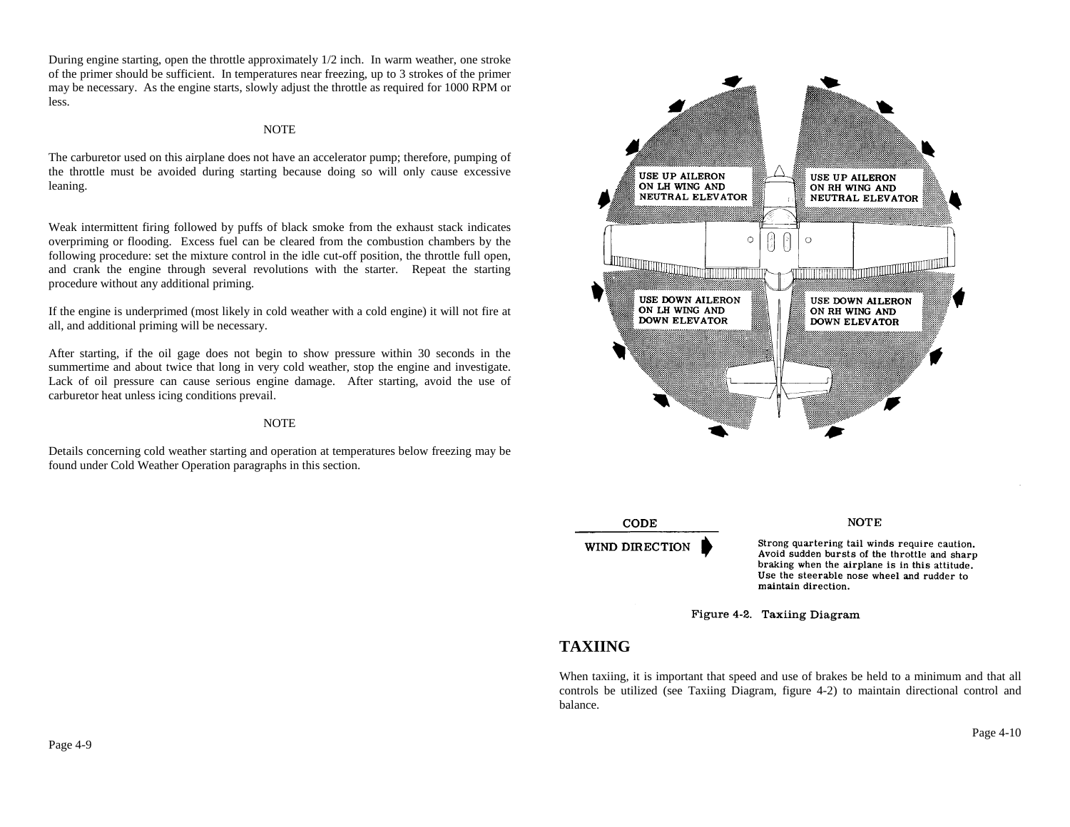During engine starting, open the throttle approximately 1/2 inch. In warm weather, one stroke of the primer should be sufficient. In temperatures near freezing, up to 3 strokes of the primer may be necessary. As the engine starts, slowly adjust the throttle as required for 1000 RPM or less.

#### NOTE

The carburetor used on this airplane does not have an accelerator pump; therefore, pumping of the throttle must be avoided during starting because doing so will only cause excessive leaning.

Weak intermittent firing followed by puffs of black smoke from the exhaust stack indicates overpriming or flooding. Excess fuel can be cleared from the combustion chambers by the following procedure: set the mixture control in the idle cut-off position, the throttle full open, and crank the engine through several revolutions with the starter. Repeat the starting procedure without any additional priming.

If the engine is underprimed (most likely in cold weather with a cold engine) it will not fire at all, and additional priming will be necessary.

After starting, if the oil gage does not begin to show pressure within 30 seconds in the summertime and about twice that long in very cold weather, stop the engine and investigate. Lack of oil pressure can cause serious engine damage. After starting, avoid the use of carburetor heat unless icing conditions prevail.

#### NOTE

Details concerning cold weather starting and operation at temperatures below freezing may be found under Cold Weather Operation paragraphs in this section.



# **TAXIING**

When taxiing, it is important that speed and use of brakes be held to a minimum and that all controls be utilized (see Taxiing Diagram, figure 4-2) to maintain directional control and balance.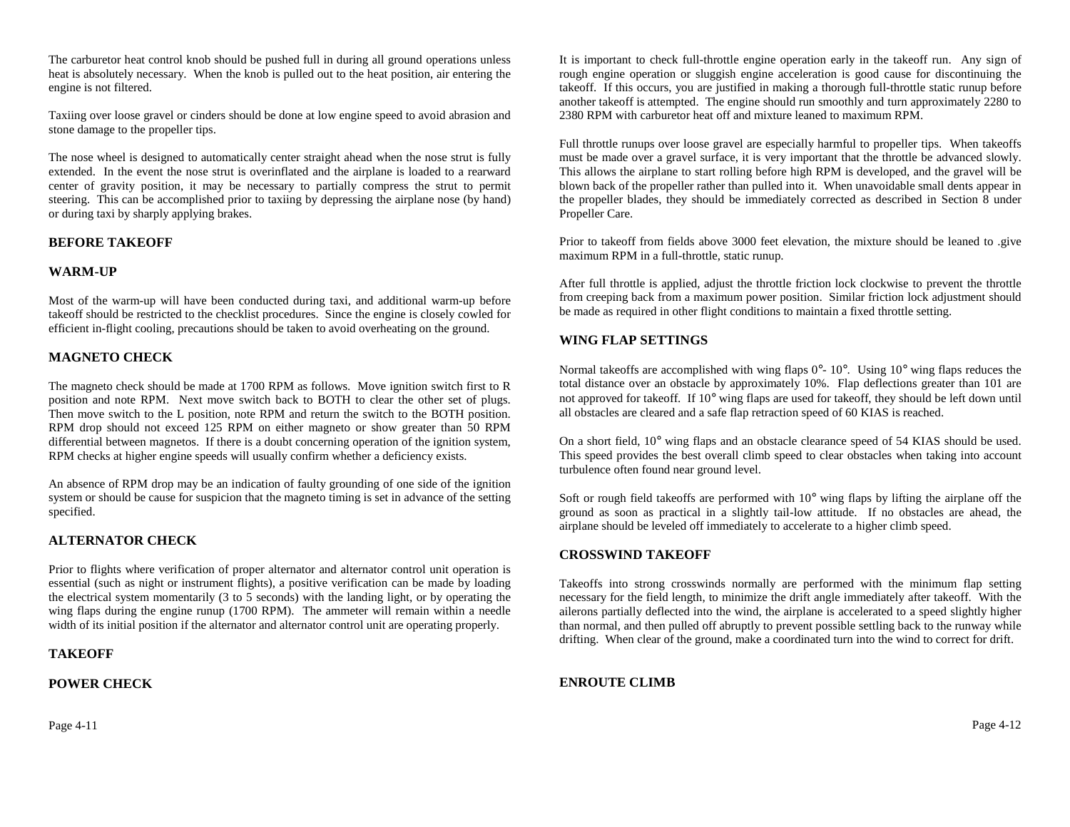The carburetor heat control knob should be pushed full in during all ground operations unless heat is absolutely necessary. When the knob is pulled out to the heat position, air entering the engine is not filtered.

Taxiing over loose gravel or cinders should be done at low engine speed to avoid abrasion and stone damage to the propeller tips.

The nose wheel is designed to automatically center straight ahead when the nose strut is fully extended. In the event the nose strut is overinflated and the airplane is loaded to a rearward center of gravity position, it may be necessary to partially compress the strut to permit steering. This can be accomplished prior to taxiing by depressing the airplane nose (by hand) or during taxi by sharply applying brakes.

### **BEFORE TAKEOFF**

### **WARM-UP**

Most of the warm-up will have been conducted during taxi, and additional warm-up before takeoff should be restricted to the checklist procedures. Since the engine is closely cowled for efficient in-flight cooling, precautions should be taken to avoid overheating on the ground.

### **MAGNETO CHECK**

The magneto check should be made at 1700 RPM as follows. Move ignition switch first to R position and note RPM. Next move switch back to BOTH to clear the other set of plugs. Then move switch to the L position, note RPM and return the switch to the BOTH position. RPM drop should not exceed 125 RPM on either magneto or show greater than 50 RPM differential between magnetos. If there is a doubt concerning operation of the ignition system, RPM checks at higher engine speeds will usually confirm whether a deficiency exists.

An absence of RPM drop may be an indication of faulty grounding of one side of the ignition system or should be cause for suspicion that the magneto timing is set in advance of the setting specified.

### **ALTERNATOR CHECK**

Prior to flights where verification of proper alternator and alternator control unit operation is essential (such as night or instrument flights), a positive verification can be made by loading the electrical system momentarily (3 to 5 seconds) with the landing light, or by operating the wing flaps during the engine runup (1700 RPM). The ammeter will remain within a needle width of its initial position if the alternator and alternator control unit are operating properly.

### **TAKEOFF**

### **POWER CHECK**

It is important to check full-throttle engine operation early in the takeoff run. Any sign of rough engine operation or sluggish engine acceleration is good cause for discontinuing the takeoff. If this occurs, you are justified in making a thorough full-throttle static runup before another takeoff is attempted. The engine should run smoothly and turn approximately 2280 to 2380 RPM with carburetor heat off and mixture leaned to maximum RPM.

Full throttle runups over loose gravel are especially harmful to propeller tips. When takeoffs must be made over a gravel surface, it is very important that the throttle be advanced slowly. This allows the airplane to start rolling before high RPM is developed, and the gravel will be blown back of the propeller rather than pulled into it. When unavoidable small dents appear in the propeller blades, they should be immediately corrected as described in Section 8 under Propeller Care.

Prior to takeoff from fields above 3000 feet elevation, the mixture should be leaned to .give maximum RPM in a full-throttle, static runup.

After full throttle is applied, adjust the throttle friction lock clockwise to prevent the throttle from creeping back from a maximum power position. Similar friction lock adjustment should be made as required in other flight conditions to maintain a fixed throttle setting.

### **WING FLAP SETTINGS**

Normal takeoffs are accomplished with wing flaps  $0^{\circ}$ -  $10^{\circ}$ . Using  $10^{\circ}$  wing flaps reduces the total distance over an obstacle by approximately 10%. Flap deflections greater than 101 are not approved for takeoff. If 10° wing flaps are used for takeoff, they should be left down until all obstacles are cleared and a safe flap retraction speed of 60 KIAS is reached.

On a short field, 10° wing flaps and an obstacle clearance speed of 54 KIAS should be used. This speed provides the best overall climb speed to clear obstacles when taking into account turbulence often found near ground level.

Soft or rough field takeoffs are performed with 10° wing flaps by lifting the airplane off the ground as soon as practical in a slightly tail-low attitude. If no obstacles are ahead, the airplane should be leveled off immediately to accelerate to a higher climb speed.

### **CROSSWIND TAKEOFF**

Takeoffs into strong crosswinds normally are performed with the minimum flap setting necessary for the field length, to minimize the drift angle immediately after takeoff. With the ailerons partially deflected into the wind, the airplane is accelerated to a speed slightly higher than normal, and then pulled off abruptly to prevent possible settling back to the runway while drifting. When clear of the ground, make a coordinated turn into the wind to correct for drift.

### **ENROUTE CLIMB**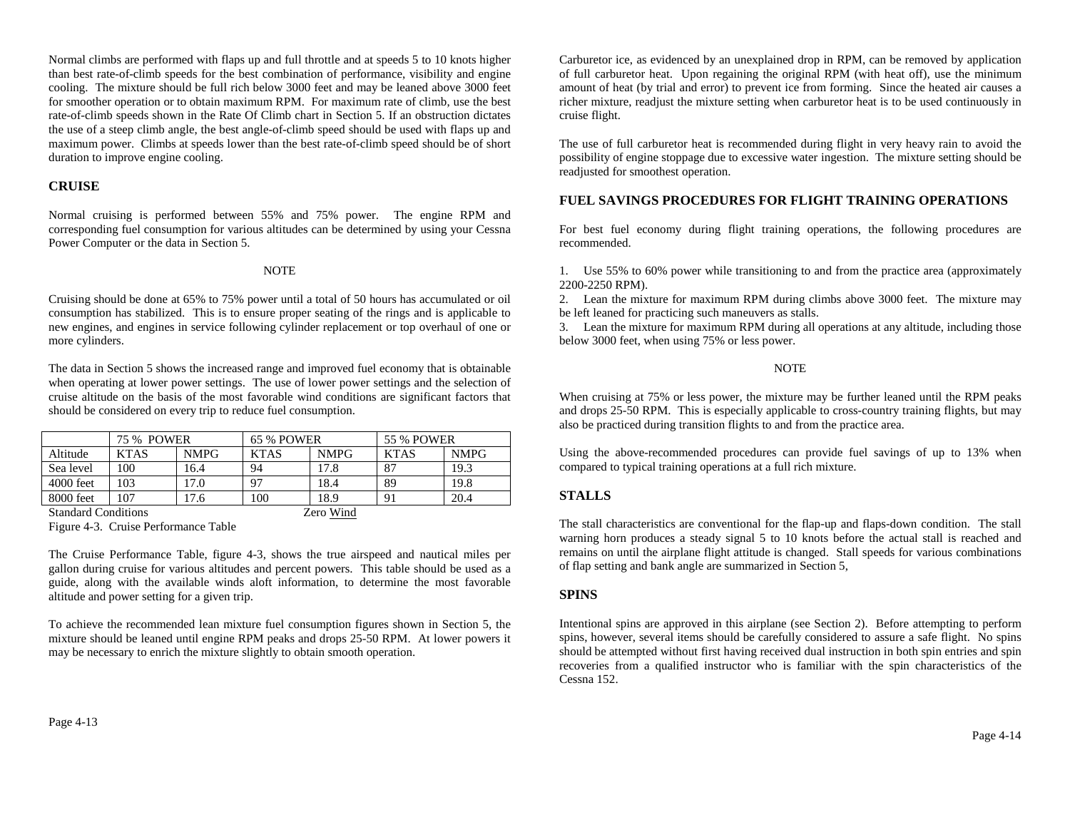Normal climbs are performed with flaps up and full throttle and at speeds 5 to 10 knots higher than best rate-of-climb speeds for the best combination of performance, visibility and engine cooling. The mixture should be full rich below 3000 feet and may be leaned above 3000 feet for smoother operation or to obtain maximum RPM. For maximum rate of climb, use the best rate-of-climb speeds shown in the Rate Of Climb chart in Section 5. If an obstruction dictates the use of a steep climb angle, the best angle-of-climb speed should be used with flaps up and maximum power. Climbs at speeds lower than the best rate-of-climb speed should be of short duration to improve engine cooling.

### **CRUISE**

Normal cruising is performed between 55% and 75% power. The engine RPM and corresponding fuel consumption for various altitudes can be determined by using your Cessna Power Computer or the data in Section 5.

#### NOTE

Cruising should be done at 65% to 75% power until a total of 50 hours has accumulated or oil consumption has stabilized. This is to ensure proper seating of the rings and is applicable to new engines, and engines in service following cylinder replacement or top overhaul of one or more cylinders.

The data in Section 5 shows the increased range and improved fuel economy that is obtainable when operating at lower power settings. The use of lower power settings and the selection of cruise altitude on the basis of the most favorable wind conditions are significant factors that should be considered on every trip to reduce fuel consumption.

|             | <b>75 % POWER</b>                       |             | <b>65 % POWER</b> |             | <b>55 % POWER</b> |             |
|-------------|-----------------------------------------|-------------|-------------------|-------------|-------------------|-------------|
| Altitude    | <b>KTAS</b>                             | <b>NMPG</b> | <b>KTAS</b>       | <b>NMPG</b> | <b>KTAS</b>       | <b>NMPG</b> |
| Sea level   | 100                                     | 16.4        | 94                | 17.8        | 87                | 19.3        |
| $4000$ feet | 103                                     | 17.0        | 97                | 18.4        | 89                | 19.8        |
| 8000 feet   | 107                                     | 17.6        | 100               | 18.9        | 91                | 20.4        |
|             | <b>Standard Conditions</b><br>Zero Wind |             |                   |             |                   |             |

**Standard Conditions** 

Figure 4-3. Cruise Performance Table

The Cruise Performance Table, figure 4-3, shows the true airspeed and nautical miles per gallon during cruise for various altitudes and percent powers. This table should be used as a guide, along with the available winds aloft information, to determine the most favorable altitude and power setting for a given trip.

To achieve the recommended lean mixture fuel consumption figures shown in Section 5, the mixture should be leaned until engine RPM peaks and drops 25-50 RPM. At lower powers it may be necessary to enrich the mixture slightly to obtain smooth operation.

Page 4-13

Carburetor ice, as evidenced by an unexplained drop in RPM, can be removed by application of full carburetor heat. Upon regaining the original RPM (with heat off), use the minimum amount of heat (by trial and error) to prevent ice from forming. Since the heated air causes a richer mixture, readjust the mixture setting when carburetor heat is to be used continuously in cruise flight.

The use of full carburetor heat is recommended during flight in very heavy rain to avoid the possibility of engine stoppage due to excessive water ingestion. The mixture setting should be readjusted for smoothest operation.

### **FUEL SAVINGS PROCEDURES FOR FLIGHT TRAINING OPERATIONS**

For best fuel economy during flight training operations, the following procedures are recommended.

1. Use 55% to 60% power while transitioning to and from the practice area (approximately 2200-2250 RPM).

2. Lean the mixture for maximum RPM during climbs above 3000 feet. The mixture may be left leaned for practicing such maneuvers as stalls.

3. Lean the mixture for maximum RPM during all operations at any altitude, including those below 3000 feet, when using 75% or less power.

#### NOTE

When cruising at 75% or less power, the mixture may be further leaned until the RPM peaks and drops 25-50 RPM. This is especially applicable to cross-country training flights, but may also be practiced during transition flights to and from the practice area.

Using the above-recommended procedures can provide fuel savings of up to 13% when compared to typical training operations at a full rich mixture.

### **STALLS**

The stall characteristics are conventional for the flap-up and flaps-down condition. The stall warning horn produces a steady signal 5 to 10 knots before the actual stall is reached and remains on until the airplane flight attitude is changed. Stall speeds for various combinations of flap setting and bank angle are summarized in Section 5,

### **SPINS**

Intentional spins are approved in this airplane (see Section 2). Before attempting to perform spins, however, several items should be carefully considered to assure a safe flight. No spins should be attempted without first having received dual instruction in both spin entries and spin recoveries from a qualified instructor who is familiar with the spin characteristics of the Cessna 152.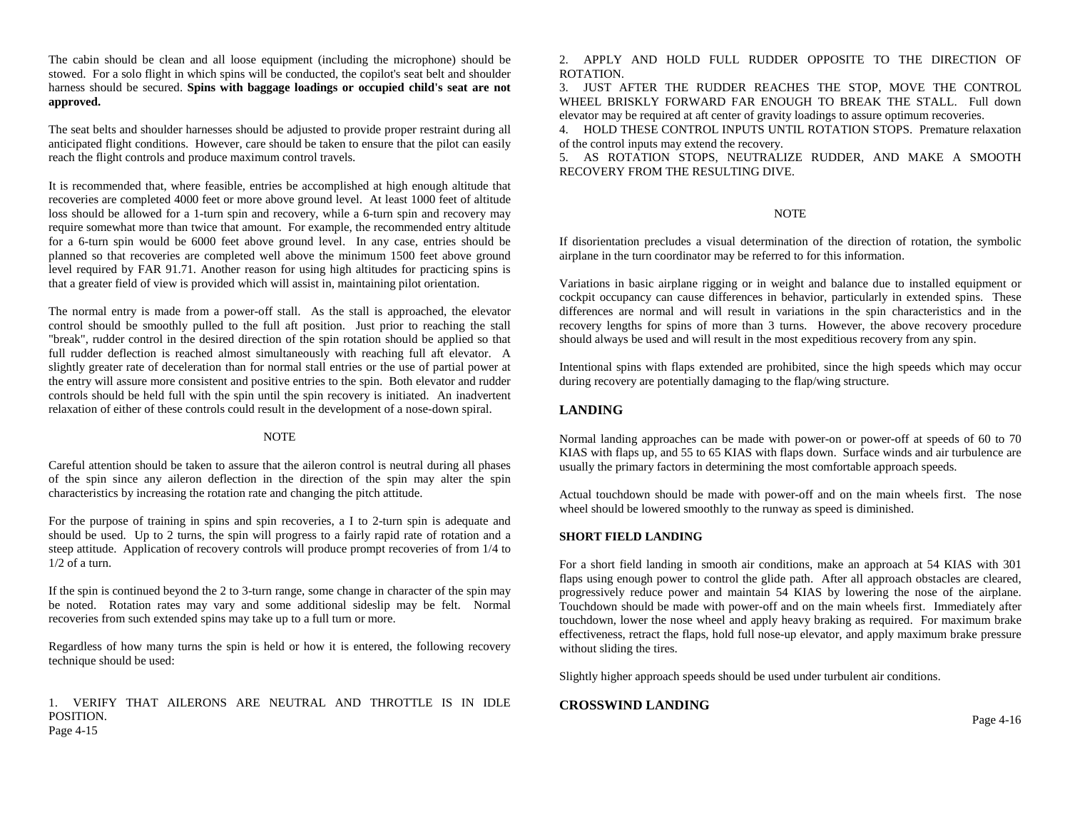The cabin should be clean and all loose equipment (including the microphone) should be stowed. For a solo flight in which spins will be conducted, the copilot's seat belt and shoulder harness should be secured. **Spins with baggage loadings or occupied child's seat are not approved.**

The seat belts and shoulder harnesses should be adjusted to provide proper restraint during all anticipated flight conditions. However, care should be taken to ensure that the pilot can easily reach the flight controls and produce maximum control travels.

It is recommended that, where feasible, entries be accomplished at high enough altitude that recoveries are completed 4000 feet or more above ground level. At least 1000 feet of altitude loss should be allowed for a 1-turn spin and recovery, while a 6-turn spin and recovery may require somewhat more than twice that amount. For example, the recommended entry altitude for a 6-turn spin would be 6000 feet above ground level. In any case, entries should be planned so that recoveries are completed well above the minimum 1500 feet above ground level required by FAR 91.71. Another reason for using high altitudes for practicing spins is that a greater field of view is provided which will assist in, maintaining pilot orientation.

The normal entry is made from a power-off stall. As the stall is approached, the elevator control should be smoothly pulled to the full aft position. Just prior to reaching the stall "break", rudder control in the desired direction of the spin rotation should be applied so that full rudder deflection is reached almost simultaneously with reaching full aft elevator. A slightly greater rate of deceleration than for normal stall entries or the use of partial power at the entry will assure more consistent and positive entries to the spin. Both elevator and rudder controls should be held full with the spin until the spin recovery is initiated. An inadvertent relaxation of either of these controls could result in the development of a nose-down spiral.

#### NOTE

Careful attention should be taken to assure that the aileron control is neutral during all phases of the spin since any aileron deflection in the direction of the spin may alter the spin characteristics by increasing the rotation rate and changing the pitch attitude.

For the purpose of training in spins and spin recoveries, a I to 2-turn spin is adequate and should be used. Up to 2 turns, the spin will progress to a fairly rapid rate of rotation and a steep attitude. Application of recovery controls will produce prompt recoveries of from 1/4 to 1/2 of a turn.

If the spin is continued beyond the 2 to 3-turn range, some change in character of the spin may be noted. Rotation rates may vary and some additional sideslip may be felt. Normal recoveries from such extended spins may take up to a full turn or more.

Regardless of how many turns the spin is held or how it is entered, the following recovery technique should be used:

1. VERIFY THAT AILERONS ARE NEUTRAL AND THROTTLE IS IN IDLE POSITION.Page 4-15

2. APPLY AND HOLD FULL RUDDER OPPOSITE TO THE DIRECTION OFROTATION.

3. JUST AFTER THE RUDDER REACHES THE STOP, MOVE THE CONTROL WHEEL BRISKLY FORWARD FAR ENOUGH TO BREAK THE STALL. Full downelevator may be required at aft center of gravity loadings to assure optimum recoveries.

4. HOLD THESE CONTROL INPUTS UNTIL ROTATION STOPS. Premature relaxation of the control inputs may extend the recovery.

5. AS ROTATION STOPS, NEUTRALIZE RUDDER, AND MAKE A SMOOTH RECOVERY FROM THE RESULTING DIVE.

#### NOTE

If disorientation precludes a visual determination of the direction of rotation, the symbolic airplane in the turn coordinator may be referred to for this information.

Variations in basic airplane rigging or in weight and balance due to installed equipment or cockpit occupancy can cause differences in behavior, particularly in extended spins. These differences are normal and will result in variations in the spin characteristics and in the recovery lengths for spins of more than 3 turns. However, the above recovery procedure should always be used and will result in the most expeditious recovery from any spin.

Intentional spins with flaps extended are prohibited, since the high speeds which may occur during recovery are potentially damaging to the flap/wing structure.

#### **LANDING**

Normal landing approaches can be made with power-on or power-off at speeds of 60 to 70 KIAS with flaps up, and 55 to 65 KIAS with flaps down. Surface winds and air turbulence are usually the primary factors in determining the most comfortable approach speeds.

Actual touchdown should be made with power-off and on the main wheels first. The nose wheel should be lowered smoothly to the runway as speed is diminished.

#### **SHORT FIELD LANDING**

For a short field landing in smooth air conditions, make an approach at 54 KIAS with 301 flaps using enough power to control the glide path. After all approach obstacles are cleared, progressively reduce power and maintain 54 KIAS by lowering the nose of the airplane. Touchdown should be made with power-off and on the main wheels first. Immediately after touchdown, lower the nose wheel and apply heavy braking as required. For maximum brake effectiveness, retract the flaps, hold full nose-up elevator, and apply maximum brake pressure without sliding the tires.

Slightly higher approach speeds should be used under turbulent air conditions.

#### **CROSSWIND LANDING**

Page 4-16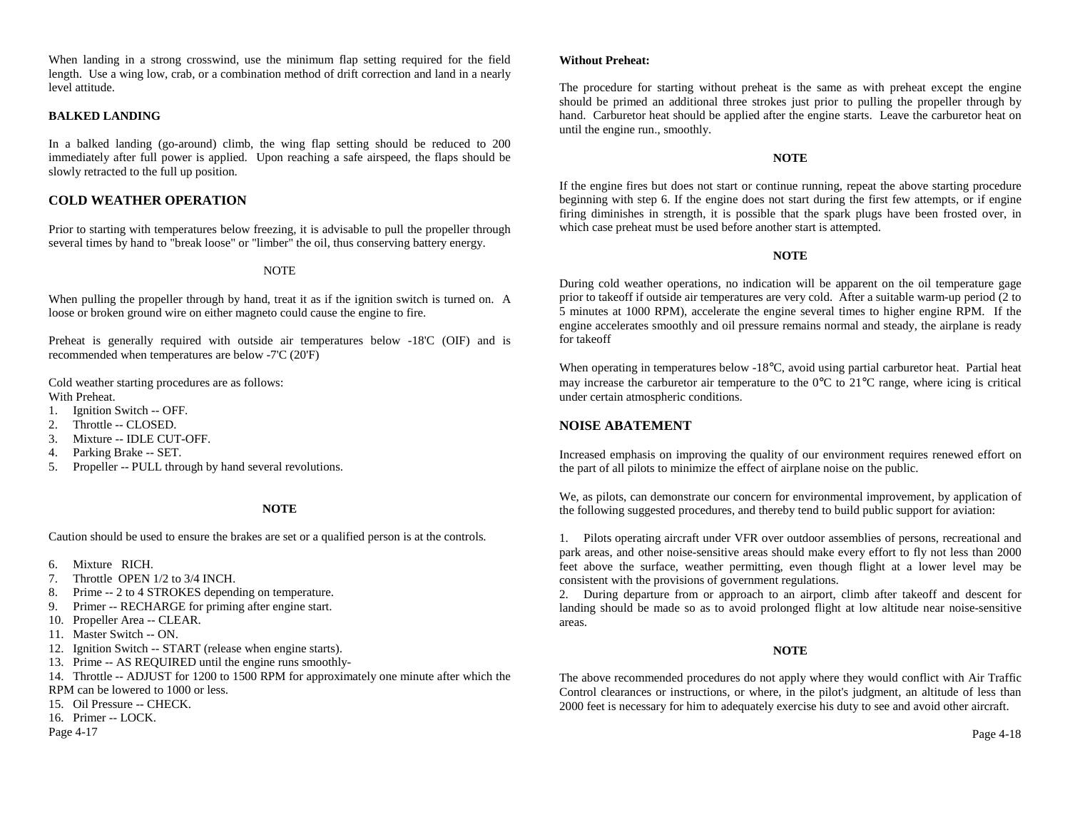When landing in a strong crosswind, use the minimum flap setting required for the field length. Use a wing low, crab, or a combination method of drift correction and land in a nearly level attitude.

#### **BALKED LANDING**

In a balked landing (go-around) climb, the wing flap setting should be reduced to 200 immediately after full power is applied. Upon reaching a safe airspeed, the flaps should be slowly retracted to the full up position.

#### **COLD WEATHER OPERATION**

Prior to starting with temperatures below freezing, it is advisable to pull the propeller through several times by hand to "break loose" or "limber" the oil, thus conserving battery energy.

#### NOTE

When pulling the propeller through by hand, treat it as if the ignition switch is turned on. A loose or broken ground wire on either magneto could cause the engine to fire.

Preheat is generally required with outside air temperatures below -18'C (OIF) and is recommended when temperatures are below -7'C (20'F)

Cold weather starting procedures are as follows: With Preheat.

- 1.Ignition Switch -- OFF.
- 2.Throttle -- CLOSED.
- 3.Mixture -- IDLE CUT-OFF.
- 4.Parking Brake -- SET.
- 5. Propeller -- PULL through by hand several revolutions.

#### **NOTE**

Caution should be used to ensure the brakes are set or a qualified person is at the controls.

- 6.Mixture RICH.
- 7.Throttle OPEN 1/2 to 3/4 INCH.
- 8.Prime -- 2 to 4 STROKES depending on temperature.
- 9. Primer -- RECHARGE for priming after engine start.
- 10. Propeller Area -- CLEAR.
- 11. Master Switch -- ON.
- 12. Ignition Switch -- START (release when engine starts).
- 13. Prime -- AS REQUIRED until the engine runs smoothly-
- 14. Throttle -- ADJUST for 1200 to 1500 RPM for approximately one minute after which the RPM can be lowered to 1000 or less.
- 15. Oil Pressure -- CHECK.
- 16. Primer -- LOCK.
- Page 4-17

#### **Without Preheat:**

The procedure for starting without preheat is the same as with preheat except the engine should be primed an additional three strokes just prior to pulling the propeller through by hand. Carburetor heat should be applied after the engine starts. Leave the carburetor heat on until the engine run., smoothly.

#### **NOTE**

If the engine fires but does not start or continue running, repeat the above starting procedure beginning with step 6. If the engine does not start during the first few attempts, or if engine firing diminishes in strength, it is possible that the spark plugs have been frosted over, in which case preheat must be used before another start is attempted.

#### **NOTE**

During cold weather operations, no indication will be apparent on the oil temperature gage prior to takeoff if outside air temperatures are very cold. After a suitable warm-up period (2 to 5 minutes at 1000 RPM), accelerate the engine several times to higher engine RPM. If the engine accelerates smoothly and oil pressure remains normal and steady, the airplane is ready for takeoff

When operating in temperatures below -18<sup>o</sup>C, avoid using partial carburetor heat. Partial heat may increase the carburetor air temperature to the  $0^{\circ}C$  to  $21^{\circ}C$  range, where icing is critical under certain atmospheric conditions.

### **NOISE ABATEMENT**

Increased emphasis on improving the quality of our environment requires renewed effort on the part of all pilots to minimize the effect of airplane noise on the public.

We, as pilots, can demonstrate our concern for environmental improvement, by application of the following suggested procedures, and thereby tend to build public support for aviation:

1. Pilots operating aircraft under VFR over outdoor assemblies of persons, recreational and park areas, and other noise-sensitive areas should make every effort to fly not less than 2000 feet above the surface, weather permitting, even though flight at a lower level may be consistent with the provisions of government regulations.

2. During departure from or approach to an airport, climb after takeoff and descent for landing should be made so as to avoid prolonged flight at low altitude near noise-sensitive areas.

#### **NOTE**

The above recommended procedures do not apply where they would conflict with Air Traffic Control clearances or instructions, or where, in the pilot's judgment, an altitude of less than 2000 feet is necessary for him to adequately exercise his duty to see and avoid other aircraft.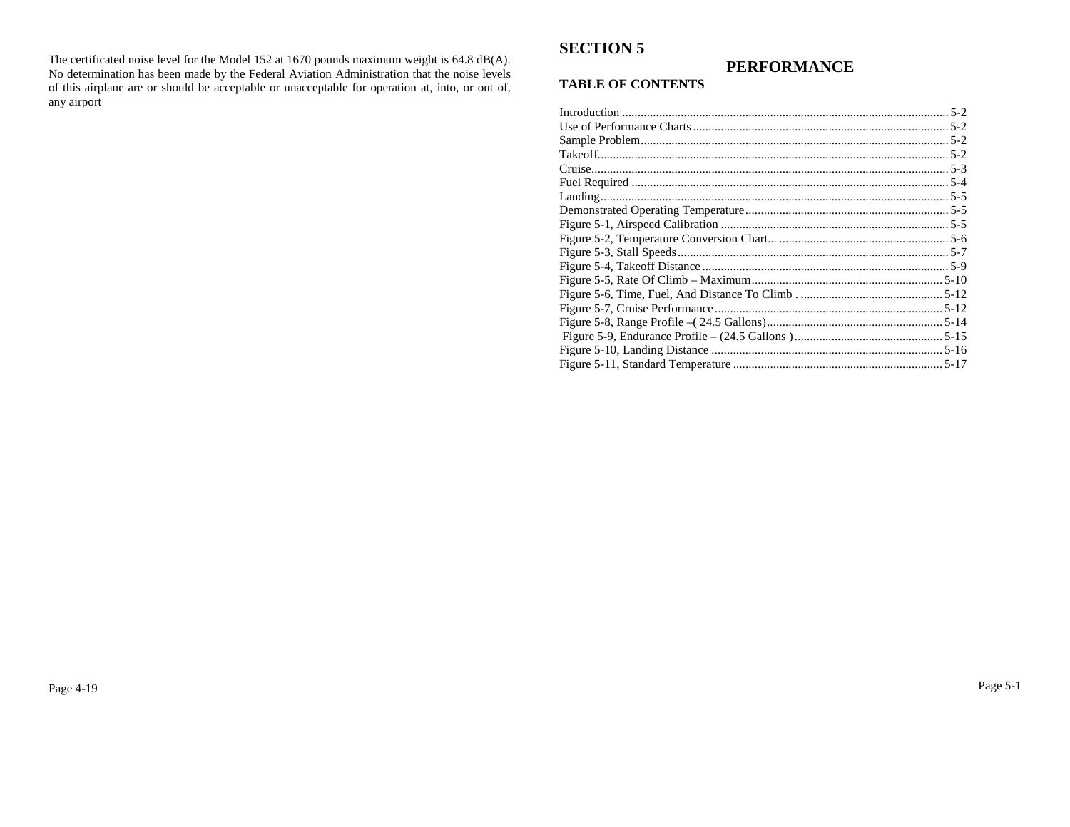The certificated noise level for the Model 152 at 1670 pounds maximum weight is 64.8 dB(A). No determination has been made by the Federal Aviation Administration that the noise levels of this airplane are or should be acceptable or unacceptable for operation at, into, or out of, any airport

# **SECTION 5**

# **PERFORMANCE**

### **TABLE OF CONTENTS**

| $5-2$ |
|-------|
|       |
|       |
|       |
|       |
|       |
|       |
|       |
|       |
|       |
|       |
|       |
|       |
|       |
|       |
|       |
|       |
|       |
|       |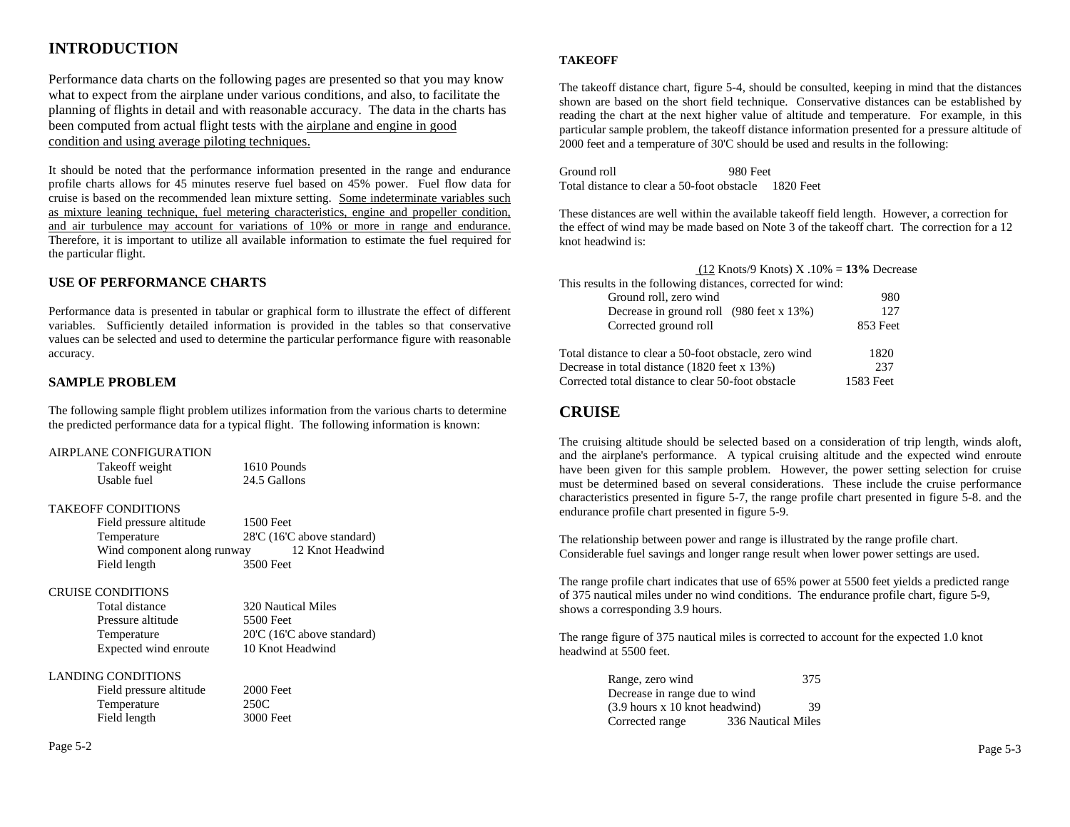# **INTRODUCTION**

Performance data charts on the following pages are presented so that you may know what to expect from the airplane under various conditions, and also, to facilitate the planning of flights in detail and with reasonable accuracy. The data in the charts has been computed from actual flight tests with the airplane and engine in good condition and using average piloting techniques.

It should be noted that the performance information presented in the range and endurance profile charts allows for 45 minutes reserve fuel based on 45% power. Fuel flow data for cruise is based on the recommended lean mixture setting. Some indeterminate variables such as mixture leaning technique, fuel metering characteristics, engine and propeller condition, and air turbulence may account for variations of 10% or more in range and endurance. Therefore, it is important to utilize all available information to estimate the fuel required for the particular flight.

### **USE OF PERFORMANCE CHARTS**

Performance data is presented in tabular or graphical form to illustrate the effect of different variables. Sufficiently detailed information is provided in the tables so that conservative values can be selected and used to determine the particular performance figure with reasonable accuracy.

### **SAMPLE PROBLEM**

The following sample flight problem utilizes information from the various charts to determine the predicted performance data for a typical flight. The following information is known:

#### AIRPLANE CONFIGURATION

| Take off weight             | 1610 Pounds                                          |
|-----------------------------|------------------------------------------------------|
| Usable fuel                 | 24.5 Gallons                                         |
|                             |                                                      |
| <b>TAKEOFF CONDITIONS</b>   |                                                      |
| Field pressure altitude     | 1500 Feet                                            |
| Temperature                 | 28 <sup>'</sup> C (16 <sup>'</sup> C above standard) |
| Wind component along runway | 12 Knot Headwind                                     |
| Field length                | 3500 Feet                                            |
| <b>CRUISE CONDITIONS</b>    |                                                      |
| Total distance              | 320 Nautical Miles                                   |
| Pressure altitude           | 5500 Feet                                            |
| Temperature                 | 20°C (16°C above standard)                           |
| Expected wind enroute       | 10 Knot Headwind                                     |

#### LANDING CONDITIONS

| Field pressure altitude | 2000 Feet |
|-------------------------|-----------|
| Temperature             | 250C      |
| Field length            | 3000 Feet |

#### **TAKEOFF**

The takeoff distance chart, figure 5-4, should be consulted, keeping in mind that the distances shown are based on the short field technique. Conservative distances can be established by reading the chart at the next higher value of altitude and temperature. For example, in this particular sample problem, the takeoff distance information presented for a pressure altitude of 2000 feet and a temperature of 30'C should be used and results in the following:

Ground roll 980 Feet Total distance to clear a 50-foot obstacle 1820 Feet

These distances are well within the available takeoff field length. However, a correction for the effect of wind may be made based on Note 3 of the takeoff chart. The correction for a 12 knot headwind is:

| $(12$ Knots/9 Knots) X .10% = 13% Decrease                   |           |
|--------------------------------------------------------------|-----------|
| This results in the following distances, corrected for wind: |           |
| Ground roll, zero wind                                       | 980       |
| Decrease in ground roll $(980 \text{ feet x } 13\%)$         | 127       |
| Corrected ground roll                                        | 853 Feet  |
| Total distance to clear a 50-foot obstacle, zero wind        | 1820      |
| Decrease in total distance (1820 feet x 13%)                 | 237       |
| Corrected total distance to clear 50-foot obstacle           | 1583 Feet |

# **CRUISE**

The cruising altitude should be selected based on a consideration of trip length, winds aloft, and the airplane's performance. A typical cruising altitude and the expected wind enroute have been given for this sample problem. However, the power setting selection for cruise must be determined based on several considerations. These include the cruise performance characteristics presented in figure 5-7, the range profile chart presented in figure 5-8. and the endurance profile chart presented in figure 5-9.

The relationship between power and range is illustrated by the range profile chart. Considerable fuel savings and longer range result when lower power settings are used.

The range profile chart indicates that use of 65% power at 5500 feet yields a predicted range of 375 nautical miles under no wind conditions. The endurance profile chart, figure 5-9, shows a corresponding 3.9 hours.

The range figure of 375 nautical miles is corrected to account for the expected 1.0 knot headwind at 5500 feet.

| Range, zero wind                 |                    | 375 |
|----------------------------------|--------------------|-----|
| Decrease in range due to wind    |                    |     |
| $(3.9$ hours x 10 knot headwind) |                    | 39  |
| Corrected range                  | 336 Nautical Miles |     |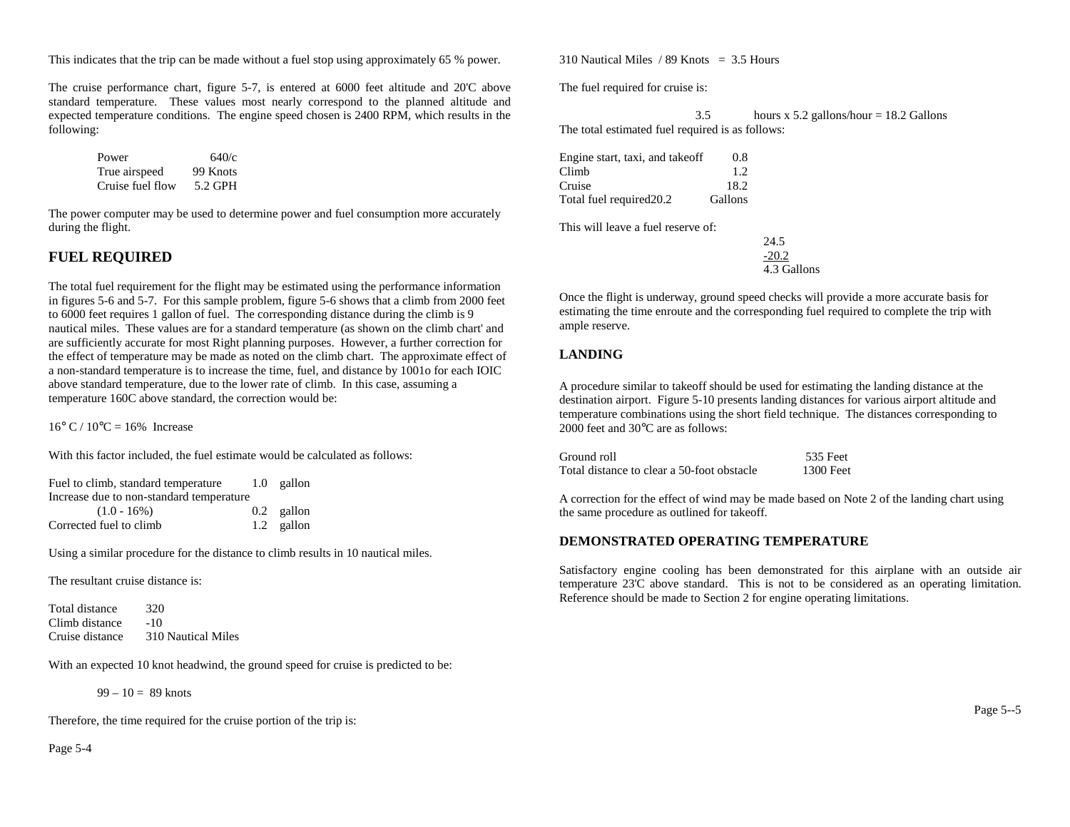This indicates that the trip can be made without a fuel stop using approximately 65 % power.

The cruise performance chart, figure 5-7, is entered at 6000 feet altitude and 20'C above standard temperature. These values most nearly correspond to the planned altitude and expected temperature conditions. The engine speed chosen is 2400 RPM, which results in the following:

| Power            | 640/c    |
|------------------|----------|
| True airspeed    | 99 Knots |
| Cruise fuel flow | 5.2 GPH  |

The power computer may be used to determine power and fuel consumption more accurately during the flight.

# **FUEL REQUIRED**

The total fuel requirement for the flight may be estimated using the performance information in figures 5-6 and 5-7. For this sample problem, figure 5-6 shows that a climb from 2000 feet to 6000 feet requires 1 gallon of fuel. The corresponding distance during the climb is 9 nautical miles. These values are for a standard temperature (as shown on the climb chart' and are sufficiently accurate for most Right planning purposes. However, a further correction for the effect of temperature may be made as noted on the climb chart. The approximate effect of a non-standard temperature is to increase the time, fuel, and distance by 1001o for each IOIC above standard temperature, due to the lower rate of climb. In this case, assuming a temperature 160C above standard, the correction would be:

 $16^{\circ}$  C /  $10^{\circ}$ C = 16% Increase

With this factor included, the fuel estimate would be calculated as follows:

| Fuel to climb, standard temperature      | 1.0 gallon   |
|------------------------------------------|--------------|
| Increase due to non-standard temperature |              |
| $(1.0 - 16\%)$                           | $0.2$ gallon |
| Corrected fuel to climb                  | 1.2 gallon   |

Using a similar procedure for the distance to climb results in 10 nautical miles.

The resultant cruise distance is:

Total distance 320Climb distance -10 Cruise distance 310 Nautical Miles

With an expected 10 knot headwind, the ground speed for cruise is predicted to be:

 $99 - 10 = 89$  knots

Therefore, the time required for the cruise portion of the trip is:

310 Nautical Miles / 89 Knots =  $3.5$  Hours

The fuel required for cruise is:

3.5 hours x 5.2 gallons/hour =  $18.2$  Gallons The total estimated fuel required is as follows:

| Engine start, taxi, and take off | 0.8     |
|----------------------------------|---------|
| Climb                            | 1.2.    |
| Cruise                           | 18.2    |
| Total fuel required 20.2         | Gallons |

This will leave a fuel reserve of:

24.5-20.24.3 Gallons

Once the flight is underway, ground speed checks will provide a more accurate basis for estimating the time enroute and the corresponding fuel required to complete the trip with ample reserve.

### **LANDING**

A procedure similar to takeoff should be used for estimating the landing distance at the destination airport. Figure 5-10 presents landing distances for various airport altitude and temperature combinations using the short field technique. The distances corresponding to 2000 feet and 30°C are as follows:

| Ground roll                                | 535 Feet  |
|--------------------------------------------|-----------|
| Total distance to clear a 50-foot obstacle | 1300 Feet |

A correction for the effect of wind may be made based on Note 2 of the landing chart using the same procedure as outlined for takeoff.

### **DEMONSTRATED OPERATING TEMPERATURE**

Satisfactory engine cooling has been demonstrated for this airplane with an outside air temperature 23'C above standard. This is not to be considered as an operating limitation. Reference should be made to Section 2 for engine operating limitations.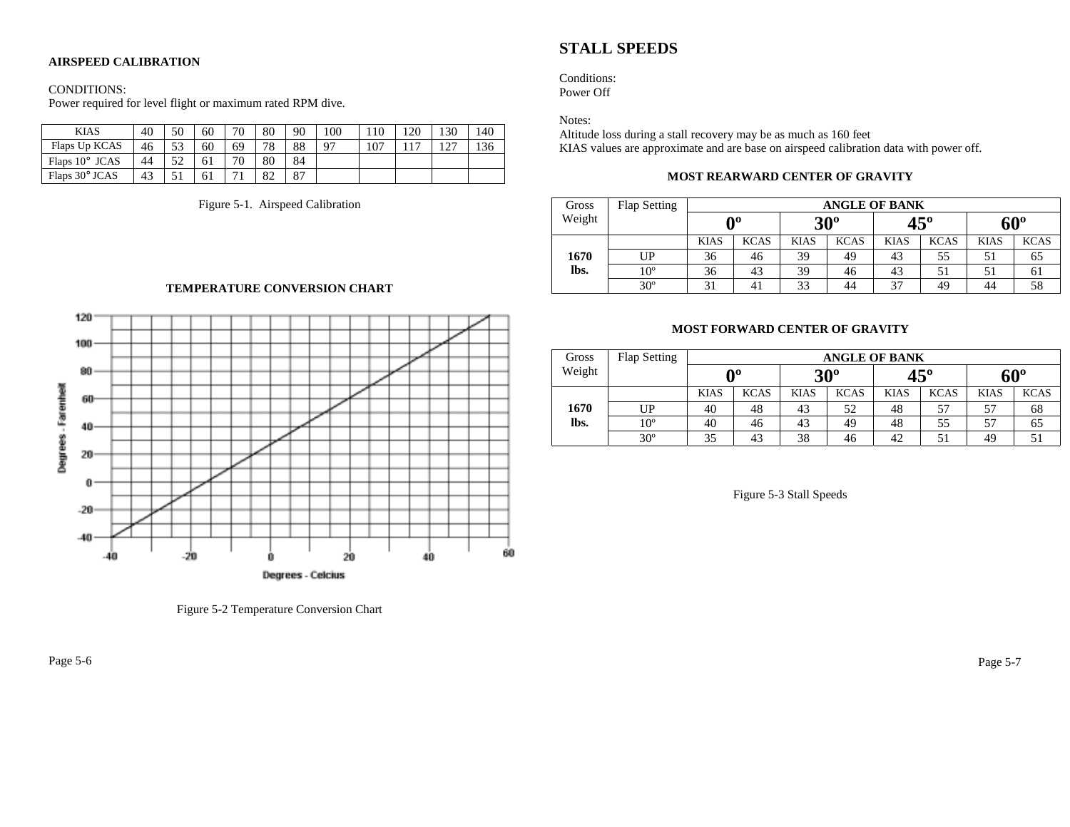#### **AIRSPEED CALIBRATION**

CONDITIONS:

Power required for level flight or maximum rated RPM dive.

| KIAS                    | 40 | 50 | 60 | 70           | 80 | 90 | 100 | 110 | 120                | 130    | $\overline{140}$ |
|-------------------------|----|----|----|--------------|----|----|-----|-----|--------------------|--------|------------------|
| Flaps Up KCAS           | 46 | 53 | 60 | 69           | 78 | 88 | 97  | 107 | . . <del>. .</del> | $\sim$ | 136              |
| Flaps $10^{\circ}$ JCAS | 44 | 52 | 61 | 70           | 80 | 84 |     |     |                    |        |                  |
| Flaps 30° JCAS          | 43 | 51 | 61 | $\mathbf{r}$ | 82 | 87 |     |     |                    |        |                  |

Figure 5-1. Airspeed Calibration

# **STALL SPEEDS**

#### Conditions:

Power Off

Notes:

Altitude loss during a stall recovery may be as much as 160 feet KIAS values are approximate and are base on airspeed calibration data with power off.

### **MOST REARWARD CENTER OF GRAVITY**

| Gross  | <b>Flap Setting</b> |             |             |             | <b>ANGLE OF BANK</b> |             |             |             |              |
|--------|---------------------|-------------|-------------|-------------|----------------------|-------------|-------------|-------------|--------------|
| Weight |                     |             | Λ0          |             | $30^\circ$           |             | $45^\circ$  |             | $60^{\rm o}$ |
|        |                     | <b>KIAS</b> | <b>KCAS</b> | <b>KIAS</b> | <b>KCAS</b>          | <b>KIAS</b> | <b>KCAS</b> | <b>KIAS</b> | <b>KCAS</b>  |
| 1670   | UP                  | 36          | 46          | 39          | 49                   | 43          | 55          | 51          | 65           |
| lbs.   | $10^{\circ}$        | 36          | 43          | 39          | 46                   | 43          | 51          | 51          | 01           |
|        | $30^{\circ}$        | 31          | 41          | 33          | 44                   | 37          | 49          | 44          | 58           |

#### **MOST FORWARD CENTER OF GRAVITY**

| Gross  | <b>Flap Setting</b> |             | <b>ANGLE OF BANK</b> |             |              |             |             |             |              |  |
|--------|---------------------|-------------|----------------------|-------------|--------------|-------------|-------------|-------------|--------------|--|
| Weight |                     |             | 0°                   |             | $30^{\circ}$ |             | 45°         |             | $60^{\circ}$ |  |
|        |                     | <b>KIAS</b> | <b>KCAS</b>          | <b>KIAS</b> | <b>KCAS</b>  | <b>KIAS</b> | <b>KCAS</b> | <b>KIAS</b> | <b>KCAS</b>  |  |
| 1670   | UP                  | 40          | 48                   | 43          | 52           | 48          | 57          | 57          | 68           |  |
| lbs.   | $10^{\circ}$        | 40          | 46                   | 43          | 49           | 48          | 55          | 57          | 65           |  |
|        | $30^{\circ}$        | 35          | 43                   | 38          | 46           | 42          | 51          | 49          |              |  |

Figure 5-3 Stall Speeds



Figure 5-2 Temperature Conversion Chart

Page 5-6

Page 5-7

#### **TEMPERATURE CONVERSION CHART**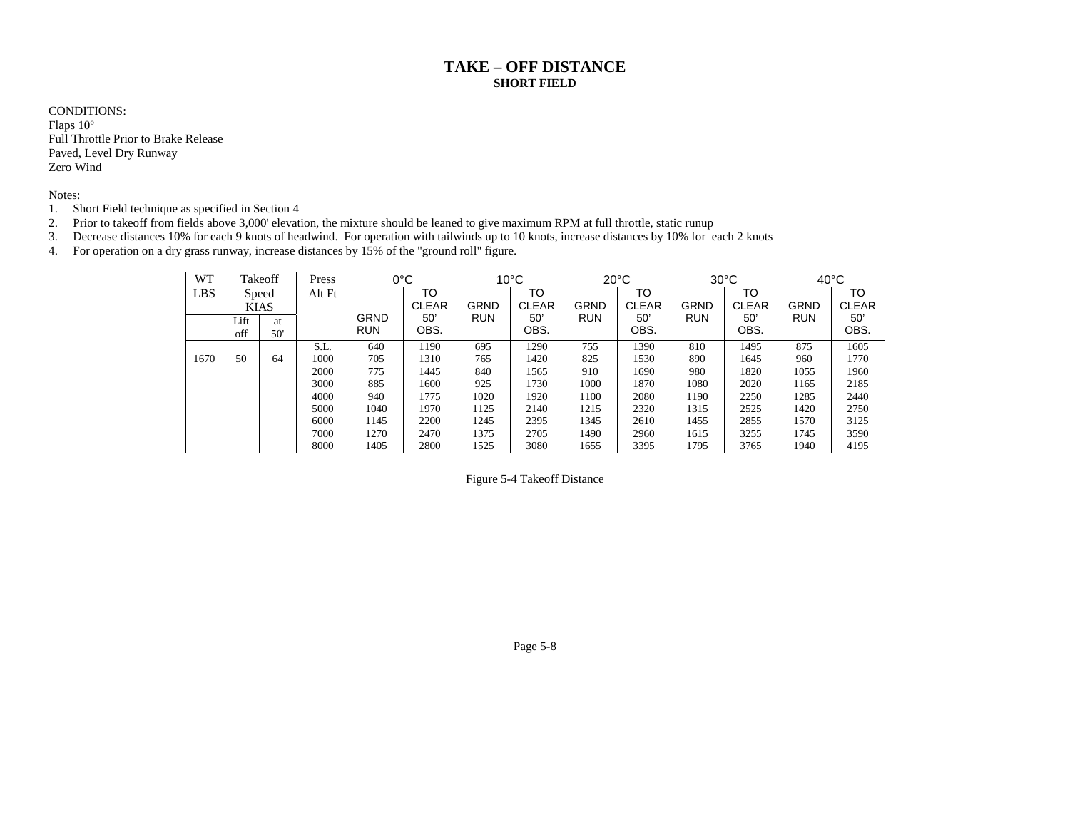### **TAKE – OFF DISTANCE SHORT FIELD**

CONDITIONS: Flaps 10º Full Throttle Prior to Brake ReleasePaved, Level Dry Runway Zero Wind

Notes:

- 1. Short Field technique as specified in Section 4
- 2. Prior to takeoff from fields above 3,000' elevation, the mixture should be leaned to give maximum RPM at full throttle, static runup
- 3. Decrease distances 10% for each 9 knots of headwind. For operation with tailwinds up to 10 knots, increase distances by 10% for each 2 knots
- 4. For operation on a dry grass runway, increase distances by 15% of the "ground roll" figure.

| WТ         |             | Takeoff              | Press  |                           | $0^{\circ}$ C      |             | $10^{\circ}$ C     |             | $20^{\circ}$ C     |             | $30^{\circ}$ C     |             | $40^{\circ}$ C     |
|------------|-------------|----------------------|--------|---------------------------|--------------------|-------------|--------------------|-------------|--------------------|-------------|--------------------|-------------|--------------------|
| <b>LBS</b> |             | Speed<br><b>KIAS</b> | Alt Ft |                           | TO<br><b>CLEAR</b> | <b>GRND</b> | TO<br><b>CLEAR</b> | <b>GRND</b> | TO<br><b>CLEAR</b> | <b>GRND</b> | TO<br><b>CLEAR</b> | <b>GRND</b> | TO<br><b>CLEAR</b> |
|            | Lift<br>off | at<br>50'            |        | <b>GRND</b><br><b>RUN</b> | 50'<br>OBS.        | <b>RUN</b>  | 50'<br>OBS.        | <b>RUN</b>  | 50'<br>OBS.        | <b>RUN</b>  | 50'<br>OBS.        | <b>RUN</b>  | 50'<br>OBS.        |
|            |             |                      | S.L.   | 640                       | 1190               | 695         | 1290               | 755         | 1390               | 810         | 1495               | 875         | 1605               |
| 1670       | 50          | 64                   | 1000   | 705                       | 1310               | 765         | 1420               | 825         | 1530               | 890         | 1645               | 960         | 1770               |
|            |             |                      | 2000   | 775                       | 1445               | 840         | 1565               | 910         | 1690               | 980         | 1820               | 1055        | 1960               |
|            |             |                      | 3000   | 885                       | 1600               | 925         | 1730               | 1000        | 1870               | 1080        | 2020               | 1165        | 2185               |
|            |             |                      | 4000   | 940                       | 1775               | 1020        | 1920               | 1100        | 2080               | 1190        | 2250               | 1285        | 2440               |
|            |             |                      | 5000   | 1040                      | 1970               | 1125        | 2140               | 1215        | 2320               | 1315        | 2525               | 1420        | 2750               |
|            |             |                      | 6000   | 1145                      | 2200               | 1245        | 2395               | 1345        | 2610               | 1455        | 2855               | 1570        | 3125               |
|            |             |                      | 7000   | 1270                      | 2470               | 1375        | 2705               | 1490        | 2960               | 1615        | 3255               | 1745        | 3590               |
|            |             |                      | 8000   | 1405                      | 2800               | 1525        | 3080               | 1655        | 3395               | 1795        | 3765               | 1940        | 4195               |

Figure 5-4 Takeoff Distance

Page 5-8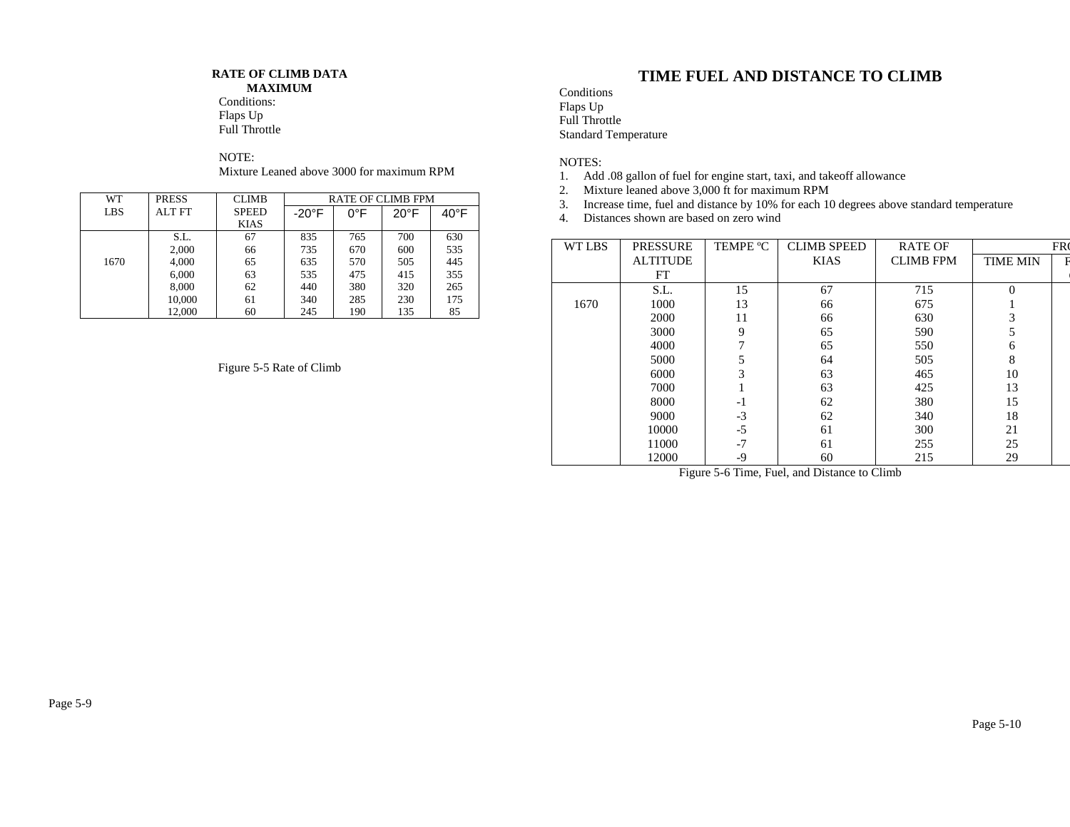#### **RATE OF CLIMB DATAMAXIMUM**

Conditions: Flaps Up Full Throttle

#### NOTE:

Mixture Leaned above 3000 for maximum RPM

| WT         | <b>PRESS</b> | <b>CLIMB</b> | <b>RATE OF CLIMB FPM</b> |     |                |                |
|------------|--------------|--------------|--------------------------|-----|----------------|----------------|
| <b>LBS</b> | ALT FT       | <b>SPEED</b> | $-20^{\circ}$ F          | 0°F | $20^{\circ}$ F | $40^{\circ}$ F |
|            |              | <b>KIAS</b>  |                          |     |                |                |
|            | S.L.         | 67           | 835                      | 765 | 700            | 630            |
|            | 2,000        | 66           | 735                      | 670 | 600            | 535            |
| 1670       | 4,000        | 65           | 635                      | 570 | 505            | 445            |
|            | 6,000        | 63           | 535                      | 475 | 415            | 355            |
|            | 8,000        | 62           | 440                      | 380 | 320            | 265            |
|            | 10,000       | 61           | 340                      | 285 | 230            | 175            |
|            | 12,000       | 60           | 245                      | 190 | 135            | 85             |

#### Figure 5-5 Rate of Climb

# **TIME FUEL AND DISTANCE TO CLIMB**

**Conditions** Flaps Up Full Throttle Standard Temperature

#### NOTES:

- 1. Add .08 gallon of fuel for engine start, taxi, and takeoff allowance
- 2.Mixture leaned above 3,000 ft for maximum RPM
- 3.Increase time, fuel and distance by 10% for each 10 degrees above standard temperature
- 4.Distances shown are based on zero wind

| <b>PRESSURE</b> | TEMPE °C | <b>CLIMB SPEED</b> | <b>RATE OF</b>   |                 | FR <sub>0</sub> |
|-----------------|----------|--------------------|------------------|-----------------|-----------------|
| <b>ALTITUDE</b> |          | <b>KIAS</b>        | <b>CLIMB FPM</b> | <b>TIME MIN</b> | F               |
| FT              |          |                    |                  |                 |                 |
| S.L.            | 15       | 67                 | 715              | 0               |                 |
| 1000            | 13       | 66                 | 675              |                 |                 |
| 2000            | 11       | 66                 | 630              | 3               |                 |
| 3000            | 9        | 65                 | 590              | 5               |                 |
| 4000            | 7        | 65                 | 550              | 6               |                 |
| 5000            | 5        | 64                 | 505              | 8               |                 |
| 6000            | 3        | 63                 | 465              | 10              |                 |
| 7000            |          | 63                 | 425              | 13              |                 |
| 8000            | $-1$     | 62                 | 380              | 15              |                 |
| 9000            | $-3$     | 62                 | 340              | 18              |                 |
| 10000           | $-5$     | 61                 | 300              | 21              |                 |
| 11000           | $-7$     | 61                 | 255              | 25              |                 |
| 12000           | $-9$     | 60                 | 215              | 29              |                 |
|                 |          |                    |                  | -----           |                 |

Figure 5-6 Time, Fuel, and Distance to Climb

G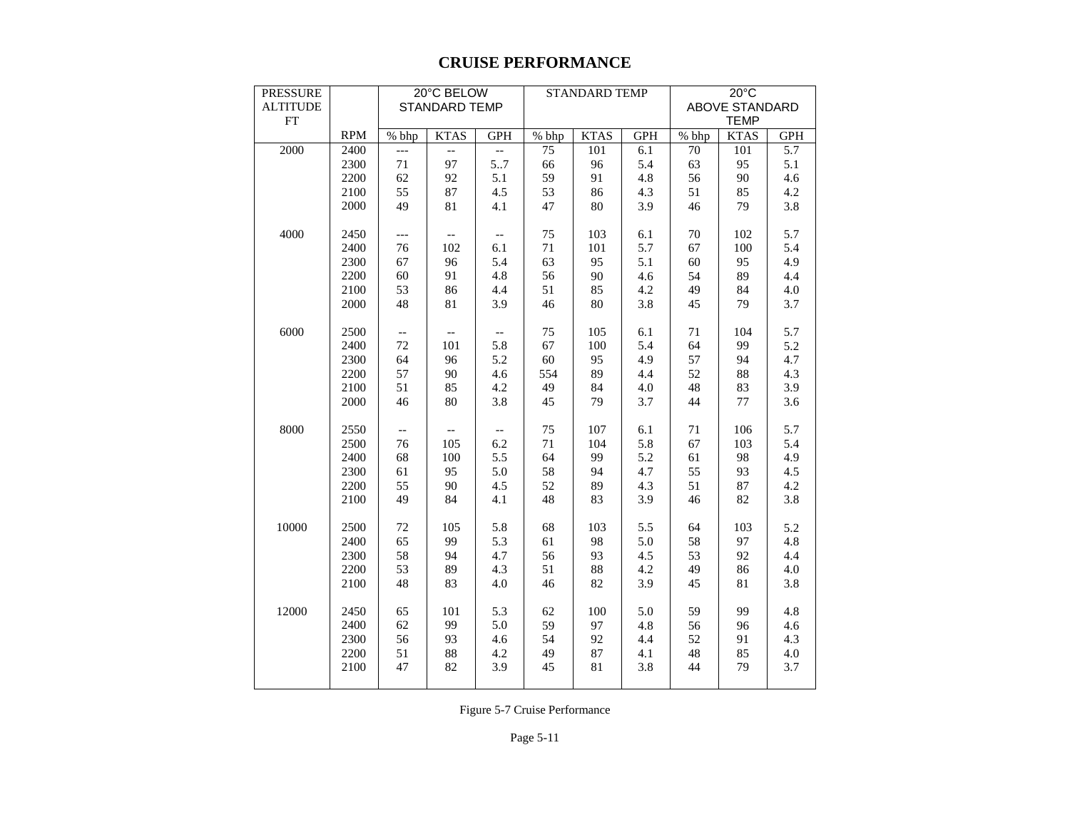## **CRUISE PERFORMANCE**

| <b>PRESSURE</b> |            | 20°C BELOW               |                          |                           | STANDARD TEMP |             | $20^{\circ}$ C |         |                |            |
|-----------------|------------|--------------------------|--------------------------|---------------------------|---------------|-------------|----------------|---------|----------------|------------|
| <b>ALTITUDE</b> |            |                          | STANDARD TEMP            |                           |               |             |                |         | ABOVE STANDARD |            |
| FT              |            |                          |                          |                           |               |             |                |         | <b>TEMP</b>    |            |
|                 | <b>RPM</b> | % bhp                    | <b>KTAS</b>              | <b>GPH</b>                | % bhp         | <b>KTAS</b> | <b>GPH</b>     | $%$ bhp | <b>KTAS</b>    | <b>GPH</b> |
| 2000            | 2400       | $---$                    | $\overline{a}$           | $\mathbb{L}^{\mathbb{L}}$ | 75            | 101         | 6.1            | 70      | 101            | 5.7        |
|                 | 2300       | 71                       | 97                       | 57                        | 66            | 96          | 5.4            | 63      | 95             | 5.1        |
|                 | 2200       | 62                       | 92                       | 5.1                       | 59            | 91          | 4.8            | 56      | 90             | 4.6        |
|                 | 2100       | 55                       | $87\,$                   | 4.5                       | 53            | 86          | 4.3            | 51      | 85             | 4.2        |
|                 | 2000       | 49                       | 81                       | 4.1                       | 47            | 80          | 3.9            | 46      | 79             | 3.8        |
|                 |            |                          |                          |                           |               |             |                |         |                |            |
| 4000            | 2450       | $---$                    | $\overline{\phantom{a}}$ | $\overline{\phantom{a}}$  | 75            | 103         | 6.1            | 70      | 102            | 5.7        |
|                 | 2400       | 76                       | 102                      | 6.1                       | 71            | 101         | 5.7            | 67      | 100            | 5.4        |
|                 | 2300       | 67                       | 96                       | 5.4                       | 63            | 95          | 5.1            | 60      | 95             | 4.9        |
|                 | 2200       | 60                       | 91                       | 4.8                       | 56            | 90          | 4.6            | 54      | 89             | 4.4        |
|                 | 2100       | 53                       | 86                       | 4.4                       | 51            | 85          | 4.2            | 49      | 84             | 4.0        |
|                 | 2000       | 48                       | 81                       | 3.9                       | 46            | 80          | 3.8            | 45      | 79             | 3.7        |
|                 |            |                          |                          |                           |               |             |                |         |                |            |
| 6000            | 2500       | $\overline{\phantom{a}}$ | $\overline{\phantom{a}}$ | $\overline{\phantom{m}}$  | 75            | 105         | 6.1            | 71      | 104            | 5.7        |
|                 | 2400       | 72                       | 101                      | 5.8                       | 67            | 100         | 5.4            | 64      | 99             | 5.2        |
|                 | 2300       | 64                       | 96                       | 5.2                       | 60            | 95          | 4.9            | 57      | 94             | 4.7        |
|                 | 2200       | 57                       | 90                       | 4.6                       | 554           | 89          | 4.4            | 52      | 88             | 4.3        |
|                 | 2100       | 51                       | 85                       | 4.2                       | 49            | 84          | 4.0            | 48      | 83             | 3.9        |
|                 | 2000       | 46                       | $80\,$                   | 3.8                       | 45            | 79          | 3.7            | 44      | 77             | 3.6        |
|                 |            |                          |                          |                           |               |             |                |         |                |            |
| 8000            | 2550       | $\overline{\phantom{a}}$ | $\overline{\phantom{a}}$ | $\overline{\phantom{a}}$  | 75            | 107         | 6.1            | 71      | 106            | 5.7        |
|                 | 2500       | 76                       | 105                      | 6.2                       | 71            | 104         | 5.8            | 67      | 103            | 5.4        |
|                 | 2400       | 68                       | 100                      | 5.5                       | 64            | 99          | 5.2            | 61      | 98             | 4.9        |
|                 | 2300       | 61                       | 95                       | 5.0                       | 58            | 94          | 4.7            | 55      | 93             | 4.5        |
|                 | 2200       | 55                       | 90                       | 4.5                       | 52            | 89          | 4.3            | 51      | 87             | 4.2        |
|                 | 2100       | 49                       | 84                       | 4.1                       | 48            | 83          | 3.9            | 46      | 82             | 3.8        |
|                 |            |                          |                          |                           |               |             |                |         |                |            |
| 10000           | 2500       | 72                       | 105                      | 5.8                       | 68            | 103         | 5.5            | 64      | 103            | 5.2        |
|                 | 2400       | 65                       | 99                       | 5.3                       | 61            | 98          | 5.0            | 58      | 97             | 4.8        |
|                 | 2300       | 58                       | 94                       | 4.7                       | 56            | 93          | 4.5            | 53      | 92             | 4.4        |
|                 | 2200       | 53                       | 89                       | 4.3                       | 51            | 88          | 4.2            | 49      | 86             | 4.0        |
|                 | 2100       | 48                       | 83                       | 4.0                       | 46            | 82          | 3.9            | 45      | 81             | 3.8        |
|                 |            |                          |                          |                           |               |             |                |         |                |            |
| 12000           | 2450       | 65                       | 101                      | 5.3                       | 62            | 100         | 5.0            | 59      | 99             | 4.8        |
|                 | 2400       | 62                       | 99                       | 5.0                       | 59            | 97          | 4.8            | 56      | 96             | 4.6        |
|                 | 2300       | 56                       | 93                       | 4.6                       | 54            | 92          | 4.4            | 52      | 91             | 4.3        |
|                 | 2200       | 51                       | 88                       | 4.2                       | 49            | 87          | 4.1            | 48      | 85             | 4.0        |
|                 | 2100       | 47                       | 82                       | 3.9                       | 45            | 81          | 3.8            | 44      | 79             | 3.7        |
|                 |            |                          |                          |                           |               |             |                |         |                |            |

Figure 5-7 Cruise Performance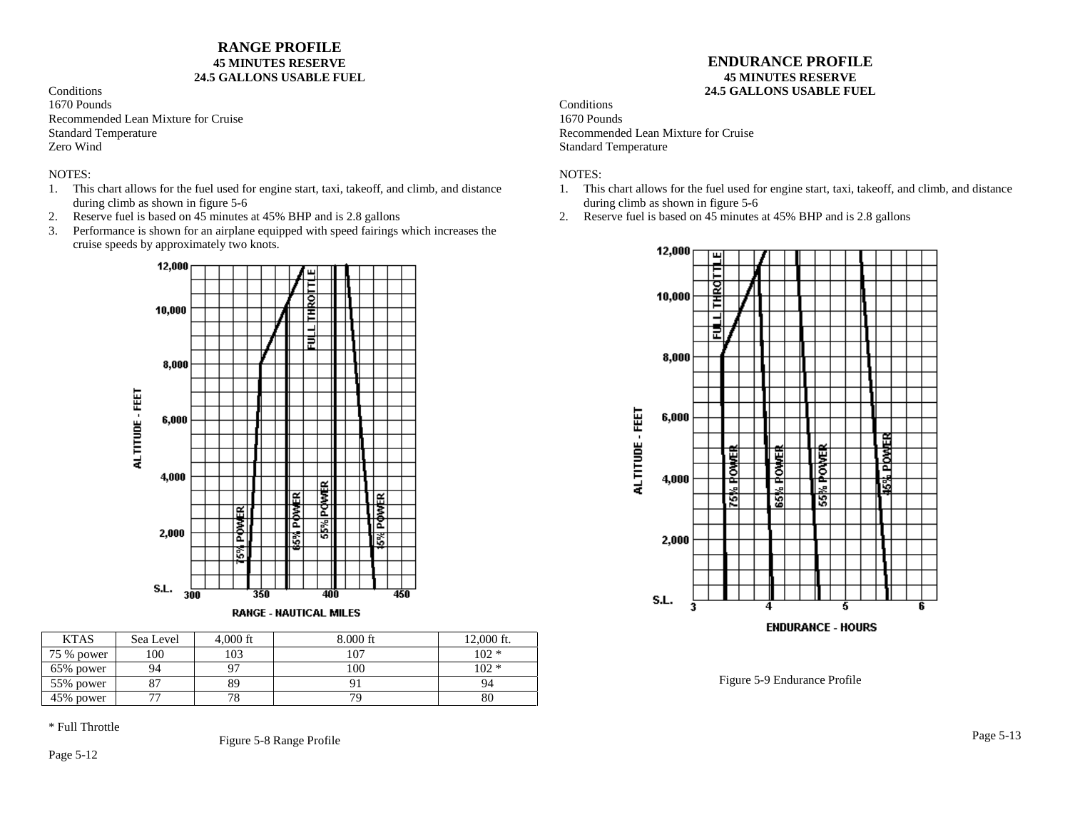#### **RANGE PROFILE45 MINUTES RESERVE24.5 GALLONS USABLE FUEL**

Conditions1670 PoundsRecommended Lean Mixture for CruiseStandard Temperature Zero Wind

### NOTES:

- 1. This chart allows for the fuel used for engine start, taxi, takeoff, and climb, and distance during climb as shown in figure 5-6
- 2. Reserve fuel is based on 45 minutes at 45% BHP and is 2.8 gallons
- 3. Performance is shown for an airplane equipped with speed fairings which increases the cruise speeds by approximately two knots.



| <b>KTAS</b> | Sea Level | $4.000$ ft | $8.000$ ft | $12,000$ ft. |
|-------------|-----------|------------|------------|--------------|
| 75 % power  | 100       | 103        | 107        | $102 *$      |
| 65% power   | 94        | 07         | 100        | $102 *$      |
| 55% power   |           | 89         |            | 94           |
| 45% power   |           | 78         | 79         | 80           |

\* Full Throttle

**ENDURANCE PROFILE45 MINUTES RESERVE24.5 GALLONS USABLE FUEL**

**Conditions**  1670 PoundsRecommended Lean Mixture for Cruise Standard Temperature

### NOTES:

- 1. This chart allows for the fuel used for engine start, taxi, takeoff, and climb, and distance during climb as shown in figure 5-6
- 2. Reserve fuel is based on 45 minutes at 45% BHP and is 2.8 gallons



Figure 5-9 Endurance Profile

Figure 5-8 Range Profile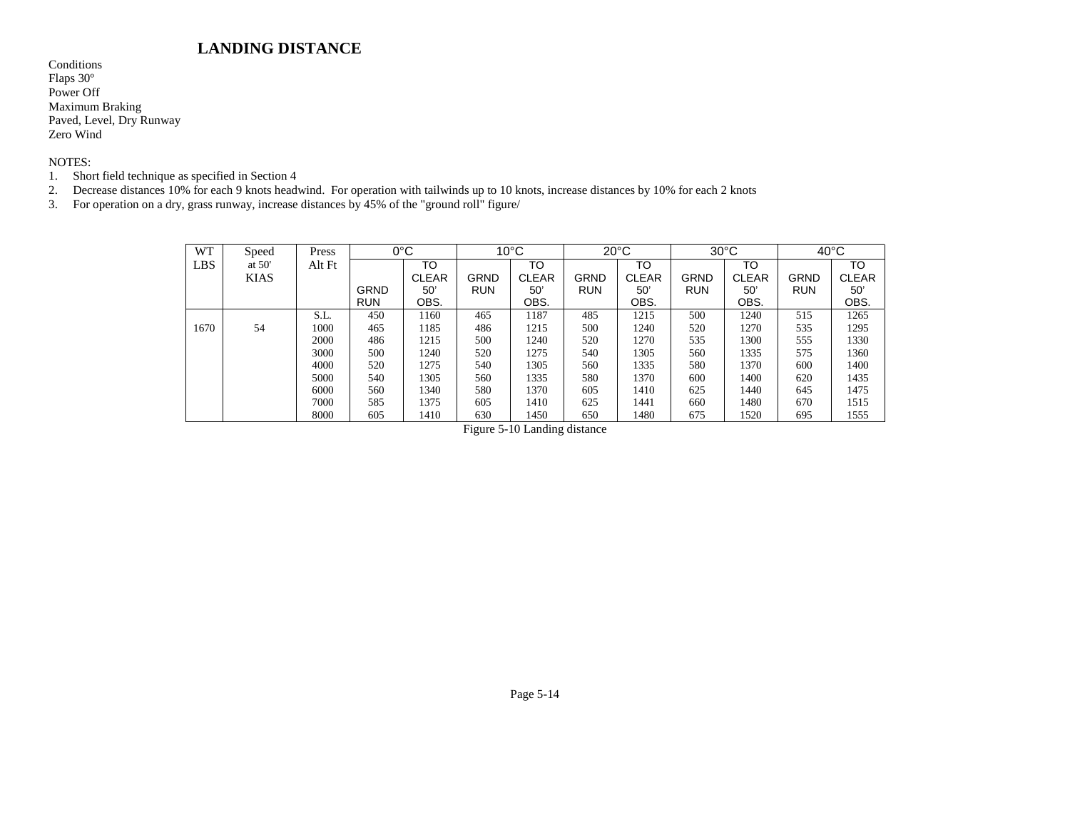# **LANDING DISTANCE**

Conditions Flaps 30º Power Off Maximum Braking Paved, Level, Dry Runway Zero Wind

### NOTES:

1. Short field technique as specified in Section 4

- 2. Decrease distances 10% for each 9 knots headwind. For operation with tailwinds up to 10 knots, increase distances by 10% for each 2 knots
- 3. For operation on a dry, grass runway, increase distances by 45% of the "ground roll" figure/

| <b>WT</b>  | Speed       | Press  |             | 0°C          |             | $10^{\circ}$ C |            | $20^{\circ}$ C |            | $30^{\circ}$ C |             | $40^{\circ}$ C |
|------------|-------------|--------|-------------|--------------|-------------|----------------|------------|----------------|------------|----------------|-------------|----------------|
| <b>LBS</b> | at $50'$    | Alt Ft |             | TO           |             | <b>TO</b>      |            | TO             |            | TO             |             | TO             |
|            | <b>KIAS</b> |        |             | <b>CLEAR</b> | <b>GRND</b> | <b>CLEAR</b>   | GRND       | <b>CLEAR</b>   | GRND       | <b>CLEAR</b>   | <b>GRND</b> | <b>CLEAR</b>   |
|            |             |        | <b>GRND</b> | 50'          | <b>RUN</b>  | 50             | <b>RUN</b> | 50'            | <b>RUN</b> | 50'            | <b>RUN</b>  | 50'            |
|            |             |        | <b>RUN</b>  | OBS.         |             | OBS.           |            | OBS.           |            | OBS.           |             | OBS.           |
|            |             | S.L.   | 450         | 1160         | 465         | 1187           | 485        | 1215           | 500        | 1240           | 515         | 1265           |
| 1670       | 54          | 1000   | 465         | 1185         | 486         | 1215           | 500        | 1240           | 520        | 1270           | 535         | 1295           |
|            |             | 2000   | 486         | 1215         | 500         | 1240           | 520        | 1270           | 535        | 1300           | 555         | 1330           |
|            |             | 3000   | 500         | 1240         | 520         | 1275           | 540        | 1305           | 560        | 1335           | 575         | 1360           |
|            |             | 4000   | 520         | 1275         | 540         | 1305           | 560        | 1335           | 580        | 1370           | 600         | 1400           |
|            |             | 5000   | 540         | 1305         | 560         | 1335           | 580        | 1370           | 600        | 1400           | 620         | 1435           |
|            |             | 6000   | 560         | 1340         | 580         | 1370           | 605        | 1410           | 625        | 1440           | 645         | 1475           |
|            |             | 7000   | 585         | 1375         | 605         | 1410           | 625        | 1441           | 660        | 1480           | 670         | 1515           |
|            |             | 8000   | 605         | 1410         | 630         | 1450           | 650        | 1480           | 675        | 1520           | 695         | 1555           |

Figure 5-10 Landing distance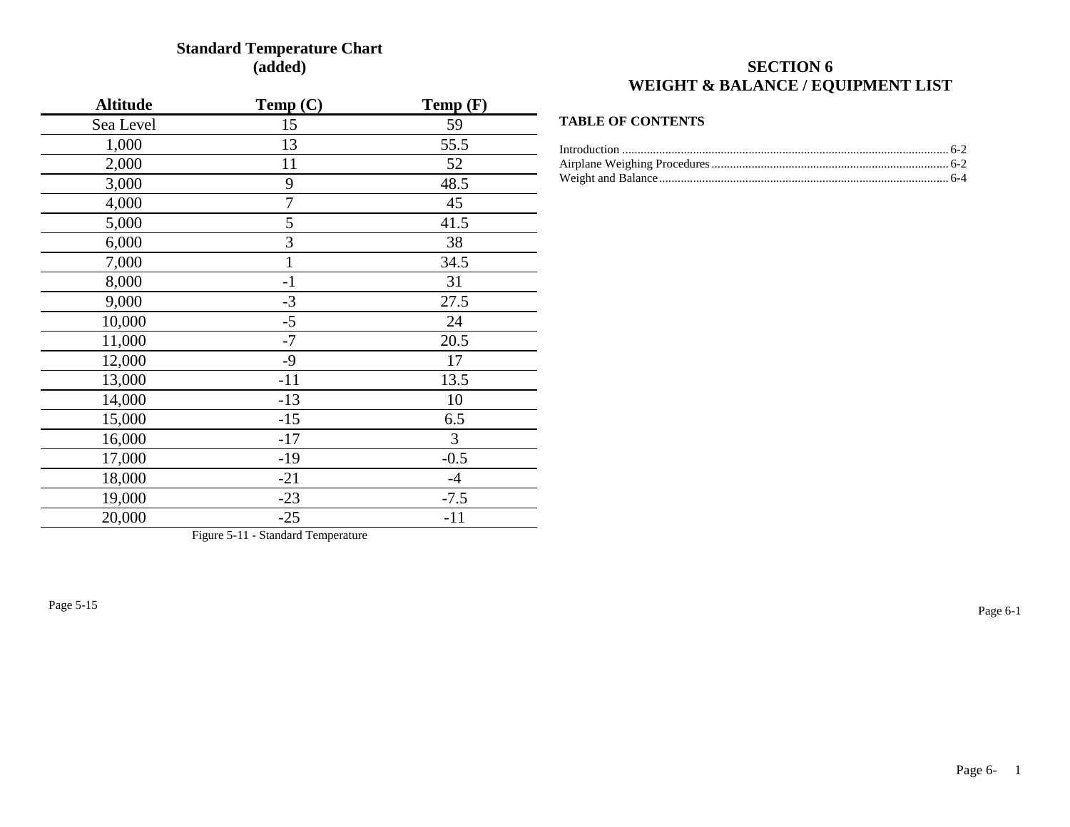# **Standard Temperature Chart**

**(added)**

# **SECTION 6 WEIGHT & BALANCE / EQUIPMENT LIST**

# **TABLE OF CONTENTS**

| Temp $(C)$ | Temp $(F)$ |
|------------|------------|
| 15         | 59         |
| 13         | 55.5       |
| 11         | 52         |
| 9          | 48.5       |
| 7          | 45         |
| 5          | 41.5       |
| 3          | 38         |
| 1          | 34.5       |
| $-1$       | 31         |
| $-3$       | 27.5       |
| $-5$       | 24         |
| $-7$       | 20.5       |
| $-9$       | 17         |
| $-11$      | 13.5       |
| $-13$      | 10         |
| $-15$      | 6.5        |
| $-17$      | 3          |
| $-19$      | $-0.5$     |
| $-21$      | $-4$       |
| $-23$      | $-7.5$     |
| $-25$      | $-11$      |
|            |            |

Figure 5-11 - Standard Temperature

Page 5-15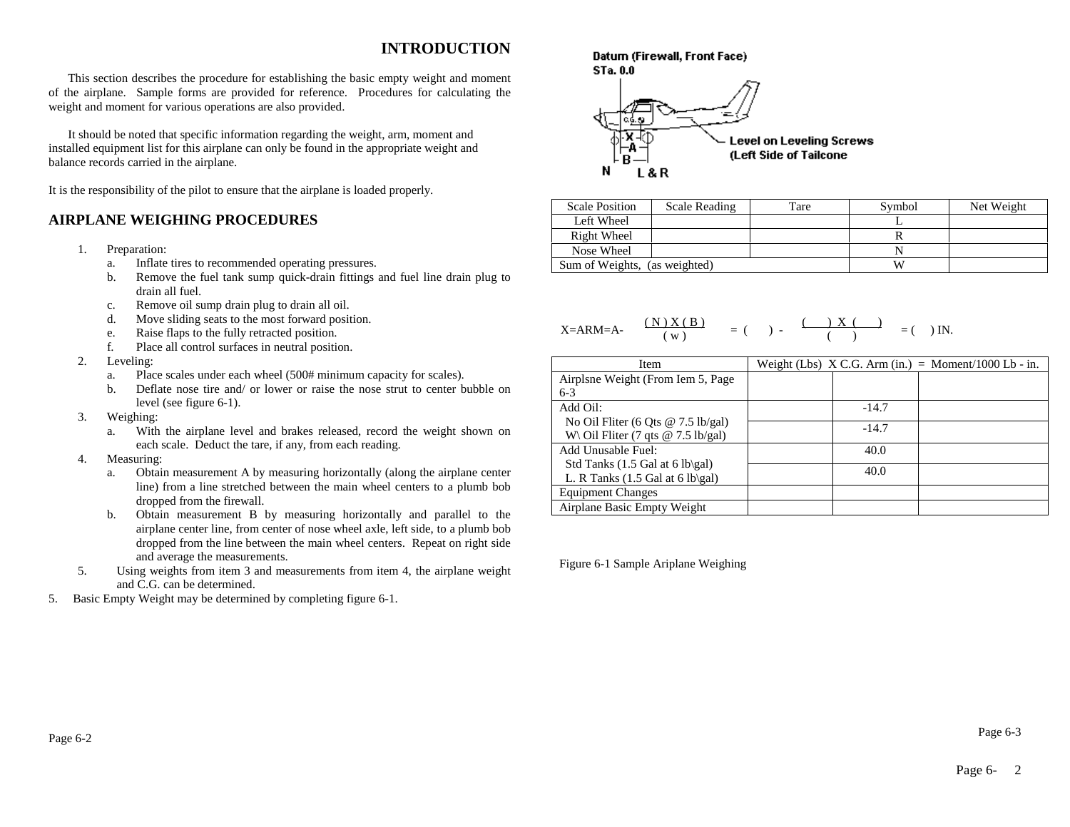# **INTRODUCTION**

This section describes the procedure for establishing the basic empty weight and moment of the airplane. Sample forms are provided for reference. Procedures for calculating the weight and moment for various operations are also provided.

It should be noted that specific information regarding the weight, arm, moment and installed equipment list for this airplane can only be found in the appropriate weight and balance records carried in the airplane.

It is the responsibility of the pilot to ensure that the airplane is loaded properly.

# **AIRPLANE WEIGHING PROCEDURES**

- 1. Preparation:
	- a. Inflate tires to recommended operating pressures.
	- b. Remove the fuel tank sump quick-drain fittings and fuel line drain plug to drain all fuel.
	- c. Remove oil sump drain plug to drain all oil.
	- d. Move sliding seats to the most forward position.
	- e. Raise flaps to the fully retracted position.
	- f. Place all control surfaces in neutral position.
- 2. Leveling:
	- a. Place scales under each wheel (500# minimum capacity for scales).
	- b. Deflate nose tire and/ or lower or raise the nose strut to center bubble on level (see figure 6-1).
- 3. Weighing:
	- a. With the airplane level and brakes released, record the weight shown on each scale. Deduct the tare, if any, from each reading.
- 4. Measuring:
	- a. Obtain measurement A by measuring horizontally (along the airplane center line) from a line stretched between the main wheel centers to a plumb bob dropped from the firewall.
	- b. Obtain measurement B by measuring horizontally and parallel to the airplane center line, from center of nose wheel axle, left side, to a plumb bob dropped from the line between the main wheel centers. Repeat on right side and average the measurements.
- 5. Using weights from item 3 and measurements from item 4, the airplane weight and C.G. can be determined.
- 5.Basic Empty Weight may be determined by completing figure 6-1.

# Datum (Firewall, Front Face) STa. 0.0 **Level on Leveling Screws**



**L&R** 

N

| <b>Scale Position</b>         | Scale Reading | Tare | Symbol | Net Weight |
|-------------------------------|---------------|------|--------|------------|
| Left Wheel                    |               |      |        |            |
| Right Wheel                   |               |      |        |            |
| Nose Wheel                    |               |      |        |            |
| Sum of Weights, (as weighted) |               |      | W      |            |

$$
X=ARM=A-\frac{(N) X(B)}{(w)} = (-) - \frac{(N) X(0)}{(w)} = (-) IN.
$$

| Item                                                  | Weight (Lbs) X C.G. Arm (in.) = Moment/1000 Lb - in. |         |  |  |
|-------------------------------------------------------|------------------------------------------------------|---------|--|--|
| Airplane Weight (From Iem 5, Page)                    |                                                      |         |  |  |
| $6 - 3$                                               |                                                      |         |  |  |
| Add Oil:                                              |                                                      | $-14.7$ |  |  |
| No Oil Fliter (6 Qts $@ 7.5$ lb/gal)                  |                                                      | $-14.7$ |  |  |
| W\ Oil Fliter $(7 \text{ qts } @ 7.5 \text{ lb/gal})$ |                                                      |         |  |  |
| Add Unusable Fuel:                                    |                                                      | 40.0    |  |  |
| Std Tanks $(1.5$ Gal at 6 lb $\gamma$ al)             |                                                      | 40.0    |  |  |
| L. R Tanks $(1.5$ Gal at 6 lb\gal)                    |                                                      |         |  |  |
| <b>Equipment Changes</b>                              |                                                      |         |  |  |
| Airplane Basic Empty Weight                           |                                                      |         |  |  |

Figure 6-1 Sample Ariplane Weighing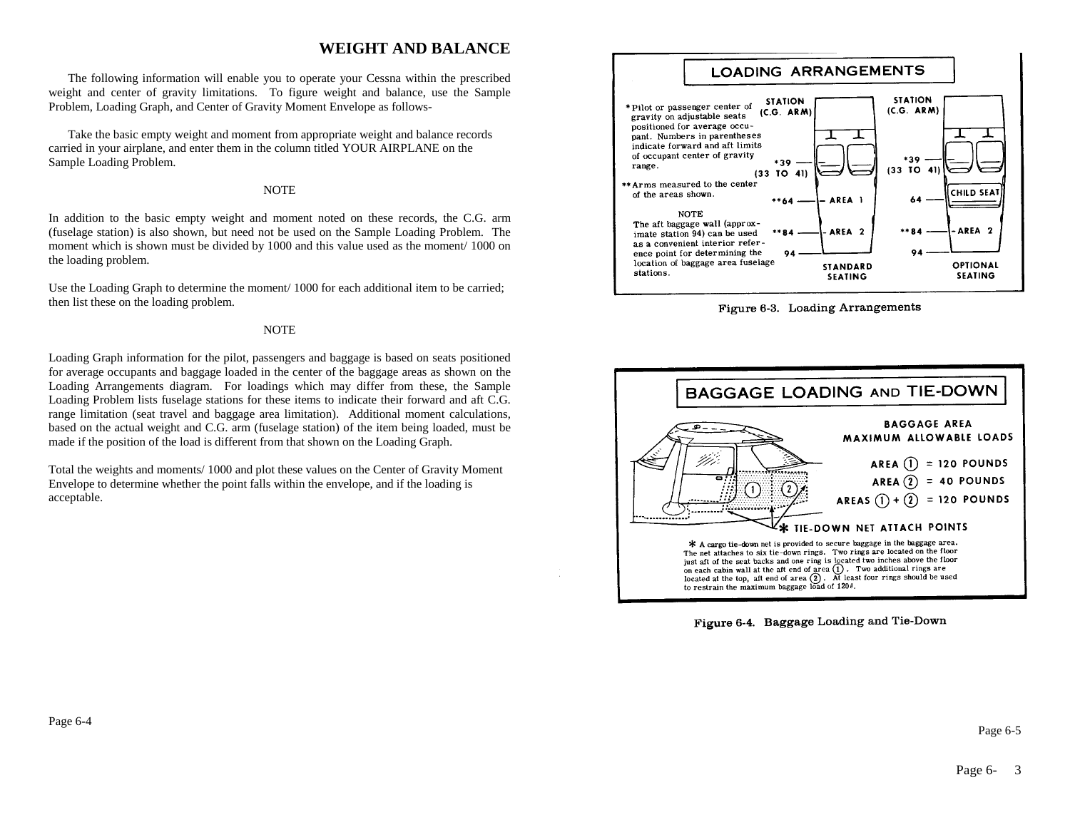# **WEIGHT AND BALANCE**

The following information will enable you to operate your Cessna within the prescribed weight and center of gravity limitations. To figure weight and balance, use the Sample Problem, Loading Graph, and Center of Gravity Moment Envelope as follows-

Take the basic empty weight and moment from appropriate weight and balance records carried in your airplane, and enter them in the column titled YOUR AIRPLANE on the Sample Loading Problem.

#### **NOTE**

In addition to the basic empty weight and moment noted on these records, the C.G. arm (fuselage station) is also shown, but need not be used on the Sample Loading Problem. The moment which is shown must be divided by 1000 and this value used as the moment/ 1000 on the loading problem.

Use the Loading Graph to determine the moment/ 1000 for each additional item to be carried; then list these on the loading problem.

#### NOTE

Loading Graph information for the pilot, passengers and baggage is based on seats positioned for average occupants and baggage loaded in the center of the baggage areas as shown on the Loading Arrangements diagram. For loadings which may differ from these, the Sample Loading Problem lists fuselage stations for these items to indicate their forward and aft C.G. range limitation (seat travel and baggage area limitation). Additional moment calculations, based on the actual weight and C.G. arm (fuselage station) of the item being loaded, must be made if the position of the load is different from that shown on the Loading Graph.

Total the weights and moments/ 1000 and plot these values on the Center of Gravity Moment Envelope to determine whether the point falls within the envelope, and if the loading is acceptable.



Figure 6-3. Loading Arrangements



Figure 6-4. Baggage Loading and Tie-Down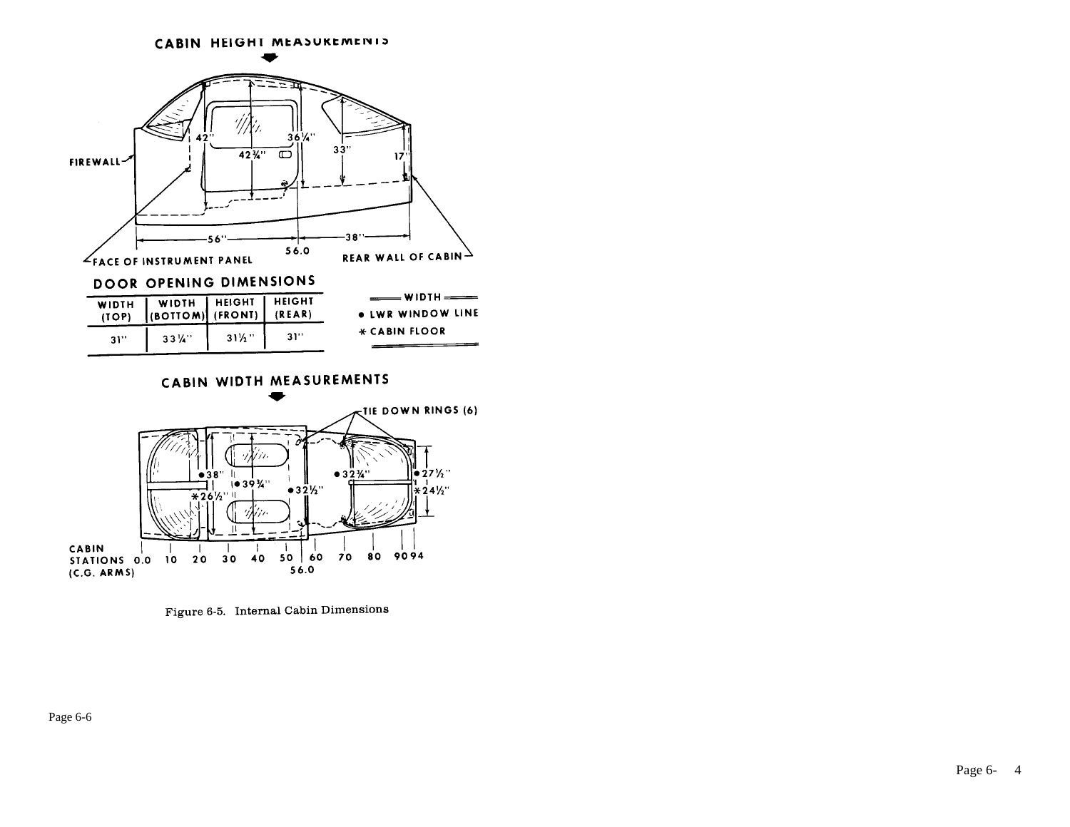

CABIN WIDTH MEASUREMENTS



Figure 6-5. Internal Cabin Dimensions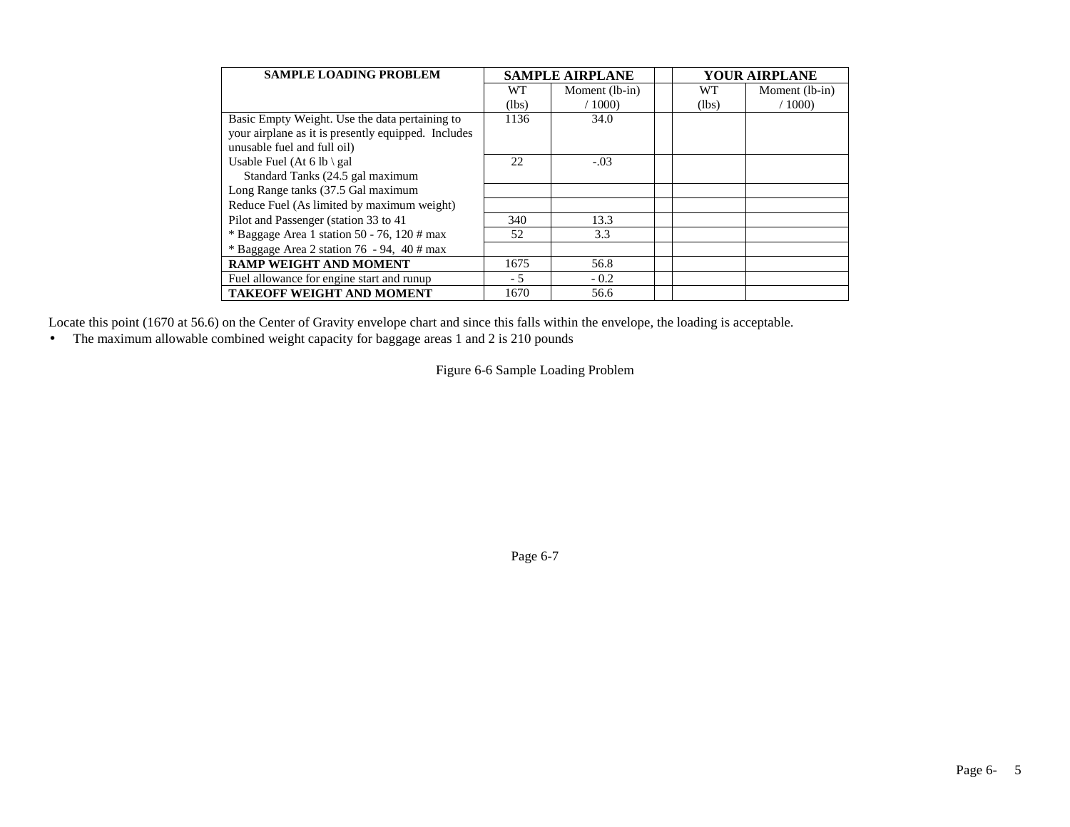| <b>SAMPLE LOADING PROBLEM</b>                       | <b>SAMPLE AIRPLANE</b> |                | <b>YOUR AIRPLANE</b> |                |
|-----------------------------------------------------|------------------------|----------------|----------------------|----------------|
|                                                     | <b>WT</b>              | Moment (lb-in) | WT                   | Moment (lb-in) |
|                                                     | (lbs)                  | /1000          | (lbs)                | (1000)         |
| Basic Empty Weight. Use the data pertaining to      | 1136                   | 34.0           |                      |                |
| your airplane as it is presently equipped. Includes |                        |                |                      |                |
| unusable fuel and full oil)                         |                        |                |                      |                |
| Usable Fuel (At 6 lb \ gal                          | 22.                    | $-.03$         |                      |                |
| Standard Tanks (24.5 gal maximum                    |                        |                |                      |                |
| Long Range tanks (37.5 Gal maximum                  |                        |                |                      |                |
| Reduce Fuel (As limited by maximum weight)          |                        |                |                      |                |
| Pilot and Passenger (station 33 to 41               | 340                    | 13.3           |                      |                |
| * Baggage Area 1 station 50 - 76, 120 $\#$ max      | 52                     | 3.3            |                      |                |
| * Baggage Area 2 station 76 - 94, 40 $\#$ max       |                        |                |                      |                |
| <b>RAMP WEIGHT AND MOMENT</b>                       | 1675                   | 56.8           |                      |                |
| Fuel allowance for engine start and runup           | $-5$                   | $-0.2$         |                      |                |
| <b>TAKEOFF WEIGHT AND MOMENT</b>                    | 1670                   | 56.6           |                      |                |

Locate this point (1670 at 56.6) on the Center of Gravity envelope chart and since this falls within the envelope, the loading is acceptable.

 $\bullet$ The maximum allowable combined weight capacity for baggage areas 1 and 2 is 210 pounds

Figure 6-6 Sample Loading Problem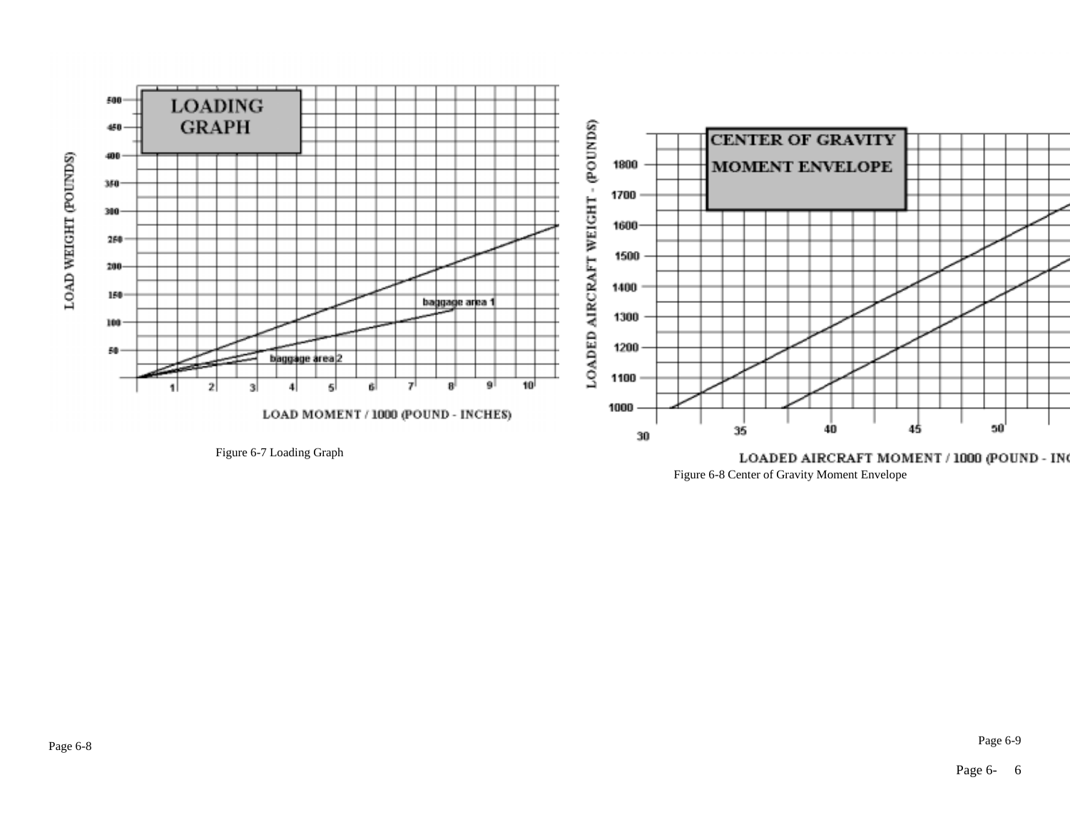

Figure 6-7 Loading Graph

Figure 6-8 Center of Gravity Moment Envelope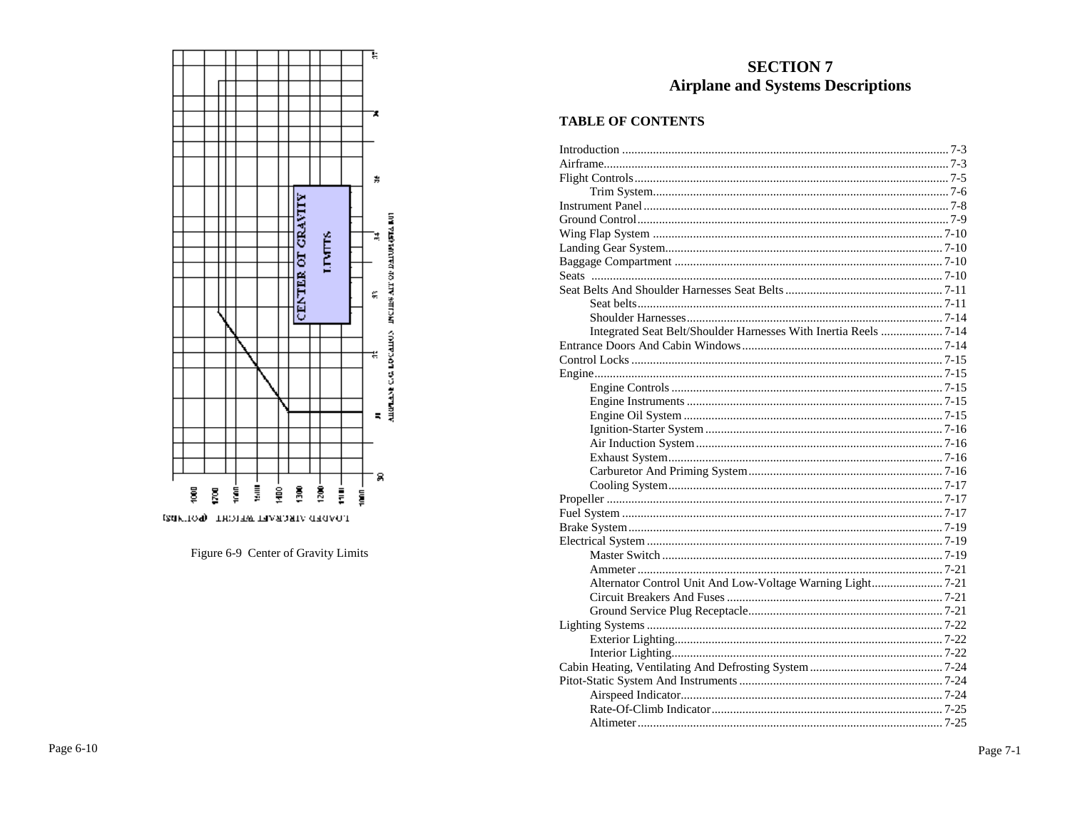

# **TABLE OF CONTENTS**

| Integrated Seat Belt/Shoulder Harnesses With Inertia Reels  7-14 |  |
|------------------------------------------------------------------|--|
|                                                                  |  |
|                                                                  |  |
|                                                                  |  |
|                                                                  |  |
|                                                                  |  |
|                                                                  |  |
|                                                                  |  |
|                                                                  |  |
|                                                                  |  |
|                                                                  |  |
|                                                                  |  |
|                                                                  |  |
|                                                                  |  |
|                                                                  |  |
|                                                                  |  |
|                                                                  |  |
|                                                                  |  |
| Alternator Control Unit And Low-Voltage Warning Light7-21        |  |
|                                                                  |  |
|                                                                  |  |
|                                                                  |  |
|                                                                  |  |
|                                                                  |  |
|                                                                  |  |
|                                                                  |  |
|                                                                  |  |
|                                                                  |  |
|                                                                  |  |



Figure 6-9 Center of Gravity Limits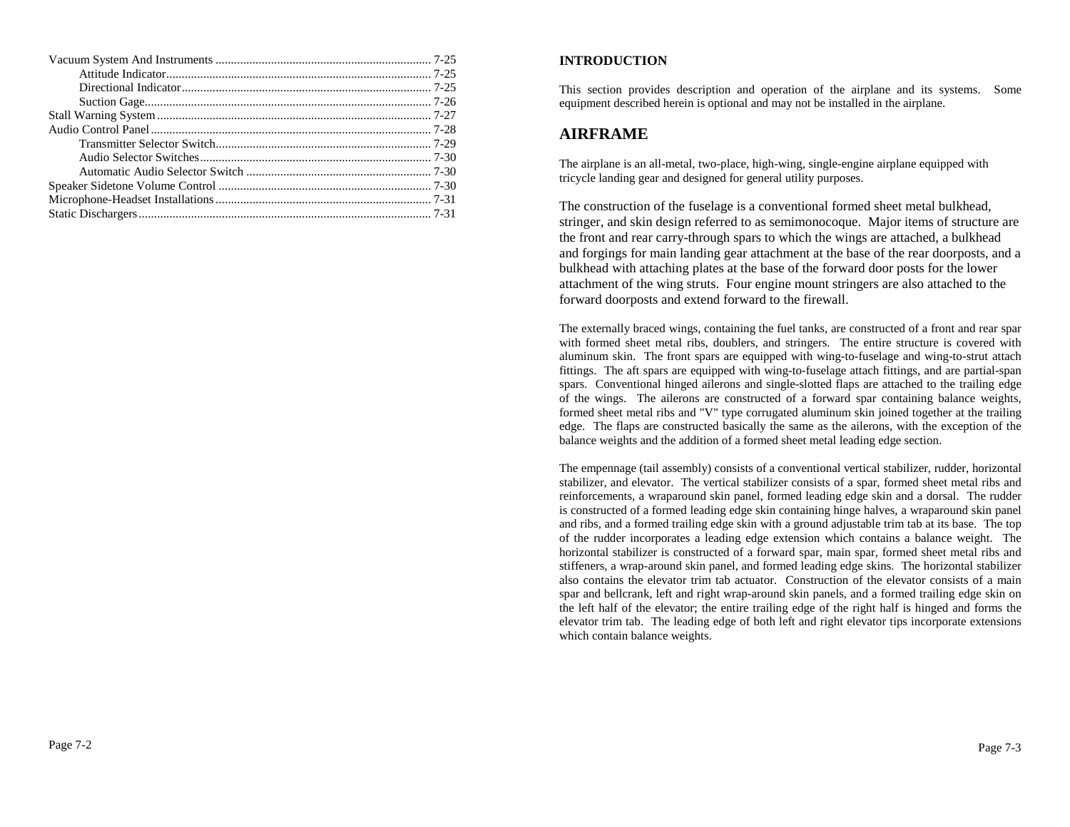### **INTRODUCTION**

This section provides description and operation of the airplane and its systems. Some equipment described herein is optional and may not be installed in the airplane.

# **AIRFRAME**

The airplane is an all-metal, two-place, high-wing, single-engine airplane equipped with tricycle landing gear and designed for general utility purposes.

The construction of the fuselage is a conventional formed sheet metal bulkhead, stringer, and skin design referred to as semimonocoque. Major items of structure are the front and rear carry-through spars to which the wings are attached, a bulkhead and forgings for main landing gear attachment at the base of the rear doorposts, and a bulkhead with attaching plates at the base of the forward door posts for the lower attachment of the wing struts. Four engine mount stringers are also attached to the forward doorposts and extend forward to the firewall.

The externally braced wings, containing the fuel tanks, are constructed of a front and rear spar with formed sheet metal ribs, doublers, and stringers. The entire structure is covered with aluminum skin. The front spars are equipped with wing-to-fuselage and wing-to-strut attach fittings. The aft spars are equipped with wing-to-fuselage attach fittings, and are partial-span spars. Conventional hinged ailerons and single-slotted flaps are attached to the trailing edge of the wings. The ailerons are constructed of a forward spar containing balance weights, formed sheet metal ribs and "V" type corrugated aluminum skin joined together at the trailing edge. The flaps are constructed basically the same as the ailerons, with the exception of the balance weights and the addition of a formed sheet metal leading edge section.

The empennage (tail assembly) consists of a conventional vertical stabilizer, rudder, horizontal stabilizer, and elevator. The vertical stabilizer consists of a spar, formed sheet metal ribs and reinforcements, a wraparound skin panel, formed leading edge skin and a dorsal. The rudder is constructed of a formed leading edge skin containing hinge halves, a wraparound skin panel and ribs, and a formed trailing edge skin with a ground adjustable trim tab at its base. The top of the rudder incorporates a leading edge extension which contains a balance weight. The horizontal stabilizer is constructed of a forward spar, main spar, formed sheet metal ribs and stiffeners, a wrap-around skin panel, and formed leading edge skins. The horizontal stabilizer also contains the elevator trim tab actuator. Construction of the elevator consists of a main spar and bellcrank, left and right wrap-around skin panels, and a formed trailing edge skin on the left half of the elevator; the entire trailing edge of the right half is hinged and forms the elevator trim tab. The leading edge of both left and right elevator tips incorporate extensions which contain balance weights.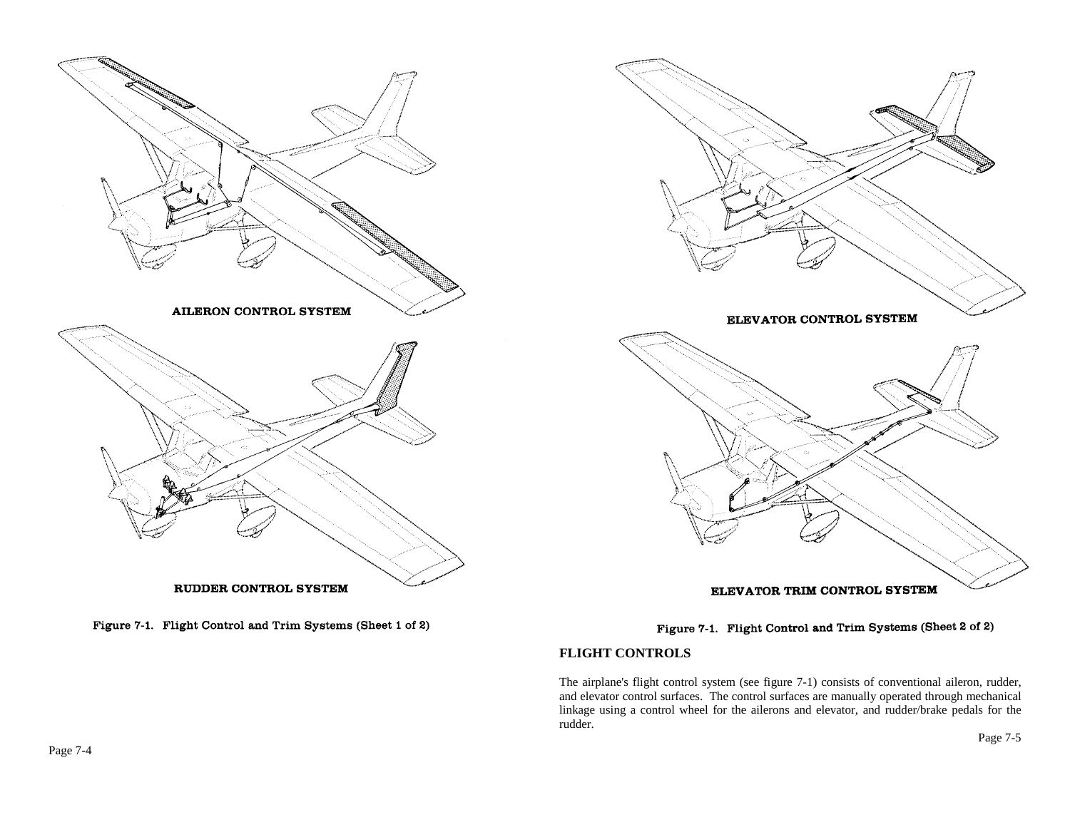

Figure 7-1. Flight Control and Trim Systems (Sheet 1 of 2)



Figure 7-1. Flight Control and Trim Systems (Sheet 2 of 2)

### **FLIGHT CONTROLS**

The airplane's flight control system (see figure 7-1) consists of conventional aileron, rudder, and elevator control surfaces. The control surfaces are manually operated through mechanical linkage using a control wheel for the ailerons and elevator, and rudder/brake pedals for the rudder.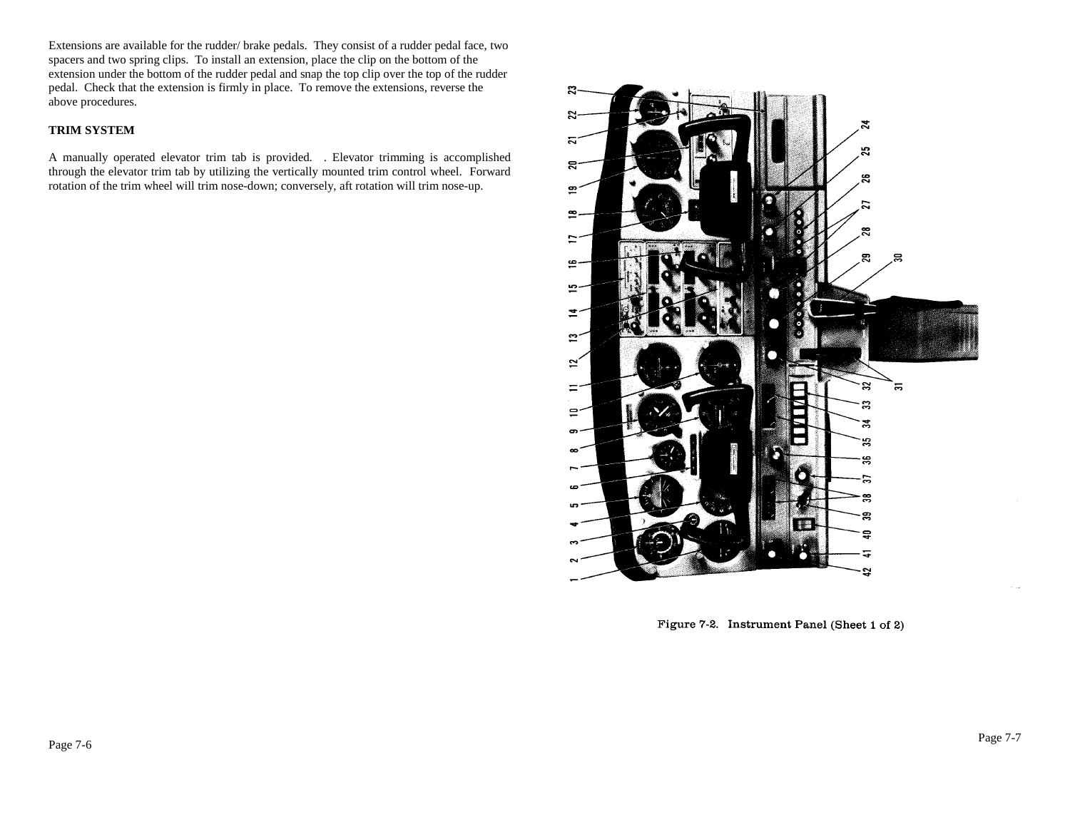Extensions are available for the rudder/ brake pedals. They consist of a rudder pedal face, two spacers and two spring clips. To install an extension, place the clip on the bottom of the extension under the bottom of the rudder pedal and snap the top clip over the top of the rudder pedal. Check that the extension is firmly in place. To remove the extensions, reverse the above procedures.

#### **TRIM SYSTEM**

A manually operated elevator trim tab is provided. . Elevator trimming is accomplished through the elevator trim tab by utilizing the vertically mounted trim control wheel. Forward rotation of the trim wheel will trim nose-down; conversely, aft rotation will trim nose-up.



Figure 7-2. Instrument Panel (Sheet 1 of 2)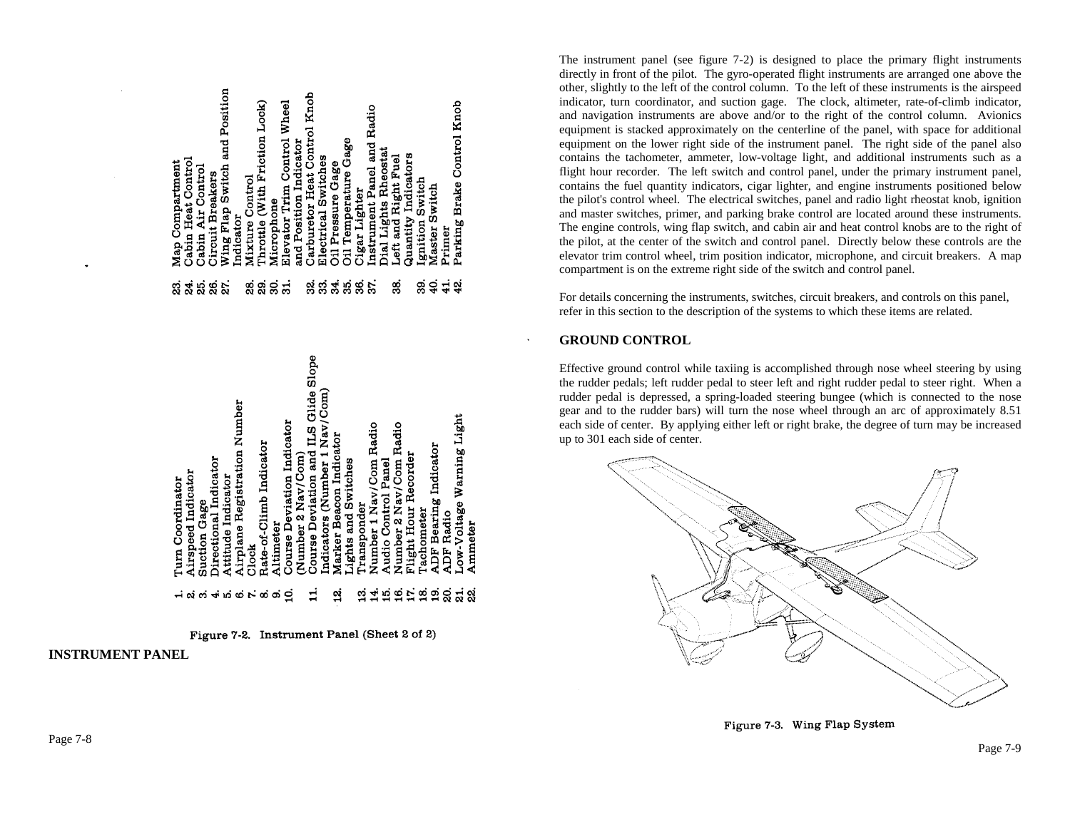S Glide Slope

The instrument panel (see figure 7-2) is designed to place the primary flight instruments directly in front of the pilot. The gyro-operated flight instruments are arranged one above the other, slightly to the left of the control column. To the left of these instruments is the airspeed indicator, turn coordinator, and suction gage. The clock, altimeter, rate-of-climb indicator, and navigation instruments are above and/or to the right of the control column. Avionics equipment is stacked approximately on the centerline of the panel, with space for additional equipment on the lower right side of the instrument panel. The right side of the panel also contains the tachometer, ammeter, low-voltage light, and additional instruments such as a flight hour recorder. The left switch and control panel, under the primary instrument panel, contains the fuel quantity indicators, cigar lighter, and engine instruments positioned below the pilot's control wheel. The electrical switches, panel and radio light rheostat knob, ignition and master switches, primer, and parking brake control are located around these instruments. The engine controls, wing flap switch, and cabin air and heat control knobs are to the right of the pilot, at the center of the switch and control panel. Directly below these controls are the elevator trim control wheel, trim position indicator, microphone, and circuit breakers. A map compartment is on the extreme right side of the switch and control panel.

For details concerning the instruments, switches, circuit breakers, and controls on this panel, refer in this section to the description of the systems to which these items are related.

#### **GROUND CONTROL**

Effective ground control while taxiing is accomplished through nose wheel steering by using the rudder pedals; left rudder pedal to steer left and right rudder pedal to steer right. When a rudder pedal is depressed, a spring-loaded steering bungee (which is connected to the nose gear and to the rudder bars) will turn the nose wheel through an arc of approximately 8.51 each side of center. By applying either left or right brake, the degree of turn may be increased up to 301 each side of center.



Figure 7-3. Wing Flap System

# Low-Voltage Warning Light Marker Beacon Indicator<br>Lights and Switches Flight Hour Recorder Number Lights Audio **ADF** ADF 191199858 <u>ល្អ</u> <u>ෆ</u> ₹

ransponder

Radio

1 Nav/Com Panel

Control

2 Nav/Com Radio

Bearing Indicator

Ammeter

hometer Radio

raci

Figure 7-2. Instrument Panel (Sheet 2 of 2)

#### **INSTRUMENT PANEL**

| Course Deviation and ILS Glide<br>Indicators (Number 1 Nav/Com)<br>Airplane Registration Number<br><b>Course Deviation Indicator</b><br>Rate-of-Climb Indicator<br>(Number 2 Nav/Com)<br>Altimeter<br>Clock | $\vec{r}$<br>Υ, |
|-------------------------------------------------------------------------------------------------------------------------------------------------------------------------------------------------------------|-----------------|
|                                                                                                                                                                                                             |                 |
|                                                                                                                                                                                                             | တ               |
|                                                                                                                                                                                                             | oó              |
|                                                                                                                                                                                                             |                 |
|                                                                                                                                                                                                             | ಠ               |
| Attitude Indicator                                                                                                                                                                                          | າບຸ             |
| Directional Indicator                                                                                                                                                                                       | 4.              |
| Suction Gage                                                                                                                                                                                                |                 |
| Arspeed Indicator                                                                                                                                                                                           | αi              |

Turn Coordinator

 $\div$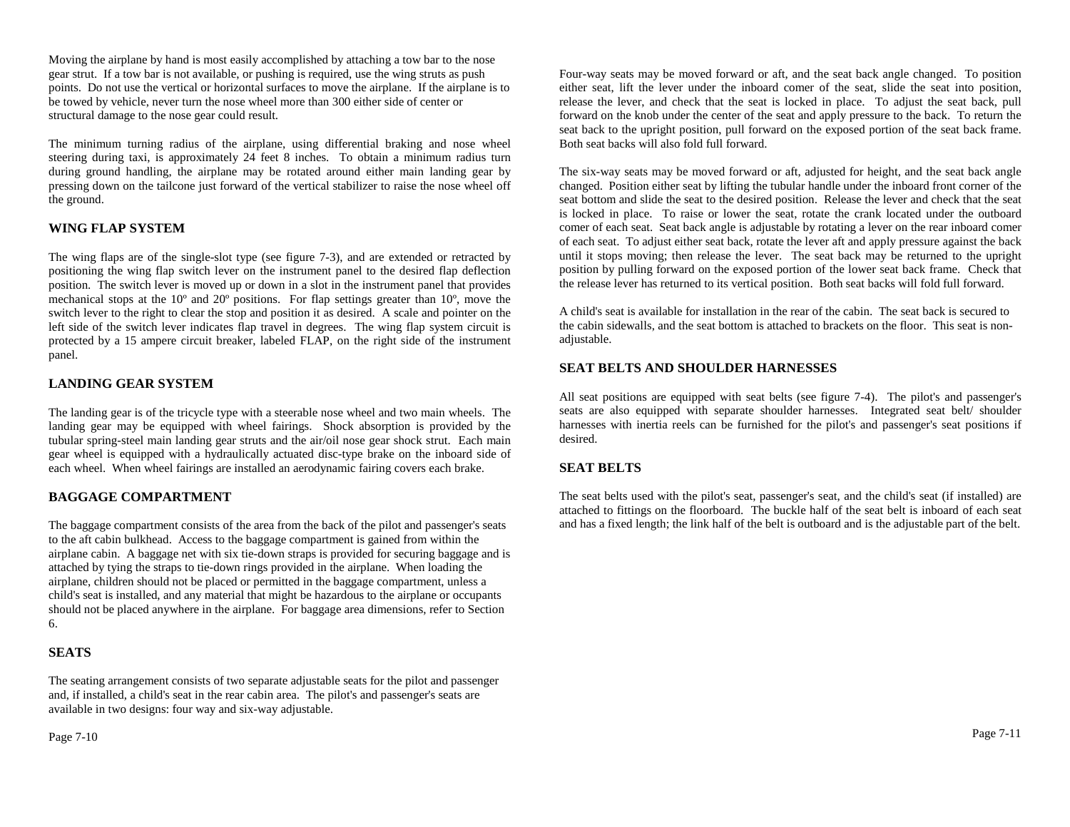Moving the airplane by hand is most easily accomplished by attaching a tow bar to the nose gear strut. If a tow bar is not available, or pushing is required, use the wing struts as push points. Do not use the vertical or horizontal surfaces to move the airplane. If the airplane is to be towed by vehicle, never turn the nose wheel more than 300 either side of center or structural damage to the nose gear could result.

The minimum turning radius of the airplane, using differential braking and nose wheel steering during taxi, is approximately 24 feet 8 inches. To obtain a minimum radius turn during ground handling, the airplane may be rotated around either main landing gear by pressing down on the tailcone just forward of the vertical stabilizer to raise the nose wheel off the ground.

### **WING FLAP SYSTEM**

The wing flaps are of the single-slot type (see figure 7-3), and are extended or retracted by positioning the wing flap switch lever on the instrument panel to the desired flap deflection position. The switch lever is moved up or down in a slot in the instrument panel that provides mechanical stops at the 10º and 20º positions. For flap settings greater than 10º, move the switch lever to the right to clear the stop and position it as desired. A scale and pointer on the left side of the switch lever indicates flap travel in degrees. The wing flap system circuit is protected by a 15 ampere circuit breaker, labeled FLAP, on the right side of the instrument panel.

### **LANDING GEAR SYSTEM**

The landing gear is of the tricycle type with a steerable nose wheel and two main wheels. The landing gear may be equipped with wheel fairings. Shock absorption is provided by the tubular spring-steel main landing gear struts and the air/oil nose gear shock strut. Each main gear wheel is equipped with a hydraulically actuated disc-type brake on the inboard side of each wheel. When wheel fairings are installed an aerodynamic fairing covers each brake.

### **BAGGAGE COMPARTMENT**

The baggage compartment consists of the area from the back of the pilot and passenger's seats to the aft cabin bulkhead. Access to the baggage compartment is gained from within the airplane cabin. A baggage net with six tie-down straps is provided for securing baggage and is attached by tying the straps to tie-down rings provided in the airplane. When loading the airplane, children should not be placed or permitted in the baggage compartment, unless a child's seat is installed, and any material that might be hazardous to the airplane or occupants should not be placed anywhere in the airplane. For baggage area dimensions, refer to Section 6.

### **SEATS**

The seating arrangement consists of two separate adjustable seats for the pilot and passenger and, if installed, a child's seat in the rear cabin area. The pilot's and passenger's seats are available in two designs: four way and six-way adjustable.

Page 7-10

Four-way seats may be moved forward or aft, and the seat back angle changed. To position either seat, lift the lever under the inboard comer of the seat, slide the seat into position, release the lever, and check that the seat is locked in place. To adjust the seat back, pull forward on the knob under the center of the seat and apply pressure to the back. To return the seat back to the upright position, pull forward on the exposed portion of the seat back frame. Both seat backs will also fold full forward.

The six-way seats may be moved forward or aft, adjusted for height, and the seat back angle changed. Position either seat by lifting the tubular handle under the inboard front corner of the seat bottom and slide the seat to the desired position. Release the lever and check that the seat is locked in place. To raise or lower the seat, rotate the crank located under the outboard comer of each seat. Seat back angle is adjustable by rotating a lever on the rear inboard comer of each seat. To adjust either seat back, rotate the lever aft and apply pressure against the back until it stops moving; then release the lever. The seat back may be returned to the upright position by pulling forward on the exposed portion of the lower seat back frame. Check that the release lever has returned to its vertical position. Both seat backs will fold full forward.

A child's seat is available for installation in the rear of the cabin. The seat back is secured tothe cabin sidewalls, and the seat bottom is attached to brackets on the floor. This seat is nonadjustable.

### **SEAT BELTS AND SHOULDER HARNESSES**

All seat positions are equipped with seat belts (see figure 7-4). The pilot's and passenger's seats are also equipped with separate shoulder harnesses. Integrated seat belt/ shoulder harnesses with inertia reels can be furnished for the pilot's and passenger's seat positions if desired.

### **SEAT BELTS**

The seat belts used with the pilot's seat, passenger's seat, and the child's seat (if installed) are attached to fittings on the floorboard. The buckle half of the seat belt is inboard of each seat and has a fixed length; the link half of the belt is outboard and is the adjustable part of the belt.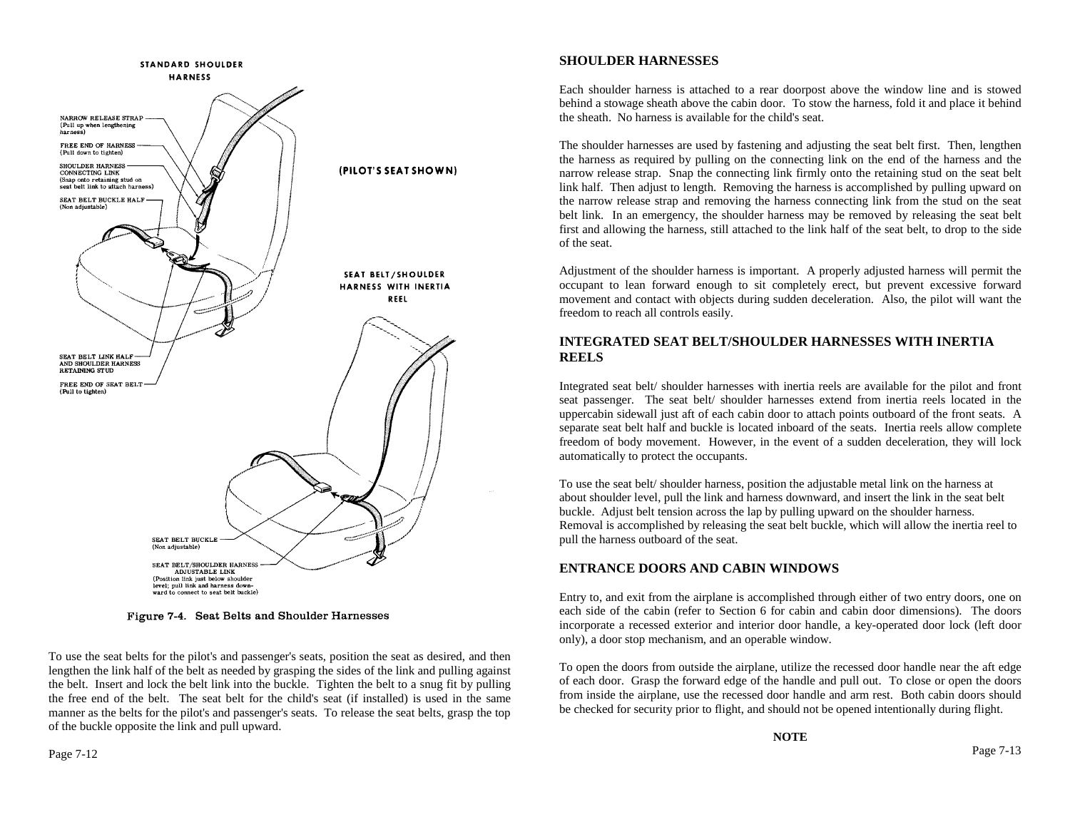

Figure 7-4. Seat Belts and Shoulder Harnesses

To use the seat belts for the pilot's and passenger's seats, position the seat as desired, and then lengthen the link half of the belt as needed by grasping the sides of the link and pulling against the belt. Insert and lock the belt link into the buckle. Tighten the belt to a snug fit by pulling the free end of the belt. The seat belt for the child's seat (if installed) is used in the same manner as the belts for the pilot's and passenger's seats. To release the seat belts, grasp the top of the buckle opposite the link and pull upward.

## **SHOULDER HARNESSES**

Each shoulder harness is attached to a rear doorpost above the window line and is stowed behind a stowage sheath above the cabin door. To stow the harness, fold it and place it behind the sheath. No harness is available for the child's seat.

The shoulder harnesses are used by fastening and adjusting the seat belt first. Then, lengthen the harness as required by pulling on the connecting link on the end of the harness and the narrow release strap. Snap the connecting link firmly onto the retaining stud on the seat belt link half. Then adjust to length. Removing the harness is accomplished by pulling upward on the narrow release strap and removing the harness connecting link from the stud on the seat belt link. In an emergency, the shoulder harness may be removed by releasing the seat belt first and allowing the harness, still attached to the link half of the seat belt, to drop to the side of the seat.

Adjustment of the shoulder harness is important. A properly adjusted harness will permit the occupant to lean forward enough to sit completely erect, but prevent excessive forward movement and contact with objects during sudden deceleration. Also, the pilot will want the freedom to reach all controls easily.

### **INTEGRATED SEAT BELT/SHOULDER HARNESSES WITH INERTIAREELS**

Integrated seat belt/ shoulder harnesses with inertia reels are available for the pilot and front seat passenger. The seat belt/ shoulder harnesses extend from inertia reels located in the uppercabin sidewall just aft of each cabin door to attach points outboard of the front seats. A separate seat belt half and buckle is located inboard of the seats. Inertia reels allow complete freedom of body movement. However, in the event of a sudden deceleration, they will lock automatically to protect the occupants.

To use the seat belt/ shoulder harness, position the adjustable metal link on the harness at about shoulder level, pull the link and harness downward, and insert the link in the seat belt buckle. Adjust belt tension across the lap by pulling upward on the shoulder harness. Removal is accomplished by releasing the seat belt buckle, which will allow the inertia reel to pull the harness outboard of the seat.

# **ENTRANCE DOORS AND CABIN WINDOWS**

Entry to, and exit from the airplane is accomplished through either of two entry doors, one on each side of the cabin (refer to Section 6 for cabin and cabin door dimensions). The doors incorporate a recessed exterior and interior door handle, a key-operated door lock (left door only), a door stop mechanism, and an operable window.

To open the doors from outside the airplane, utilize the recessed door handle near the aft edge of each door. Grasp the forward edge of the handle and pull out. To close or open the doors from inside the airplane, use the recessed door handle and arm rest. Both cabin doors should be checked for security prior to flight, and should not be opened intentionally during flight.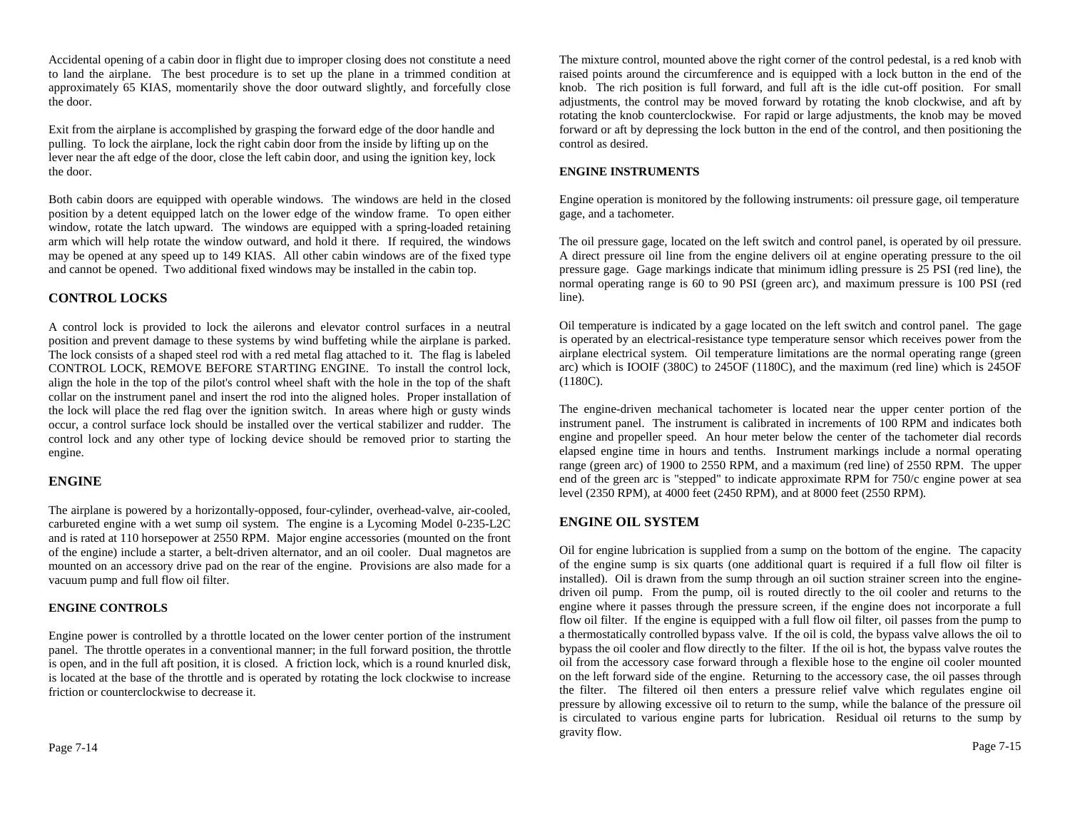Accidental opening of a cabin door in flight due to improper closing does not constitute a need to land the airplane. The best procedure is to set up the plane in a trimmed condition at approximately 65 KIAS, momentarily shove the door outward slightly, and forcefully close the door.

Exit from the airplane is accomplished by grasping the forward edge of the door handle and pulling. To lock the airplane, lock the right cabin door from the inside by lifting up on the lever near the aft edge of the door, close the left cabin door, and using the ignition key, lock the door.

Both cabin doors are equipped with operable windows. The windows are held in the closed position by a detent equipped latch on the lower edge of the window frame. To open either window, rotate the latch upward. The windows are equipped with a spring-loaded retaining arm which will help rotate the window outward, and hold it there. If required, the windows may be opened at any speed up to 149 KIAS. All other cabin windows are of the fixed type and cannot be opened. Two additional fixed windows may be installed in the cabin top.

### **CONTROL LOCKS**

A control lock is provided to lock the ailerons and elevator control surfaces in a neutral position and prevent damage to these systems by wind buffeting while the airplane is parked. The lock consists of a shaped steel rod with a red metal flag attached to it. The flag is labeled CONTROL LOCK, REMOVE BEFORE STARTING ENGINE. To install the control lock, align the hole in the top of the pilot's control wheel shaft with the hole in the top of the shaft collar on the instrument panel and insert the rod into the aligned holes. Proper installation of the lock will place the red flag over the ignition switch. In areas where high or gusty winds occur, a control surface lock should be installed over the vertical stabilizer and rudder. The control lock and any other type of locking device should be removed prior to starting the engine.

### **ENGINE**

The airplane is powered by a horizontally-opposed, four-cylinder, overhead-valve, air-cooled, carbureted engine with a wet sump oil system. The engine is a Lycoming Model 0-235-L2C and is rated at 110 horsepower at 2550 RPM. Major engine accessories (mounted on the front of the engine) include a starter, a belt-driven alternator, and an oil cooler. Dual magnetos are mounted on an accessory drive pad on the rear of the engine. Provisions are also made for a vacuum pump and full flow oil filter.

### **ENGINE CONTROLS**

Engine power is controlled by a throttle located on the lower center portion of the instrument panel. The throttle operates in a conventional manner; in the full forward position, the throttle is open, and in the full aft position, it is closed. A friction lock, which is a round knurled disk, is located at the base of the throttle and is operated by rotating the lock clockwise to increase friction or counterclockwise to decrease it.

The mixture control, mounted above the right corner of the control pedestal, is a red knob with raised points around the circumference and is equipped with a lock button in the end of the knob. The rich position is full forward, and full aft is the idle cut-off position. For small adjustments, the control may be moved forward by rotating the knob clockwise, and aft by rotating the knob counterclockwise. For rapid or large adjustments, the knob may be moved forward or aft by depressing the lock button in the end of the control, and then positioning the control as desired.

### **ENGINE INSTRUMENTS**

Engine operation is monitored by the following instruments: oil pressure gage, oil temperature gage, and a tachometer.

The oil pressure gage, located on the left switch and control panel, is operated by oil pressure. A direct pressure oil line from the engine delivers oil at engine operating pressure to the oil pressure gage. Gage markings indicate that minimum idling pressure is 25 PSI (red line), the normal operating range is 60 to 90 PSI (green arc), and maximum pressure is 100 PSI (red line).

Oil temperature is indicated by a gage located on the left switch and control panel. The gage is operated by an electrical-resistance type temperature sensor which receives power from the airplane electrical system. Oil temperature limitations are the normal operating range (green arc) which is IOOIF (380C) to 245OF (1180C), and the maximum (red line) which is 245OF (1180C).

The engine-driven mechanical tachometer is located near the upper center portion of the instrument panel. The instrument is calibrated in increments of 100 RPM and indicates both engine and propeller speed. An hour meter below the center of the tachometer dial records elapsed engine time in hours and tenths. Instrument markings include a normal operating range (green arc) of 1900 to 2550 RPM, and a maximum (red line) of 2550 RPM. The upper end of the green arc is "stepped" to indicate approximate RPM for 750/c engine power at sea level (2350 RPM), at 4000 feet (2450 RPM), and at 8000 feet (2550 RPM).

### **ENGINE OIL SYSTEM**

Oil for engine lubrication is supplied from a sump on the bottom of the engine. The capacity of the engine sump is six quarts (one additional quart is required if a full flow oil filter is installed). Oil is drawn from the sump through an oil suction strainer screen into the enginedriven oil pump. From the pump, oil is routed directly to the oil cooler and returns to the engine where it passes through the pressure screen, if the engine does not incorporate a full flow oil filter. If the engine is equipped with a full flow oil filter, oil passes from the pump to a thermostatically controlled bypass valve. If the oil is cold, the bypass valve allows the oil to bypass the oil cooler and flow directly to the filter. If the oil is hot, the bypass valve routes the oil from the accessory case forward through a flexible hose to the engine oil cooler mounted on the left forward side of the engine. Returning to the accessory case, the oil passes through the filter. The filtered oil then enters a pressure relief valve which regulates engine oil pressure by allowing excessive oil to return to the sump, while the balance of the pressure oil is circulated to various engine parts for lubrication. Residual oil returns to the sump by gravity flow.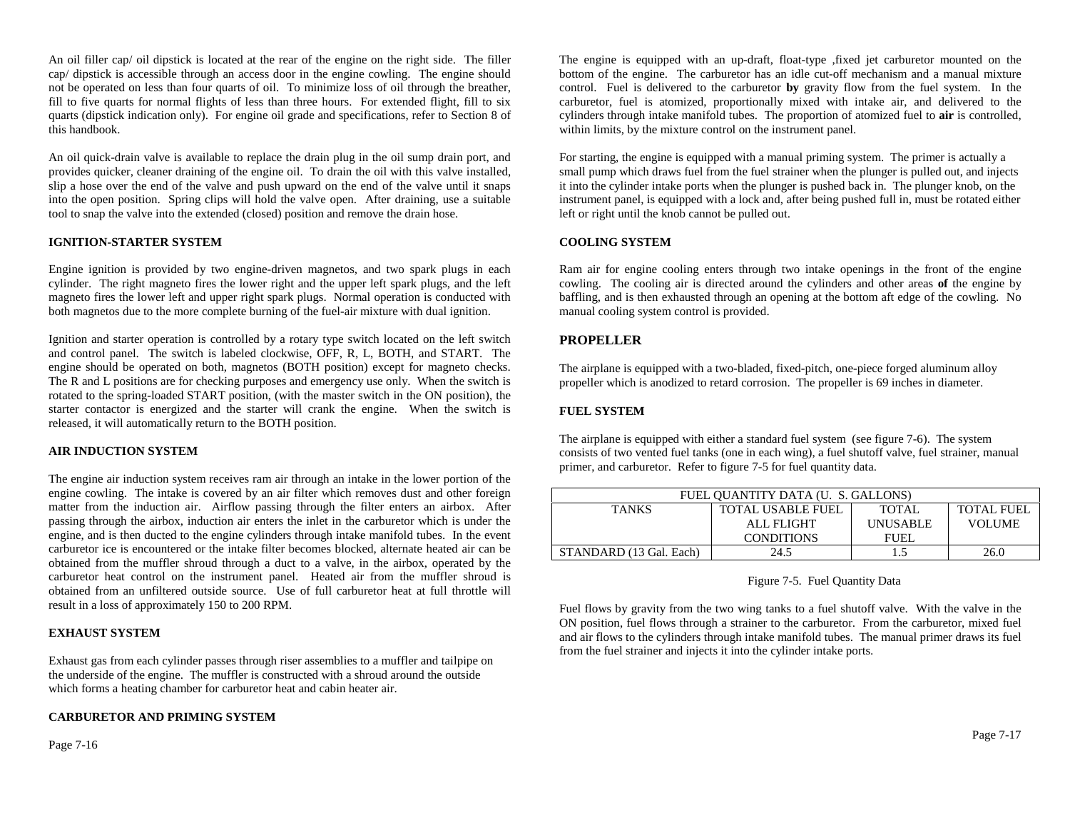An oil filler cap/ oil dipstick is located at the rear of the engine on the right side. The filler cap/ dipstick is accessible through an access door in the engine cowling. The engine should not be operated on less than four quarts of oil. To minimize loss of oil through the breather, fill to five quarts for normal flights of less than three hours. For extended flight, fill to six quarts (dipstick indication only). For engine oil grade and specifications, refer to Section 8 of this handbook.

An oil quick-drain valve is available to replace the drain plug in the oil sump drain port, and provides quicker, cleaner draining of the engine oil. To drain the oil with this valve installed, slip a hose over the end of the valve and push upward on the end of the valve until it snaps into the open position. Spring clips will hold the valve open. After draining, use a suitable tool to snap the valve into the extended (closed) position and remove the drain hose.

#### **IGNITION-STARTER SYSTEM**

Engine ignition is provided by two engine-driven magnetos, and two spark plugs in each cylinder. The right magneto fires the lower right and the upper left spark plugs, and the left magneto fires the lower left and upper right spark plugs. Normal operation is conducted with both magnetos due to the more complete burning of the fuel-air mixture with dual ignition.

Ignition and starter operation is controlled by a rotary type switch located on the left switch and control panel. The switch is labeled clockwise, OFF, R, L, BOTH, and START. The engine should be operated on both, magnetos (BOTH position) except for magneto checks. The R and L positions are for checking purposes and emergency use only. When the switch is rotated to the spring-loaded START position, (with the master switch in the ON position), the starter contactor is energized and the starter will crank the engine. When the switch is released, it will automatically return to the BOTH position.

#### **AIR INDUCTION SYSTEM**

The engine air induction system receives ram air through an intake in the lower portion of the engine cowling. The intake is covered by an air filter which removes dust and other foreign matter from the induction air. Airflow passing through the filter enters an airbox. After passing through the airbox, induction air enters the inlet in the carburetor which is under the engine, and is then ducted to the engine cylinders through intake manifold tubes. In the event carburetor ice is encountered or the intake filter becomes blocked, alternate heated air can be obtained from the muffler shroud through a duct to a valve, in the airbox, operated by the carburetor heat control on the instrument panel. Heated air from the muffler shroud is obtained from an unfiltered outside source. Use of full carburetor heat at full throttle willresult in a loss of approximately 150 to 200 RPM.

#### **EXHAUST SYSTEM**

Exhaust gas from each cylinder passes through riser assemblies to a muffler and tailpipe on the underside of the engine. The muffler is constructed with a shroud around the outside which forms a heating chamber for carburetor heat and cabin heater air.

#### **CARBURETOR AND PRIMING SYSTEM**

The engine is equipped with an up-draft, float-type ,fixed jet carburetor mounted on the bottom of the engine. The carburetor has an idle cut-off mechanism and a manual mixture control. Fuel is delivered to the carburetor **by** gravity flow from the fuel system. In the carburetor, fuel is atomized, proportionally mixed with intake air, and delivered to the cylinders through intake manifold tubes. The proportion of atomized fuel to **air** is controlled, within limits, by the mixture control on the instrument panel.

For starting, the engine is equipped with a manual priming system. The primer is actually a small pump which draws fuel from the fuel strainer when the plunger is pulled out, and injects it into the cylinder intake ports when the plunger is pushed back in. The plunger knob, on the instrument panel, is equipped with a lock and, after being pushed full in, must be rotated either left or right until the knob cannot be pulled out.

#### **COOLING SYSTEM**

Ram air for engine cooling enters through two intake openings in the front of the engine cowling. The cooling air is directed around the cylinders and other areas **of** the engine by baffling, and is then exhausted through an opening at the bottom aft edge of the cowling. No manual cooling system control is provided.

#### **PROPELLER**

The airplane is equipped with a two-bladed, fixed-pitch, one-piece forged aluminum alloy propeller which is anodized to retard corrosion. The propeller is 69 inches in diameter.

#### **FUEL SYSTEM**

The airplane is equipped with either a standard fuel system (see figure 7-6). The system consists of two vented fuel tanks (one in each wing), a fuel shutoff valve, fuel strainer, manual primer, and carburetor. Refer to figure 7-5 for fuel quantity data.

| FUEL QUANTITY DATA (U. S. GALLONS) |                                                        |                 |               |  |  |
|------------------------------------|--------------------------------------------------------|-----------------|---------------|--|--|
| <b>TANKS</b>                       | <b>TOTAL FUEL</b><br><b>TOTAL USABLE FUEL</b><br>TOTAL |                 |               |  |  |
|                                    | ALL FLIGHT                                             | <b>UNUSABLE</b> | <b>VOLUME</b> |  |  |
|                                    | <b>CONDITIONS</b>                                      | FUEL            |               |  |  |
| STANDARD (13 Gal. Each)            | 24.5                                                   |                 | 26.0          |  |  |

#### Figure 7-5. Fuel Quantity Data

Fuel flows by gravity from the two wing tanks to a fuel shutoff valve. With the valve in the ON position, fuel flows through a strainer to the carburetor. From the carburetor, mixed fuel and air flows to the cylinders through intake manifold tubes. The manual primer draws its fuel from the fuel strainer and injects it into the cylinder intake ports.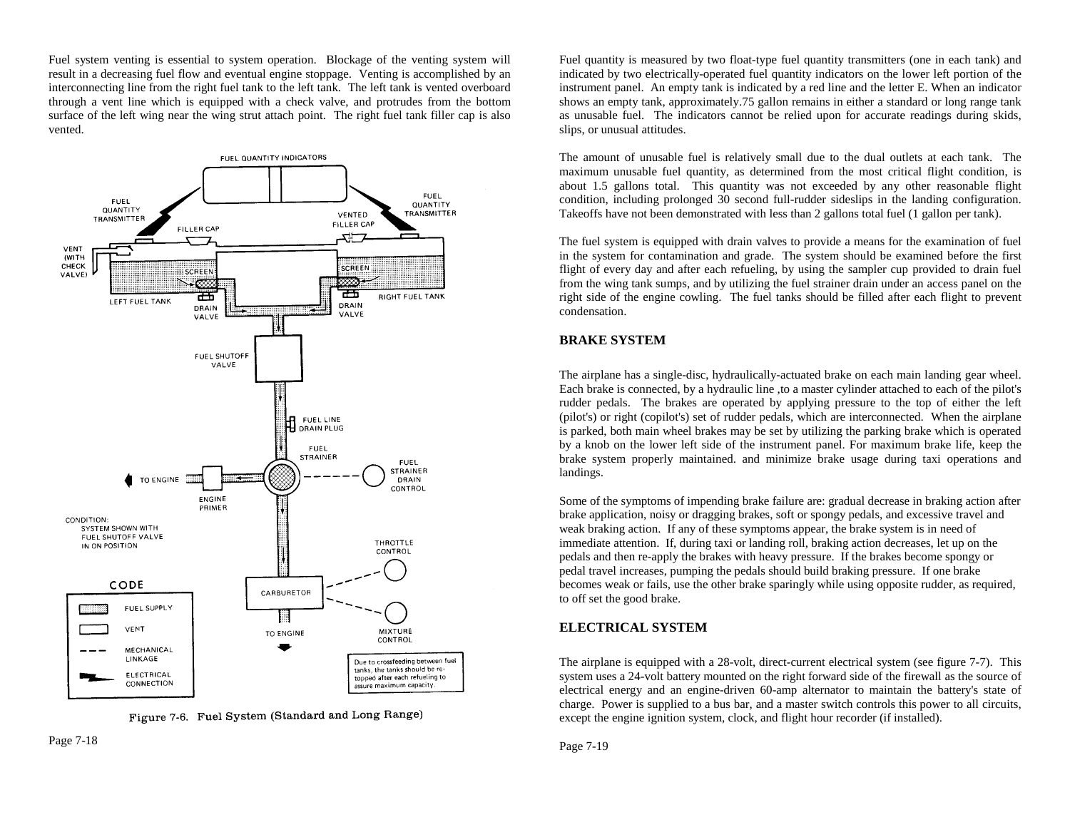Fuel system venting is essential to system operation. Blockage of the venting system will result in a decreasing fuel flow and eventual engine stoppage. Venting is accomplished by an interconnecting line from the right fuel tank to the left tank. The left tank is vented overboard through a vent line which is equipped with a check valve, and protrudes from the bottom surface of the left wing near the wing strut attach point. The right fuel tank filler cap is also vented.





Fuel quantity is measured by two float-type fuel quantity transmitters (one in each tank) and indicated by two electrically-operated fuel quantity indicators on the lower left portion of the instrument panel. An empty tank is indicated by a red line and the letter E. When an indicator shows an empty tank, approximately.75 gallon remains in either a standard or long range tank as unusable fuel. The indicators cannot be relied upon for accurate readings during skids, slips, or unusual attitudes.

The amount of unusable fuel is relatively small due to the dual outlets at each tank. The maximum unusable fuel quantity, as determined from the most critical flight condition, is about 1.5 gallons total. This quantity was not exceeded by any other reasonable flight condition, including prolonged 30 second full-rudder sideslips in the landing configuration. Takeoffs have not been demonstrated with less than 2 gallons total fuel (1 gallon per tank).

The fuel system is equipped with drain valves to provide a means for the examination of fuel in the system for contamination and grade. The system should be examined before the first flight of every day and after each refueling, by using the sampler cup provided to drain fuel from the wing tank sumps, and by utilizing the fuel strainer drain under an access panel on the right side of the engine cowling. The fuel tanks should be filled after each flight to prevent condensation.

### **BRAKE SYSTEM**

The airplane has a single-disc, hydraulically-actuated brake on each main landing gear wheel. Each brake is connected, by a hydraulic line ,to a master cylinder attached to each of the pilot's rudder pedals. The brakes are operated by applying pressure to the top of either the left (pilot's) or right (copilot's) set of rudder pedals, which are interconnected. When the airplane is parked, both main wheel brakes may be set by utilizing the parking brake which is operated by a knob on the lower left side of the instrument panel. For maximum brake life, keep the brake system properly maintained. and minimize brake usage during taxi operations and landings.

Some of the symptoms of impending brake failure are: gradual decrease in braking action after brake application, noisy or dragging brakes, soft or spongy pedals, and excessive travel and weak braking action. If any of these symptoms appear, the brake system is in need of immediate attention. If, during taxi or landing roll, braking action decreases, let up on the pedals and then re-apply the brakes with heavy pressure. If the brakes become spongy or pedal travel increases, pumping the pedals should build braking pressure. If one brake becomes weak or fails, use the other brake sparingly while using opposite rudder, as required, to off set the good brake.

# **ELECTRICAL SYSTEM**

The airplane is equipped with a 28-volt, direct-current electrical system (see figure 7-7). This system uses a 24-volt battery mounted on the right forward side of the firewall as the source of electrical energy and an engine-driven 60-amp alternator to maintain the battery's state of charge. Power is supplied to a bus bar, and a master switch controls this power to all circuits, except the engine ignition system, clock, and flight hour recorder (if installed).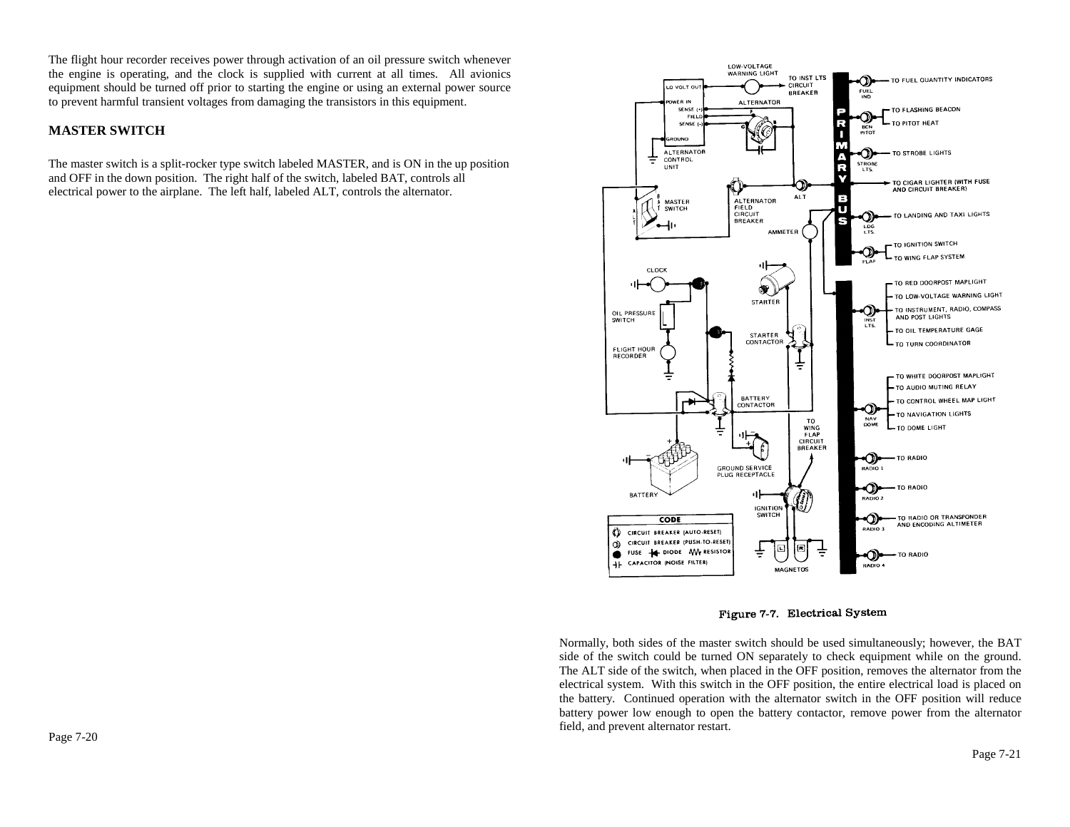The flight hour recorder receives power through activation of an oil pressure switch whenever the engine is operating, and the clock is supplied with current at all times. All avionics equipment should be turned off prior to starting the engine or using an external power source to prevent harmful transient voltages from damaging the transistors in this equipment.

### **MASTER SWITCH**

The master switch is a split-rocker type switch labeled MASTER, and is ON in the up position and OFF in the down position. The right half of the switch, labeled BAT, controls all electrical power to the airplane. The left half, labeled ALT, controls the alternator.



Figure 7-7. Electrical System

Normally, both sides of the master switch should be used simultaneously; however, the BAT side of the switch could be turned ON separately to check equipment while on the ground. The ALT side of the switch, when placed in the OFF position, removes the alternator from the electrical system. With this switch in the OFF position, the entire electrical load is placed on the battery. Continued operation with the alternator switch in the OFF position will reduce battery power low enough to open the battery contactor, remove power from the alternator field, and prevent alternator restart.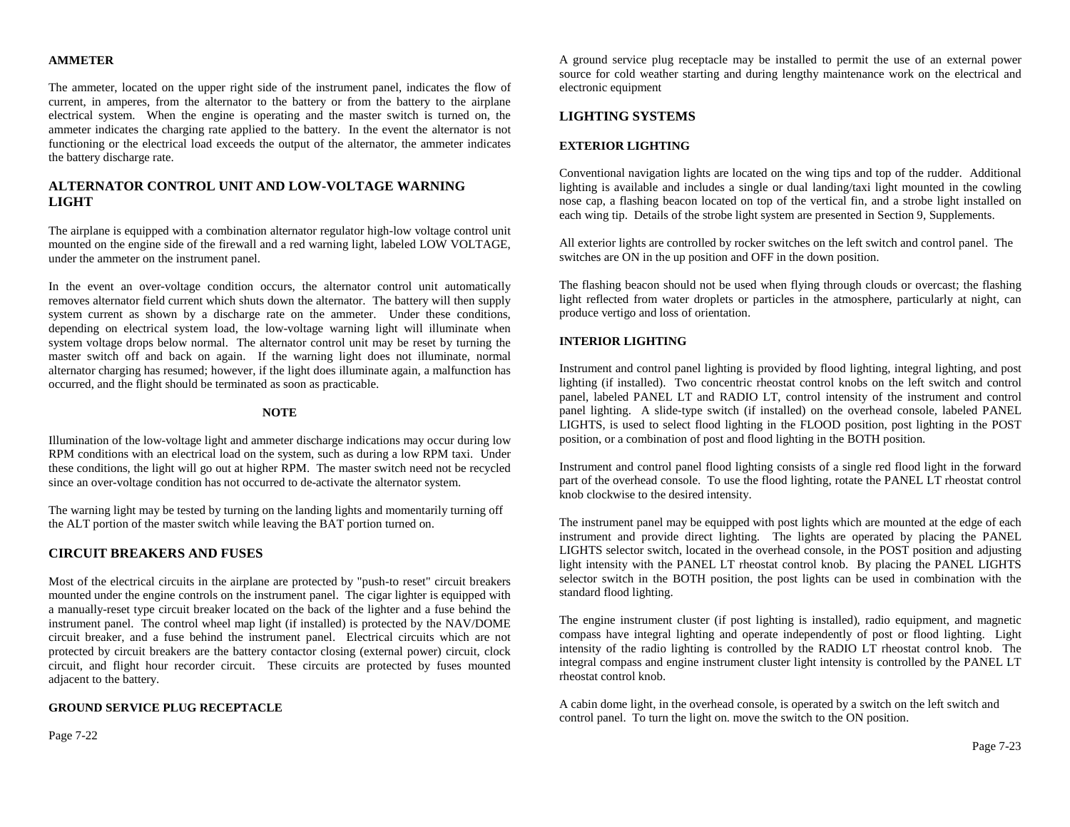#### **AMMETER**

The ammeter, located on the upper right side of the instrument panel, indicates the flow of current, in amperes, from the alternator to the battery or from the battery to the airplane electrical system. When the engine is operating and the master switch is turned on, the ammeter indicates the charging rate applied to the battery. In the event the alternator is not functioning or the electrical load exceeds the output of the alternator, the ammeter indicates the battery discharge rate.

### **ALTERNATOR CONTROL UNIT AND LOW-VOLTAGE WARNINGLIGHT**

The airplane is equipped with a combination alternator regulator high-low voltage control unit mounted on the engine side of the firewall and a red warning light, labeled LOW VOLTAGE, under the ammeter on the instrument panel.

In the event an over-voltage condition occurs, the alternator control unit automatically removes alternator field current which shuts down the alternator. The battery will then supply system current as shown by a discharge rate on the ammeter. Under these conditions, depending on electrical system load, the low-voltage warning light will illuminate when system voltage drops below normal. The alternator control unit may be reset by turning the master switch off and back on again. If the warning light does not illuminate, normal alternator charging has resumed; however, if the light does illuminate again, a malfunction has occurred, and the flight should be terminated as soon as practicable.

### **NOTE**

Illumination of the low-voltage light and ammeter discharge indications may occur during low RPM conditions with an electrical load on the system, such as during a low RPM taxi. Under these conditions, the light will go out at higher RPM. The master switch need not be recycled since an over-voltage condition has not occurred to de-activate the alternator system.

The warning light may be tested by turning on the landing lights and momentarily turning off the ALT portion of the master switch while leaving the BAT portion turned on.

#### **CIRCUIT BREAKERS AND FUSES**

Most of the electrical circuits in the airplane are protected by "push-to reset" circuit breakers mounted under the engine controls on the instrument panel. The cigar lighter is equipped with a manually-reset type circuit breaker located on the back of the lighter and a fuse behind the instrument panel. The control wheel map light (if installed) is protected by the NAV/DOME circuit breaker, and a fuse behind the instrument panel. Electrical circuits which are not protected by circuit breakers are the battery contactor closing (external power) circuit, clock circuit, and flight hour recorder circuit. These circuits are protected by fuses mounted adjacent to the battery.

#### **GROUND SERVICE PLUG RECEPTACLE**

A ground service plug receptacle may be installed to permit the use of an external power source for cold weather starting and during lengthy maintenance work on the electrical and electronic equipment

#### **LIGHTING SYSTEMS**

#### **EXTERIOR LIGHTING**

Conventional navigation lights are located on the wing tips and top of the rudder. Additional lighting is available and includes a single or dual landing/taxi light mounted in the cowling nose cap, a flashing beacon located on top of the vertical fin, and a strobe light installed on each wing tip. Details of the strobe light system are presented in Section 9, Supplements.

All exterior lights are controlled by rocker switches on the left switch and control panel. The switches are ON in the up position and OFF in the down position.

The flashing beacon should not be used when flying through clouds or overcast; the flashing light reflected from water droplets or particles in the atmosphere, particularly at night, can produce vertigo and loss of orientation.

#### **INTERIOR LIGHTING**

Instrument and control panel lighting is provided by flood lighting, integral lighting, and post lighting (if installed). Two concentric rheostat control knobs on the left switch and control panel, labeled PANEL LT and RADIO LT, control intensity of the instrument and control panel lighting. A slide-type switch (if installed) on the overhead console, labeled PANEL LIGHTS, is used to select flood lighting in the FLOOD position, post lighting in the POST position, or a combination of post and flood lighting in the BOTH position.

Instrument and control panel flood lighting consists of a single red flood light in the forward part of the overhead console. To use the flood lighting, rotate the PANEL LT rheostat control knob clockwise to the desired intensity.

The instrument panel may be equipped with post lights which are mounted at the edge of each instrument and provide direct lighting. The lights are operated by placing the PANEL LIGHTS selector switch, located in the overhead console, in the POST position and adjusting light intensity with the PANEL LT rheostat control knob. By placing the PANEL LIGHTS selector switch in the BOTH position, the post lights can be used in combination with the standard flood lighting.

The engine instrument cluster (if post lighting is installed), radio equipment, and magnetic compass have integral lighting and operate independently of post or flood lighting. Light intensity of the radio lighting is controlled by the RADIO LT rheostat control knob. The integral compass and engine instrument cluster light intensity is controlled by the PANEL LT rheostat control knob.

A cabin dome light, in the overhead console, is operated by a switch on the left switch and control panel. To turn the light on. move the switch to the ON position.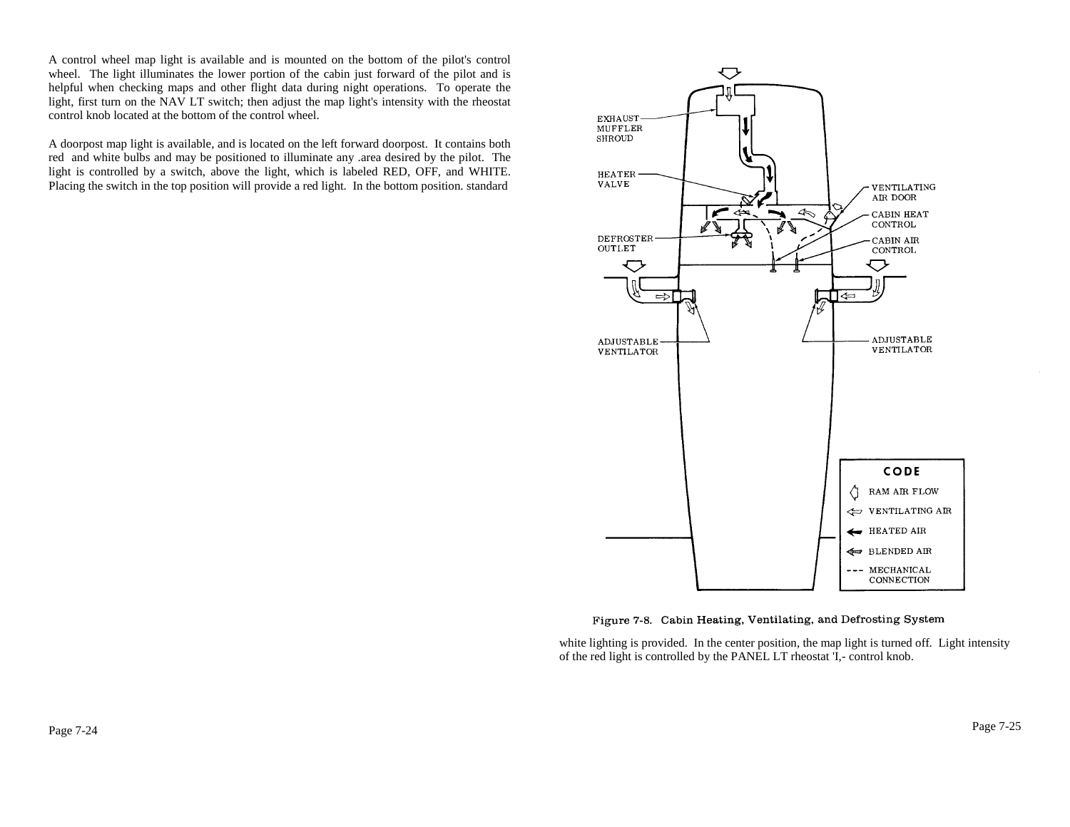A control wheel map light is available and is mounted on the bottom of the pilot's control wheel. The light illuminates the lower portion of the cabin just forward of the pilot and is helpful when checking maps and other flight data during night operations. To operate the light, first turn on the NAV LT switch; then adjust the map light's intensity with the rheostat control knob located at the bottom of the control wheel.

A doorpost map light is available, and is located on the left forward doorpost. It contains both red and white bulbs and may be positioned to illuminate any .area desired by the pilot. The light is controlled by a switch, above the light, which is labeled RED, OFF, and WHITE. Placing the switch in the top position will provide a red light. In the bottom position. standard



Figure 7-8. Cabin Heating, Ventilating, and Defrosting System

white lighting is provided. In the center position, the map light is turned off. Light intensity of the red light is controlled by the PANEL LT rheostat 'I,- control knob.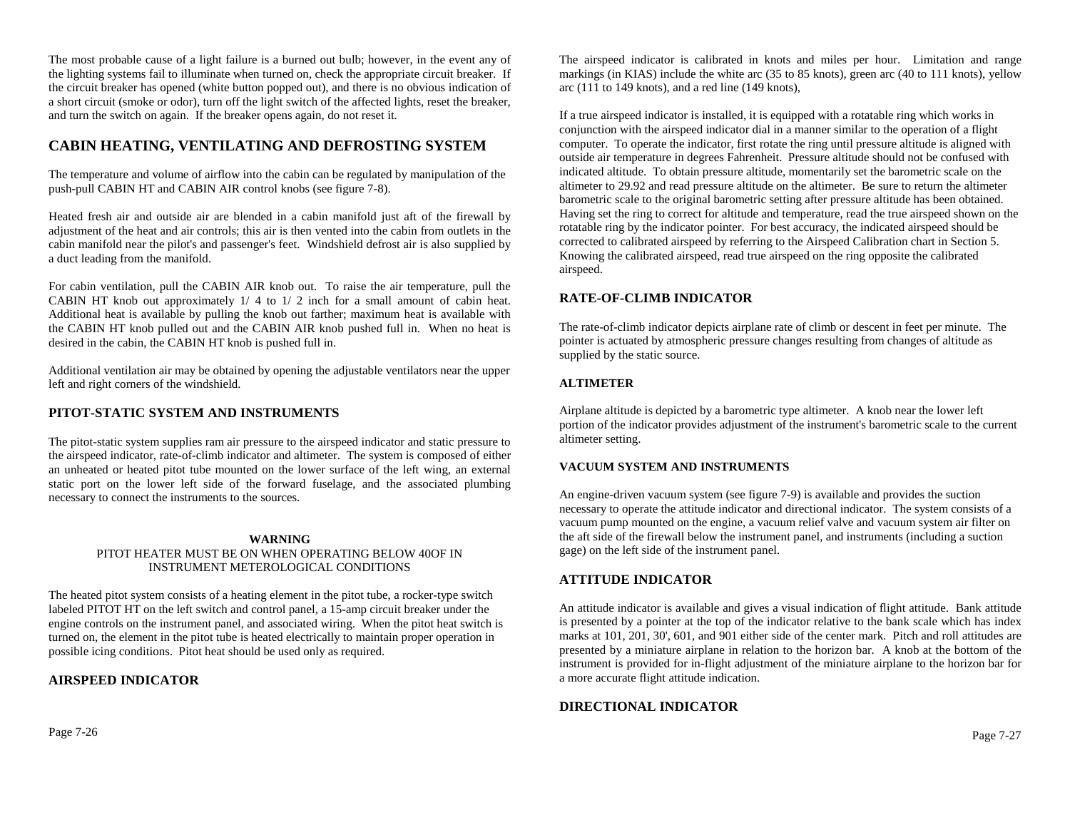The most probable cause of a light failure is a burned out bulb; however, in the event any of the lighting systems fail to illuminate when turned on, check the appropriate circuit breaker. If the circuit breaker has opened (white button popped out), and there is no obvious indication of a short circuit (smoke or odor), turn off the light switch of the affected lights, reset the breaker, and turn the switch on again. If the breaker opens again, do not reset it.

# **CABIN HEATING, VENTILATING AND DEFROSTING SYSTEM**

The temperature and volume of airflow into the cabin can be regulated by manipulation of the push-pull CABIN HT and CABIN AIR control knobs (see figure 7-8).

Heated fresh air and outside air are blended in a cabin manifold just aft of the firewall by adjustment of the heat and air controls; this air is then vented into the cabin from outlets in the cabin manifold near the pilot's and passenger's feet. Windshield defrost air is also supplied by a duct leading from the manifold.

For cabin ventilation, pull the CABIN AIR knob out. To raise the air temperature, pull the CABIN HT knob out approximately  $1/4$  to  $1/2$  inch for a small amount of cabin heat. Additional heat is available by pulling the knob out farther; maximum heat is available with the CABIN HT knob pulled out and the CABIN AIR knob pushed full in. When no heat is desired in the cabin, the CABIN HT knob is pushed full in.

Additional ventilation air may be obtained by opening the adjustable ventilators near the upper left and right corners of the windshield.

### **PITOT-STATIC SYSTEM AND INSTRUMENTS**

The pitot-static system supplies ram air pressure to the airspeed indicator and static pressure to the airspeed indicator, rate-of-climb indicator and altimeter. The system is composed of either an unheated or heated pitot tube mounted on the lower surface of the left wing, an external static port on the lower left side of the forward fuselage, and the associated plumbing necessary to connect the instruments to the sources.

#### **WARNING**

#### PITOT HEATER MUST BE ON WHEN OPERATING BELOW 40OF ININSTRUMENT METEROLOGICAL CONDITIONS

The heated pitot system consists of a heating element in the pitot tube, a rocker-type switch labeled PITOT HT on the left switch and control panel, a 15-amp circuit breaker under the engine controls on the instrument panel, and associated wiring. When the pitot heat switch is turned on, the element in the pitot tube is heated electrically to maintain proper operation in possible icing conditions. Pitot heat should be used only as required.

### **AIRSPEED INDICATOR**

The airspeed indicator is calibrated in knots and miles per hour. Limitation and range markings (in KIAS) include the white arc (35 to 85 knots), green arc (40 to 111 knots), yellow arc (111 to 149 knots), and a red line (149 knots),

If a true airspeed indicator is installed, it is equipped with a rotatable ring which works in conjunction with the airspeed indicator dial in a manner similar to the operation of a flight computer. To operate the indicator, first rotate the ring until pressure altitude is aligned with outside air temperature in degrees Fahrenheit. Pressure altitude should not be confused with indicated altitude. To obtain pressure altitude, momentarily set the barometric scale on the altimeter to 29.92 and read pressure altitude on the altimeter. Be sure to return the altimeter barometric scale to the original barometric setting after pressure altitude has been obtained. Having set the ring to correct for altitude and temperature, read the true airspeed shown on the rotatable ring by the indicator pointer. For best accuracy, the indicated airspeed should be corrected to calibrated airspeed by referring to the Airspeed Calibration chart in Section 5. Knowing the calibrated airspeed, read true airspeed on the ring opposite the calibrated airspeed.

### **RATE-OF-CLIMB INDICATOR**

The rate-of-climb indicator depicts airplane rate of climb or descent in feet per minute. The pointer is actuated by atmospheric pressure changes resulting from changes of altitude as supplied by the static source.

### **ALTIMETER**

Airplane altitude is depicted by a barometric type altimeter. A knob near the lower left portion of the indicator provides adjustment of the instrument's barometric scale to the current altimeter setting.

### **VACUUM SYSTEM AND INSTRUMENTS**

An engine-driven vacuum system (see figure 7-9) is available and provides the suction necessary to operate the attitude indicator and directional indicator. The system consists of a vacuum pump mounted on the engine, a vacuum relief valve and vacuum system air filter on the aft side of the firewall below the instrument panel, and instruments (including a suction gage) on the left side of the instrument panel.

### **ATTITUDE INDICATOR**

An attitude indicator is available and gives a visual indication of flight attitude. Bank attitude is presented by a pointer at the top of the indicator relative to the bank scale which has index marks at 101, 201, 30', 601, and 901 either side of the center mark. Pitch and roll attitudes are presented by a miniature airplane in relation to the horizon bar. A knob at the bottom of the instrument is provided for in-flight adjustment of the miniature airplane to the horizon bar for a more accurate flight attitude indication.

### **DIRECTIONAL INDICATOR**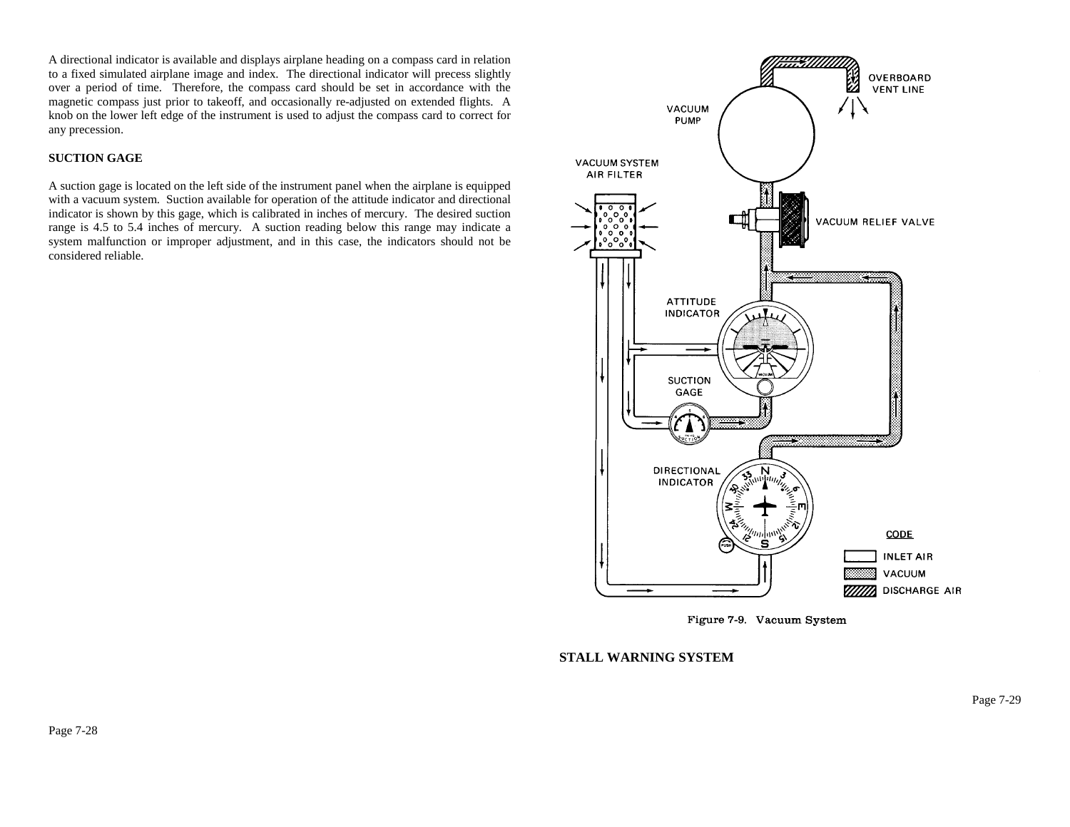A directional indicator is available and displays airplane heading on a compass card in relation to a fixed simulated airplane image and index. The directional indicator will precess slightly over a period of time. Therefore, the compass card should be set in accordance with the magnetic compass just prior to takeoff, and occasionally re-adjusted on extended flights. A knob on the lower left edge of the instrument is used to adjust the compass card to correct for any precession.

#### **SUCTION GAGE**

A suction gage is located on the left side of the instrument panel when the airplane is equipped with a vacuum system. Suction available for operation of the attitude indicator and directional indicator is shown by this gage, which is calibrated in inches of mercury. The desired suction range is 4.5 to 5.4 inches of mercury. A suction reading below this range may indicate a system malfunction or improper adjustment, and in this case, the indicators should not be considered reliable.



Figure 7-9. Vacuum System

### **STALL WARNING SYSTEM**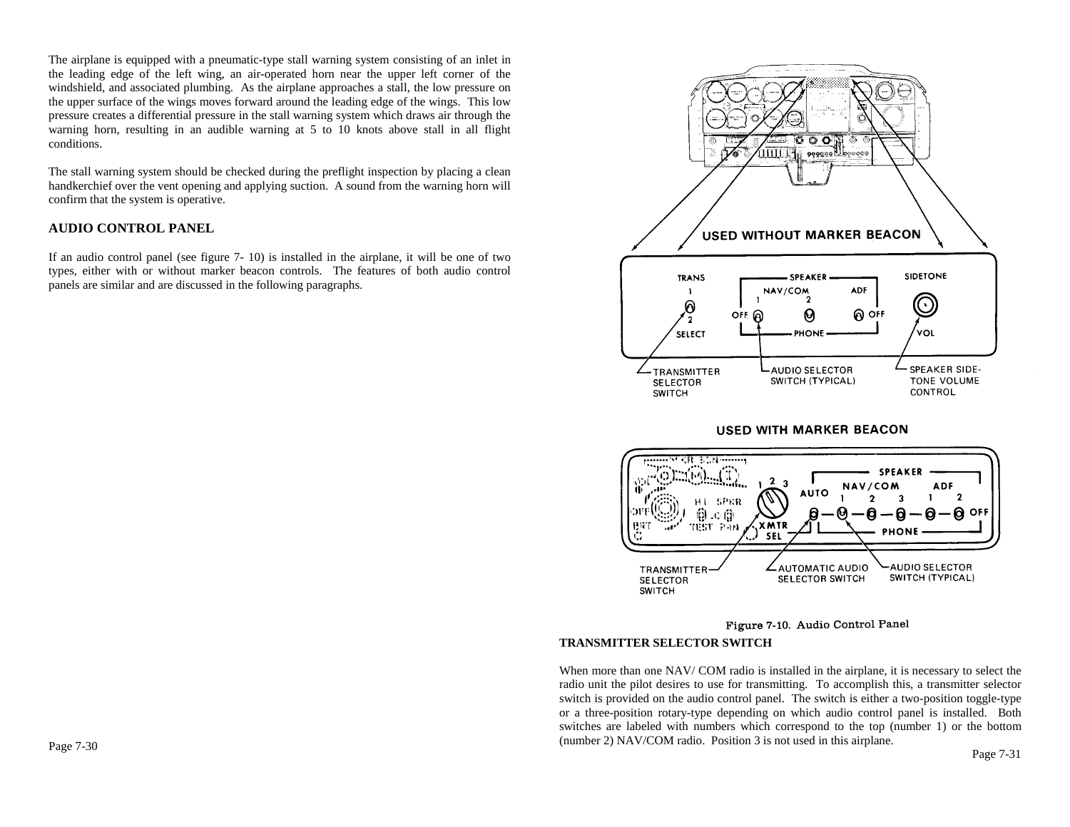The airplane is equipped with a pneumatic-type stall warning system consisting of an inlet in the leading edge of the left wing, an air-operated horn near the upper left corner of the windshield, and associated plumbing. As the airplane approaches a stall, the low pressure on the upper surface of the wings moves forward around the leading edge of the wings. This low pressure creates a differential pressure in the stall warning system which draws air through the warning horn, resulting in an audible warning at 5 to 10 knots above stall in all flight conditions.

The stall warning system should be checked during the preflight inspection by placing a clean handkerchief over the vent opening and applying suction. A sound from the warning horn will confirm that the system is operative.

### **AUDIO CONTROL PANEL**

If an audio control panel (see figure 7- 10) is installed in the airplane, it will be one of two types, either with or without marker beacon controls. The features of both audio control panels are similar and are discussed in the following paragraphs.







### **TRANSMITTER SELECTOR SWITCH**

When more than one NAV/ COM radio is installed in the airplane, it is necessary to select the radio unit the pilot desires to use for transmitting. To accomplish this, a transmitter selector switch is provided on the audio control panel. The switch is either a two-position toggle-type or a three-position rotary-type depending on which audio control panel is installed. Both switches are labeled with numbers which correspond to the top (number 1) or the bottom (number 2) NAV/COM radio. Position 3 is not used in this airplane.